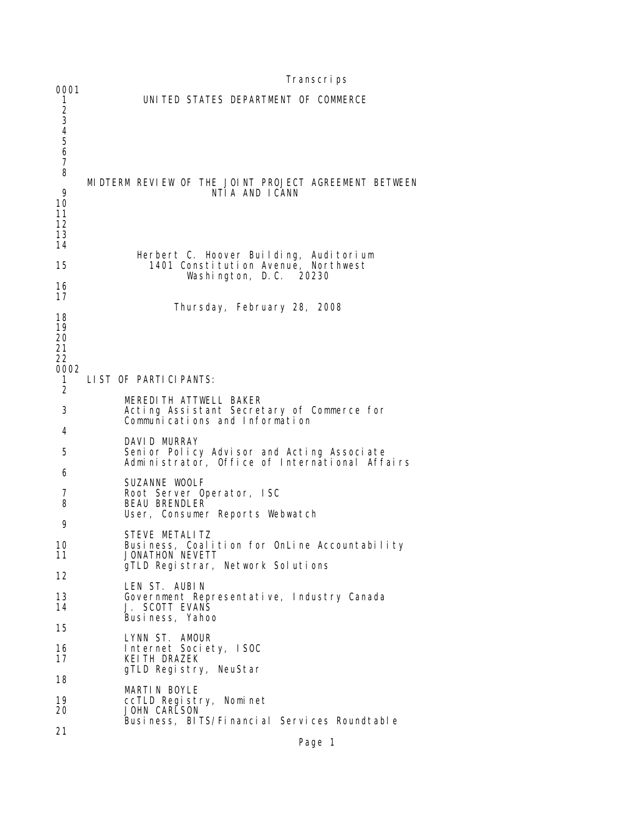|                                                  | Transcri ps                                                                                                             |  |
|--------------------------------------------------|-------------------------------------------------------------------------------------------------------------------------|--|
| 0001<br>1<br>23456                               | UNITED STATES DEPARTMENT OF COMMERCE                                                                                    |  |
| $\overline{7}$<br>8<br>9<br>10<br>11<br>12<br>13 | MIDTERM REVIEW OF THE JOINT PROJECT AGREEMENT BETWEEN<br>NTIA AND ICANN                                                 |  |
| 14<br>15<br>16<br>17                             | Herbert C. Hoover Building, Auditorium<br>1401 Constitution Avenue, Northwest<br>Washington, D.C. 20230                 |  |
| 18<br>19<br>20<br>21<br>22<br>0002               | Thursday, February 28, 2008                                                                                             |  |
| 1<br>2                                           | LIST OF PARTICIPANTS:                                                                                                   |  |
| 3                                                | MEREDI TH ATTWELL BAKER<br>Acting Assistant Secretary of Commerce for<br>Communications and Information                 |  |
| 4<br>5                                           | DAVI D MURRAY<br>Senior Policy Advisor and Acting Associate<br>Administrator, Office of International Affairs           |  |
| 6<br>7<br>8<br>9                                 | SUZANNE WOOLF<br>Root Server Operator, ISC<br><b>BEAU BRENDLER</b><br>User, Consumer Reports Webwatch                   |  |
| 10<br>11                                         | STEVE METALITZ<br>Business, Coalition for OnLine Accountability<br>JONATHON NEVETT<br>gTLD Registrar, Network Solutions |  |
| 12<br>13<br>14                                   | LEN ST. AUBIN<br>Government Representative, Industry Canada<br>J. SCOTT EVANS<br>Business, Yahoo                        |  |
| 15<br>16<br>17                                   | LYNN ST. AMOUR<br>Internet Society, ISOC<br>KEI TH DRAZEK<br>gTLD Registry, NeuStar                                     |  |
| 18                                               | MARTIN BOYLE                                                                                                            |  |
| 19<br>20                                         | ccTLD Registry, Nominet<br>JOHN CARLSON<br>Business, BITS/Financial Services Roundtable                                 |  |
| 21                                               |                                                                                                                         |  |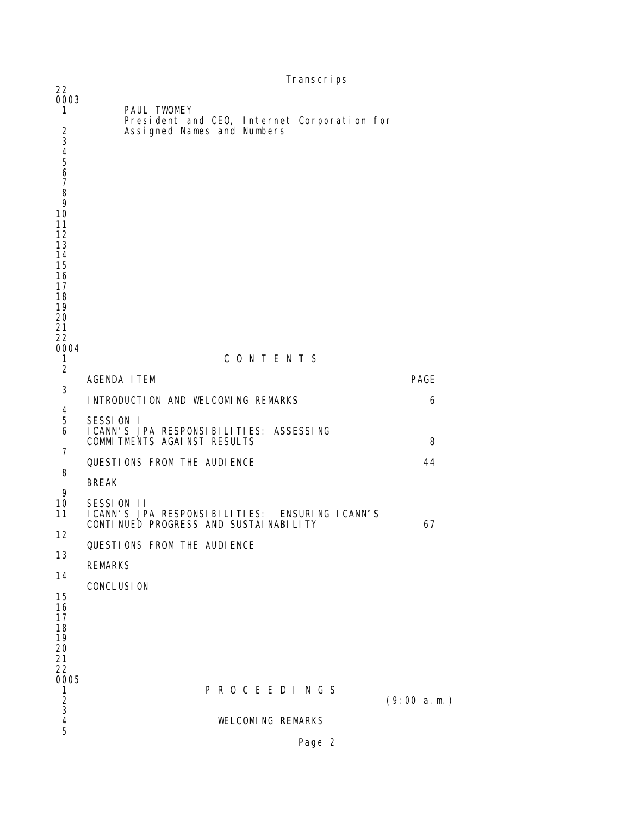|                      | Transcri ps                                                     |             |
|----------------------|-----------------------------------------------------------------|-------------|
| 22<br>0003           |                                                                 |             |
| 1                    | PAUL TWOMEY<br>President and CEO, Internet Corporation for      |             |
|                      | Assigned Names and Numbers                                      |             |
|                      |                                                                 |             |
| 234567               |                                                                 |             |
| 8                    |                                                                 |             |
| 9<br>10              |                                                                 |             |
| 11<br>12             |                                                                 |             |
| 13<br>14             |                                                                 |             |
| 15                   |                                                                 |             |
| 16<br>17             |                                                                 |             |
| 18<br>19             |                                                                 |             |
| 20<br>21             |                                                                 |             |
| 22<br>0004           |                                                                 |             |
| 1<br>$\overline{2}$  | CONTENTS                                                        |             |
| 3                    | AGENDA I TEM                                                    | <b>PAGE</b> |
| 4                    | INTRODUCTION AND WELCOMING REMARKS                              | 6           |
| 5<br>6               | SESSION 1<br>I CANN'S JPA RESPONSI BILITIES: ASSESSING          |             |
|                      | COMMITMENTS AGAINST RESULTS                                     | 8           |
| 7<br>8               | QUESTIONS FROM THE AUDIENCE                                     | 44          |
| 9                    | <b>BREAK</b>                                                    |             |
| 10<br>11             | SESSION 11<br>I CANN'S JPA RESPONSI BILITIES: ENSURING I CANN'S |             |
| 12                   | CONTI NUED PROGRESS AND SUSTAI NABILITY                         | 67          |
| 13                   | QUESTIONS FROM THE AUDIENCE                                     |             |
|                      | <b>REMARKS</b>                                                  |             |
| 14                   | <b>CONCLUSION</b>                                               |             |
| 15<br>16             |                                                                 |             |
| 17<br>18             |                                                                 |             |
| 19<br>20             |                                                                 |             |
| 21<br>22             |                                                                 |             |
| 0005<br>$\mathbf{1}$ | PROCEEDINGS                                                     |             |
|                      |                                                                 | (9:00 a.m.) |
| 2345                 | <b>WELCOMING REMARKS</b>                                        |             |
|                      | Page 2                                                          |             |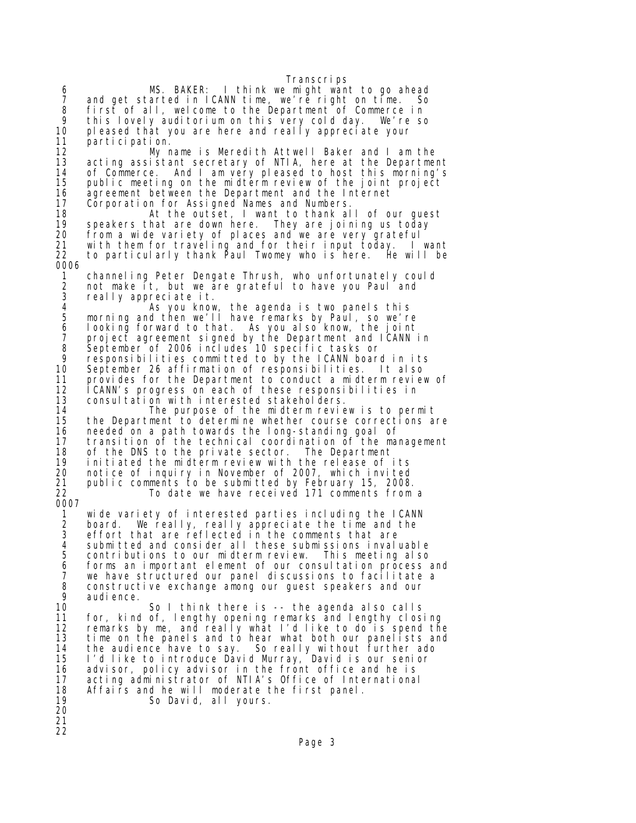Transcrips 6 MS. BAKER: I think we might want to go ahead 7 and get started in ICANN time, we're right on time. So<br>8 first of all, welcome to the Department of Commerce in 8 first of all, welcome to the Department of Commerce in<br>9 this lovely auditorium on this very cold day. We're so 9 this lovely auditorium on this very cold day. We're so 10 pleased that you are here and really appreciate your 11 participation.<br>12 My r 12 My name is Meredith Attwell Baker and I am the 13 acting assistant secretary of NTIA, here at the Department<br>14 of Commerce. And I am very pleased to host this morning's of Commerce. And I am very pleased to host this morning's 15 public meeting on the midterm review of the joint project 16 agreement between the Department and the Internet<br>17 Corporation for Assigned Names and Numbers Corporation for Assigned Names and Numbers. 18 At the outset, I want to thank all of our guest 19 speakers that are down here. They are joining us today 20 from a wide variety of places and we are very grateful 21 with them for traveling and for their input today. I want 22 to particularly thank Paul Twomey who is here. He will be 0006 1 channeling Peter Dengate Thrush, who unfortunately could 2 not make it, but we are grateful to have you Paul and<br>3 really appreciate it. 3 really appreciate it. 4 As you know, the agenda is two panels this 5 morning and then we'll have remarks by Paul, so we're 6 looking forward to that. As you also know, the joint 7 project agreement signed by the Department and ICANN in 8 September of 2006 includes 10 specific tasks or 9 responsibilities committed to by the ICANN board in its September 26 affirmation of responsibilities. It also 11 provides for the Department to conduct a midterm review of 12 ICANN's progress on each of these responsibilities in 13 consultation with interested stakeholders. 14 The purpose of the midterm review is to permit 15 the Department to determine whether course corrections are 16 needed on a path towards the long-standing goal of 17 transition of the technical coordination of the management 18 of the DNS to the private sector. The Department 19 initiated the midterm review with the release of its 20 notice of inquiry in November of 2007, which invited public comments to be submitted by February 15, 2008. 22 To date we have received 171 comments from a 0007 1 wide variety of interested parties including the ICANN 2 board. We really, really appreciate the time and the effort that are reflected in the comments that are 4 submitted and consider all these submissions invaluable 5 contributions to our midterm review. This meeting also 6 forms an important element of our consultation process and we have structured our panel discussions to facilitate a 8 constructive exchange among our guest speakers and our 9 audience.<br>10 10 So I think there is -- the agenda also calls 11 for, kind of, lengthy opening remarks and lengthy closing 12 remarks by me, and really what I'd like to do is spend the<br>13 time on the panels and to hear what both our panelists and time on the panels and to hear what both our panelists and 14 the audience have to say. So really without further ado I'd like to introduce David Murray, David is our senior 16 advisor, policy advisor in the front office and he is 17 acting administrator of NTIA's Office of International 18 Affairs and he will moderate the first panel. 19 So David, all yours. 20 21 22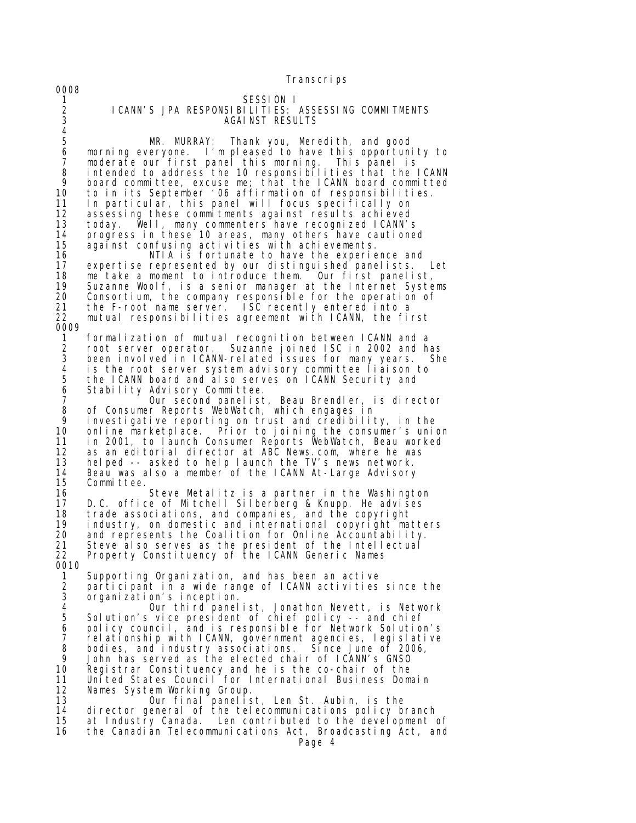1 SESSION I 2 ICANN'S JPA RESPONSIBILITIES: ASSESSING COMMITMENTS AGAINST RESULTS  $\frac{4}{5}$  5 MR. MURRAY: Thank you, Meredith, and good 6 morning everyone. I'm pleased to have this opportunity to 7 moderate our first panel this morning. This panel is<br>8 intended to address the 10 responsibilities that the I 8 intended to address the 10 responsibilities that the ICANN 9 board committee, excuse me; that the ICANN board committed<br>10 to in its September '06 affirmation of responsibilities. 10 to in its September '06 affirmation of responsibilities. In particular, this panel will focus specifically on 12 assessing these commitments against results achieved 13 today. Well, many commenters have recognized ICANN's 14 progress in these 10 areas, many others have cautioned 15 against confusing activities with achievements. 16 The NTIA is fortunate to have the experience and<br>17 expertise represented by our distinguished panelists. expertise represented by our distinguished panelists. 18 me take a moment to introduce them. Our first panelist, 19 Suzanne Woolf, is a senior manager at the Internet Systems 20 Consortium, the company responsible for the operation of<br>21 the F-root name server. ISC recently entered into a 21 the F-root name server. ISC recently entered into a 22 mutual responsibilities agreement with ICANN, the first 0009 1 formalization of mutual recognition between ICANN and a 2 root server operator. Suzanne joined ISC in 2002 and has 3 been involved in ICANN-related issues for many years. She 4 is the root server system advisory committee liaison to<br>5 the ICANN board and also serves on ICANN Security and 5 the ICANN board and also serves on ICANN Security and<br>6 Stability Advisory Committee. 6 Stability Advisory Committee. 7 Our second panelist, Beau Brendler, is director 8 of Consumer Reports WebWatch, which engages in 9 investigative reporting on trust and credibility, in the 10 online marketplace. Prior to joining the consumer's union<br>11 in 2001, to launch Consumer Reports WebWatch, Beau worked 11 in 2001, to launch Consumer Reports WebWatch, Beau worked as an editorial director at ABC News.com, where he was 13 helped -- asked to help launch the TV's news network.<br>14 Beau was also a member of the ICANN At-Large Advisory 14 Beau was also a member of the ICANN At-Large Advisory<br>15 Committee. Committee. 16 Steve Metalitz is a partner in the Washington 17 D.C. office of Mitchell Silberberg & Knupp. He advises 18 trade associations, and companies, and the copyright 19 industry, on domestic and international copyright matters and represents the Coalition for Online Accountability. 21 Steve also serves as the president of the Intellectual 22 Property Constituency of the ICANN Generic Names 0010 1 Supporting Organization, and has been an active 2 participant in a wide range of ICANN activities since the 3 organization's inception. 4 Our third panelist, Jonathon Nevett, is Network 5 Solution's vice president of chief policy -- and chief 6 policy council, and is responsible for Network Solution's 7 relationship with ICANN, government agencies, legislative<br>8 bodies, and industry associations. Since June of 2006, 8 bodies, and industry associations. Since June of 2006, 9 John has served as the elected chair of ICANN's GNSO 10 Registrar Constituency and he is the co-chair of the 11 United States Council for International Business Domain 12 Names System Working Group.<br>13 0ur final panelis 13 Our final panelist, Len St. Aubin, is the<br>14 director general of the telecommunications policy by 14 director general of the telecommunications policy branch<br>15 at Industry Canada. Len contributed to the development o at Industry Canada. Len contributed to the development of 16 the Canadian Telecommunications Act, Broadcasting Act, and

Page 4

0008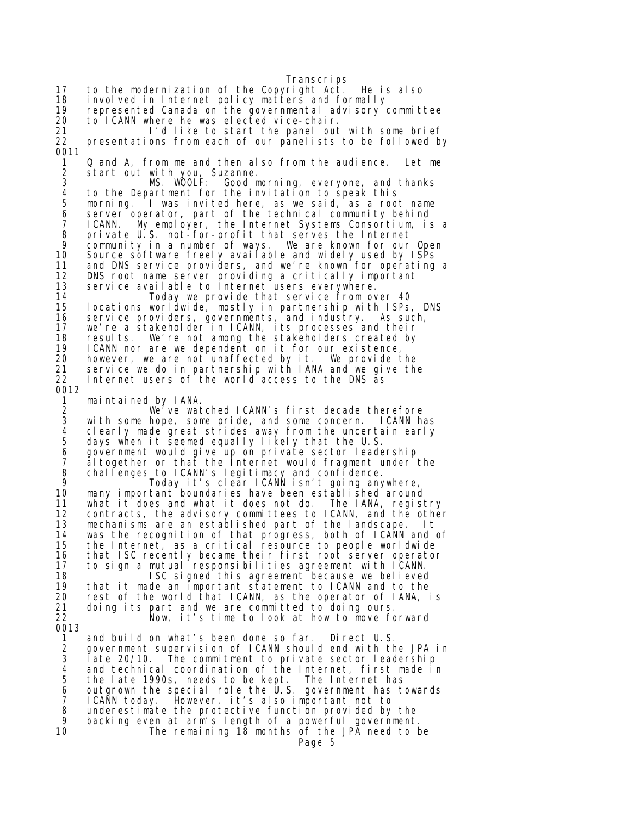17 to the modernization of the Copyright Act. He is also 18 involved in Internet policy matters and formally 19 represented Canada on the governmental advisory committee<br>20 to ICANN where he was elected vice-chair. 20 to ICANN where he was elected vice-chair. 21 I'd like to start the panel out with some brief 22 presentations from each of our panelists to be followed by 0011 1 Q and A, from me and then also from the audience. Let me 2 start out with you, Suzanne.<br>3 MS. WOOLF: Good m 3 MS. WOOLF: Good morning, everyone, and thanks 4 to the Department for the invitation to speak this<br>5 morning. I was invited here, as we said, as a room 5 morning. I was invited here, as we said, as a root name 6 server operator, part of the technical community behind 7 ICANN. My employer, the Internet Systems Consortium, is a 8 private U.S. not-for-profit that serves the Internet 9 community in a number of ways. We are known for our Open 10 Source software freely available and widely used by ISPs 11 and DNS service providers, and we're known for operating a 12 DNS root name server providing a critically important 13 service available to Internet users everywhere.<br>14 Today we provide that service from ov 14 Today we provide that service from over 40<br>15 Iocations worldwide, mostly in partnership with ISPs, Iocations worldwide, mostly in partnership with ISPs, DNS 16 service providers, governments, and industry. As such, 17 we're a stakeholder in ICANN, its processes and their 18 results. We're not among the stakeholders created by<br>19 ICANN nor are we dependent on it for our existence. 19 ICANN nor are we dependent on it for our existence, however, we are not unaffected by it. We provide the 21 service we do in partnership with IANA and we give the 22 Internet users of the world access to the DNS as 0012 1 maintained by IANA.<br>2 We've wat 2 We<sup>7</sup> ve watched ICANN's first decade therefore<br>3 with some hope, some pride, and some concern. ICANN has 3 with some hope, some pride, and some concern. ICANN has 4 clearly made great strides away from the uncertain early 5 days when it seemed equally likely that the U.S.<br>6 government would give up on private sector leade 6 government would give up on private sector leadership<br>7 altogether or that the Internet would fragment under 7 altogether or that the Internet would fragment under the 8 challenges to ICANN's legitimacy and confidence. 9 Today it's clear ICANN isn't going anywhere, 10 many important boundaries have been established around 11 what it does and what it does not do. The IANA, registry 12 contracts, the advisory committees to ICANN, and the other<br>13 mechanisms are an established part of the landscape. It 13 mechanisms are an established part of the landscape. It was the recognition of that progress, both of ICANN and of 15 the Internet, as a critical resource to people worldwide 16 that ISC recently became their first root server operator 17 to sign a mutual responsibilities agreement with ICANN.<br>18 ISC signed this agreement because we believed 18 ISC signed this agreement because we believed 19 that it made an important statement to ICANN and to the 20 rest of the world that ICANN, as the operator of IANA, is<br>21 doing its part and we are committed to doing ours. 21 doing its part and we are committed to doing ours.<br>22 Mow, it's time to look at how to move fo Now, it's time to look at how to move forward 0013 1 and build on what's been done so far. Direct U.S. 2 government supervision of ICANN should end with the JPA in<br>3 late 20/10. The commitment to private sector leadership 3 Iate 20/10. The commitment to private sector leadership<br>4 and technical coordination of the Internet, first made in 4 and technical coordination of the Internet, first made in<br>5 the late 1990s, needs to be kept. The Internet has 5 the late 1990s, needs to be kept. The Internet has 6 outgrown the special role the U.S. government has towards 7 ICANN today. However, it's also important not to 8 underestimate the protective function provided by the 9 backing even at arm's length of a powerful government. The remaining 18 months of the JPA need to be Page 5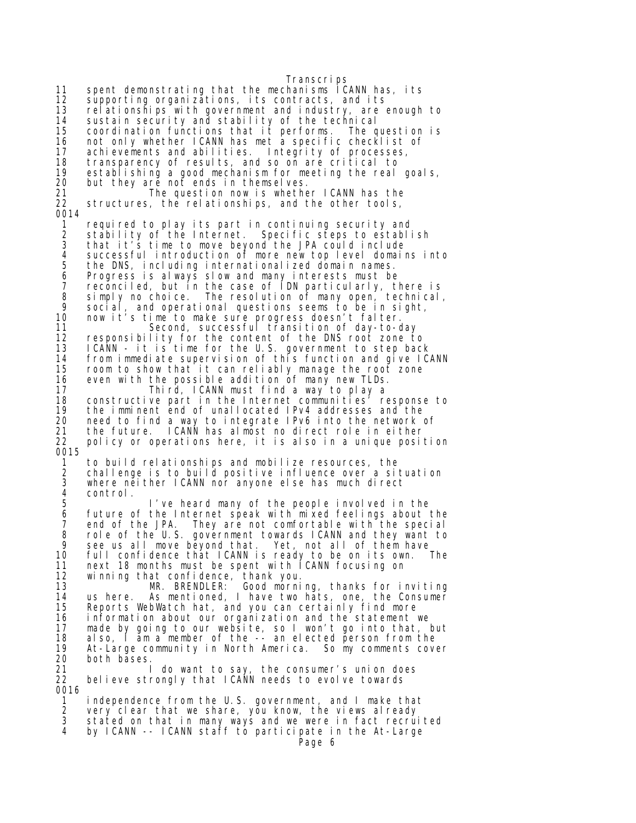Transcrips 11 spent demonstrating that the mechanisms ICANN has, its 12 supporting organizations, its contracts, and its 13 relationships with government and industry, are enough to<br>14 sustain security and stability of the technical 14 sustain security and stability of the technical 15 coordination functions that it performs. The question is 16 not only whether ICANN has met a specific checklist of 17 achievements and abilities. Integrity of processes,<br>18 transparency of results, and so on are critical to 18 transparency of results, and so on are critical to<br>19 establishing a good mechanism for meeting the real 19 establishing a good mechanism for meeting the real goals,<br>20 but they are not ends in themselves. 20 but they are not ends in themselves. 21 The question now is whether ICANN has the<br>22 structures the relationships and the other tools structures, the relationships, and the other tools, 0014 1 required to play its part in continuing security and 2 stability of the Internet. Specific steps to establish<br>3 that it's time to move beyond the JPA could include 3 that it's time to move beyond the JPA could include 4 successful introduction of more new top level domains into<br>5 the DNS, including internationalized domain names. 5 the DNS, including internationalized domain names.<br>6 Progress is always slow and many interests must be 6 Progress is always slow and many interests must be 7 reconciled, but in the case of IDN particularly, there is 8 simply no choice. The resolution of many open, technical, 9 social, and operational questions seems to be in sight, 10 now it's time to make sure progress doesn't falter. 11 Second, successful transition of day-to-day 12 responsibility for the content of the DNS root zone to 13 ICANN - it is time for the U.S. government to step back<br>14 from immediate supervision of this function and give IC from immediate supervision of this function and give ICANN 15 room to show that it can reliably manage the root zone 16 even with the possible addition of many new TLDs.<br>17 17 Third, ICANN must find a way to play a 17 Third, ICANN must find a way to play a 18 constructive part in the Internet communities<sup>7</sup> response to<br>19 the imminent end of unallocated IPv4 addresses and the 19 the imminent end of unallocated IPv4 addresses and the<br>20 need to find a way to integrate IPv6 into the network 20 need to find a way to integrate IPv6 into the network of 21 the future. ICANN has almost no direct role in either 22 policy or operations here, it is also in a unique position 0015 1 to build relationships and mobilize resources, the 2 challenge is to build positive influence over a situation 3 where neither ICANN nor anyone else has much direct 4 control. 5 I've heard many of the people involved in the<br>6 future of the Internet speak with mixed feelings about 6 future of the Internet speak with mixed feelings about the<br>7 end of the JPA. They are not comfortable with the special 7 end of the JPA. They are not comfortable with the special 8 role of the U.S. government towards ICANN and they want to<br>9 see us all move bevond that. Yet, not all of them have 9 see us all move beyond that. Yet, not all of them have<br>10 full confidence that ICANN is ready to be on its own. 10 full confidence that ICANN is ready to be on its own. The 11 next 18 months must be spent with ICANN focusing on 11 next 18 months must be spent with ICANN focusing on 12 winning that confidence, thank you. 13 MR. BRENDLER: Good morning, thanks for inviting 14 us here. As mentioned, I have two hats, one, the Consumer 15 Reports WebWatch hat, and you can certainly find more 16 information about our organization and the statement we 17 made by going to our website, so I won't go into that, but<br>18 also, I am a member of the -- an elected person from the 18 also, I am a member of the -- an elected person from the 19 At-Large community in North America. So my comments cover 20 both bases.<br>21 21 I do want to say, the consumer's union does<br>22 believe strongly that ICANN needs to evolve towards believe strongly that ICANN needs to evolve towards 0016 1 independence from the U.S. government, and I make that 2 very clear that we share, you know, the views already<br>3 stated on that in many ways and we were in fact recru 3 stated on that in many ways and we were in fact recruited<br>4 by ICANN -- ICANN staff to participate in the At-Large by ICANN -- ICANN staff to participate in the At-Large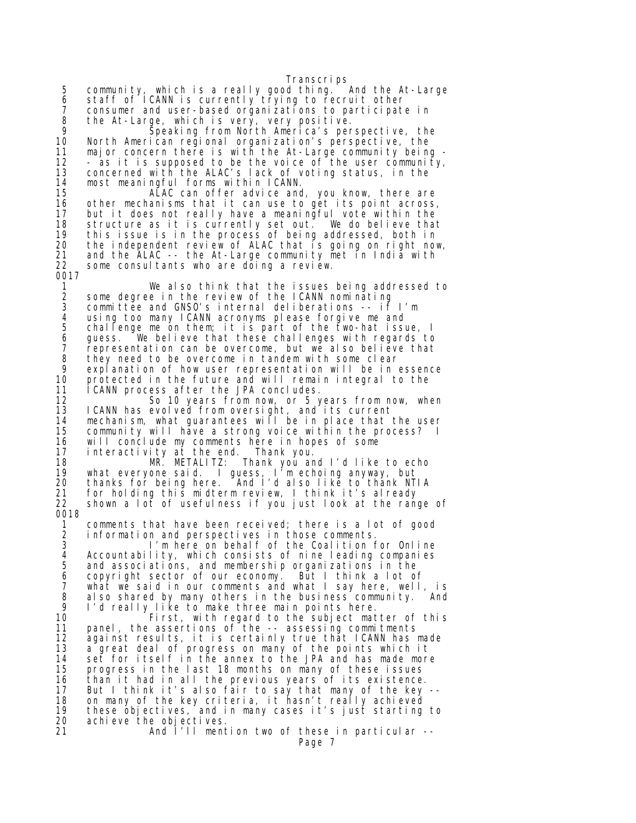Transcrips<br>d thing. And the At-Large 5 community, which is a really good thing. 6 staff of ICANN is currently trying to recruit other 7 consumer and user-based organizations to participate in 8 the At-Large, which is very, very positive. 9 Speaking from North America's perspective, the 10 North American regional organization's perspective, the 11 major concern there is with the At-Large community being  $-12$  - as it is supposed to be the voice of the user community, 12 - as it is supposed to be the voice of the user community,<br>13 concerned with the ALAC's lack of voting status, in the concerned with the ALAC's lack of voting status, in the 14 most meaningful forms within ICANN. ALAC can offer advice and, you know, there are 16 other mechanisms that it can use to get its point across,<br>17 but it does not really have a meaningful vote within the 17 but it does not really have a meaningful vote within the 18 structure as it is currently set out. We do believe that 19 this issue is in the process of being addressed, both in<br>20 the independent review of ALAC that is going on right now 20 the independent review of ALAC that is going on right now,<br>21 and the ALAC -- the At-Large community met in India with and the ALAC -- the At-Large community met in India with 22 some consultants who are doing a review. 0017 1 We also think that the issues being addressed to 2 some degree in the review of the ICANN nominating<br>3 committee and GNSO's internal deliberations -- if committee and GNSO's internal deliberations  $-$  if I'm 4 using too many ICANN acronyms please forgive me and 5 challenge me on them; it is part of the two-hat issue, I 6 guess. We believe that these challenges with regards to 7 representation can be overcome, but we also believe that<br>8 they need to be overcome in tandem with some clear 8 they need to be overcome in tandem with some clear<br>9 explanation of how user representation will be in 9 explanation of how user representation will be in essence 10 protected in the future and will remain integral to the 1 CANN process after the JPA concludes. 12 So 10 years from now, or 5 years from now, when 13 ICANN has evolved from oversight, and its current 14 mechanism, what guarantees will be in place that the user<br>15 community will have a strong voice within the process? I community will have a strong voice within the process? I 16 will conclude my comments here in hopes of some<br>17 interactivity at the end. Thank you. interactivity at the end. 18 MR. METALITZ: Thank you and I'd like to echo 19 what everyone said. I guess, I'm echoing anyway, but 20 thanks for being here. And I'd also like to thank NTIA 21 for holding this midterm review, I think it's already 22 shown a lot of usefulness if you just look at the range of 0018 1 comments that have been received; there is a lot of good 2 information and perspectives in those comments.<br>3 1'm here on behalf of the Coalition f 3 I'm here on behalf of the Coalition for Online 4 Accountability, which consists of nine leading companies<br>5 and associations, and membership organizations in the 5 and associations, and membership organizations in the<br>6 copyright sector of our economy. But I think a lot o<br>7 what we said in our comments and what I say here, well 6 copyright sector of our economy. But I think a lot of 7 what we said in our comments and what I say here, well, is 8 also shared by many others in the business community. And<br>9 I'd really like to make three main points here. 9 I'd really like to make three main points here.<br>10 First, with regard to the subject mat 10 First, with regard to the subject matter of this<br>11 panel, the assertions of the -- assessing commitments 11 panel, the assertions of the -- assessing commitments<br>12 against results, it is certainly true that ICANN has m against results, it is certainly true that ICANN has made 13 a great deal of progress on many of the points which it 14 set for itself in the annex to the JPA and has made more<br>15 progress in the last 18 months on many of these issues progress in the last 18 months on many of these issues 16 than it had in all the previous years of its existence. 17 But I think it's also fair to say that many of the key -- 18 on many of the key criteria, it hasn't really achieved 19 these objectives, and in many cases it's just starting to achieve the objectives. 21 And I'll mention two of these in particular --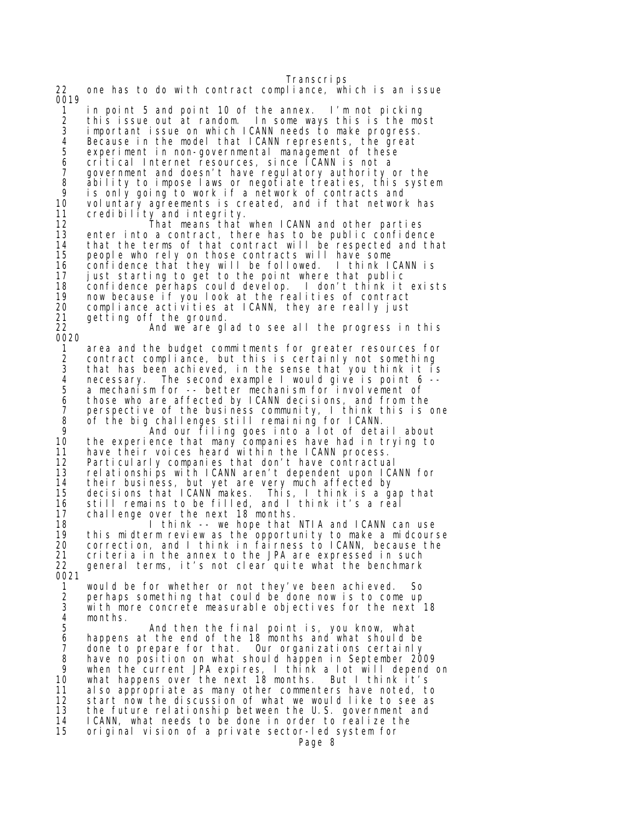Transcrips 22 one has to do with contract compliance, which is an issue 0019 1 in point 5 and point 10 of the annex. I'm not picking 2 this issue out at random. In some ways this is the most<br>3 important issue on which ICANN needs to make progress. 3 important issue on which ICANN needs to make progress. 4 Because in the model that ICANN represents, the great<br>5 experiment in non-governmental management of these experiment in non-governmental management of these 6 critical Internet resources, since ICANN is not a 7 government and doesn't have regulatory authority or the 8 ability to impose laws or negotiate treaties, this system 9 is only going to work if a network of contracts and 10 voluntary agreements is created, and if that network has<br>11 credibility and integrity. credibility and integrity. 12 That means that when ICANN and other parties 13 enter into a contract, there has to be public confidence 14 that the terms of that contract will be respected and that 15 people who rely on those contracts will have some 16 confidence that they will be followed. I think ICANN is 17 just starting to get to the point where that public 18 confidence perhaps could develop. I don't think it exists 19 now because if you look at the realities of contract compliance activities at ICANN, they are really just 21 getting off the ground. And we are glad to see all the progress in this 0020 1 area and the budget commitments for greater resources for<br>2 contract compliance, but this is certainly not something 2 contract compliance, but this is certainly not something<br>3 that has been achieved, in the sense that you think it is 3 that has been achieved, in the sense that you think it is 4 necessary. The second example I would give is point 6 --<br>5 a mechanism for -- better mechanism for involvement of 5 a mechanism for -- better mechanism for involvement of<br>6 those who are affected by ICANN decisions, and from the 6 those who are affected by ICANN decisions, and from the 7 perspective of the business community, I think this is one<br>8 of the big challenges still remaining for ICANN. 8 of the big challenges still remaining for ICANN.<br>9 And our filing goes into a lot of deta 9 And our filing goes into a lot of detail about 10 the experience that many companies have had in trying to 11 have their voices heard within the ICANN process. 12 Particularly companies that don't have contractual 13 relationships with ICANN aren't dependent upon ICANN for 14 their business, but yet are very much affected by 15 decisions that ICANN makes. This, I think is a gap that 16 still remains to be filled, and I think it's a real 17 challenge over the next 18 months. 18 I think -- we hope that NTIA and ICANN can use<br>19 I this midterm review as the opportunity to make a midcours this midterm review as the opportunity to make a midcourse 20 correction, and I think in fairness to ICANN, because the 21 criteria in the annex to the JPA are expressed in such general terms, it's not clear quite what the benchmark 0021 1 would be for whether or not they've been achieved. So 2 perhaps something that could be done now is to come up<br>3 with more concrete measurable objectives for the next 3 with more concrete measurable objectives for the next 18 4 months. 5 And then the final point is, you know, what 6 happens at the end of the 18 months and what should be 7 done to prepare for that. Our organizations certainly 8 have no position on what should happen in September 2009 9 when the current JPA expires, I think a lot will depend on<br>10 what happens over the next 18 months. But I think it's 10 what happens over the next 18 months. But I think it's 11 also appropriate as many other commenters have noted, to 12 start now the discussion of what we would like to see as 13 the future relationship between the U.S. government and ICANN, what needs to be done in order to realize the 15 original vision of a private sector-led system for Page 8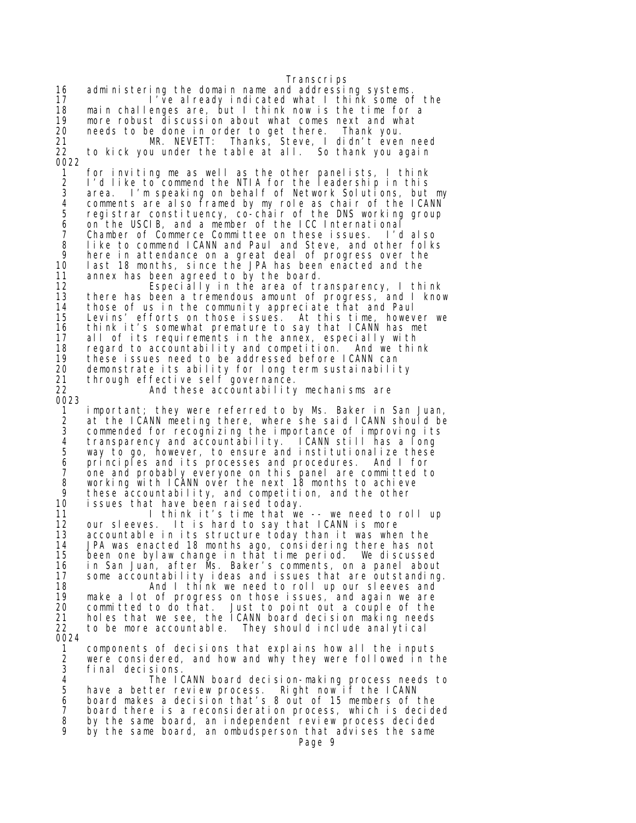Transcrips 16 administering the domain name and addressing systems. 17 I've already indicated what I think some of the 18 main challenges are, but I think now is the time for a 19 more robust discussion about what comes next and what 20 needs to be done in order to get there. Thank you. 21 MR. NEVETT: Thanks, Steve, I didn't even need 22 to kick you under the table at all. So thank you again 0022 1 for inviting me as well as the other panelists, I think<br>2 I'd like to commend the NTIA for the leadership in this 2 I'd like to commend the NTIA for the leadership in this<br>3 area. I'm speaking on behalf of Network Solutions, but 3 area. I'm speaking on behalf of Network Solutions, but my 4 comments are also framed by my role as chair of the ICANN 5 registrar constituency, co-chair of the DNS working group 6 on the USCIB, and a member of the ICC International 7 Chamber of Commerce Committee on these issues. I'd also 8 like to commend ICANN and Paul and Steve, and other folks<br>9 here in attendance on a great deal of progress over the 9 here in attendance on a great deal of progress over the<br>10 last 18 months, since the JPA has been enacted and the last 18 months, since the JPA has been enacted and the 11 annex has been agreed to by the board. 12 Especially in the area of transparency, I think 13 there has been a tremendous amount of progress, and I know<br>14 those of us in the community appreciate that and Paul those of us in the community appreciate that and Paul 15 Levins' efforts on those issues. At this time, however we 16 think it's somewhat premature to say that ICANN has met 17 all of its requirements in the annex, especially with 18 regard to accountability and competition. And we think<br>19 these issues need to be addressed before ICANN can 19 these issues need to be addressed before ICANN can<br>20 demonstrate its ability for long term sustainabili demonstrate its ability for long term sustainability 21 through effective self<sup>o</sup>governance.<br>22 **And these accountability** And these accountability mechanisms are 0023 1 important; they were referred to by Ms. Baker in San Juan, 2 at the ICANN meeting there, where she said ICANN should be 3 commended for recognizing the importance of improving its<br>4 transparency and accountability. ICANN still has a long 4 transparency and accountability. ICANN still has a long<br>5 way to go, however, to ensure and institutionalize these 5 way to go, however, to ensure and institutionalize these 6 principles and its processes and procedures. And I for 7 one and probably everyone on this panel are committed to 8 working with ICANN over the next 18 months to achieve 9 these accountability, and competition, and the other<br>10 issues that have been raised today. 10 issues that have been raised today. 11 I think it's time that we -- we need to roll up<br>12 our sleeves. It is hard to say that ICANN is more It is hard to say that ICANN is more 13 accountable in its structure today than it was when the 14 JPA was enacted 18 months ago, considering there has not 15 been one bylaw change in that time period. We discussed 16 in San Juan, after Ms. Baker's comments, on a panel about<br>17 some accountability ideas and issues that are outstanding 17 some accountability ideas and issues that are outstanding. 18 **And I think we need to roll up our sleeves and** 19 make a lot of progress on those issues, and again we are 20 committed to do that. Just to point out a couple of the 21 holes that we see, the ICANN board decision making needs<br>22 to be more accountable. They should include analytical to be more accountable. They should include analytical 0024 1 components of decisions that explains how all the inputs 2 were considered, and how and why they were followed in the 3 final decisions.<br>4 The I 4 The ICANN board decision-making process needs to 5 have a better review process. Right now if the ICANN 6 board makes a decision that's 8 out of 15 members of the 7 board there is a reconsideration process, which is decided 8 by the same board, an independent review process decided<br>9 by the same board, an ombudsperson that advises the same by the same board, an ombudsperson that advises the same Page 9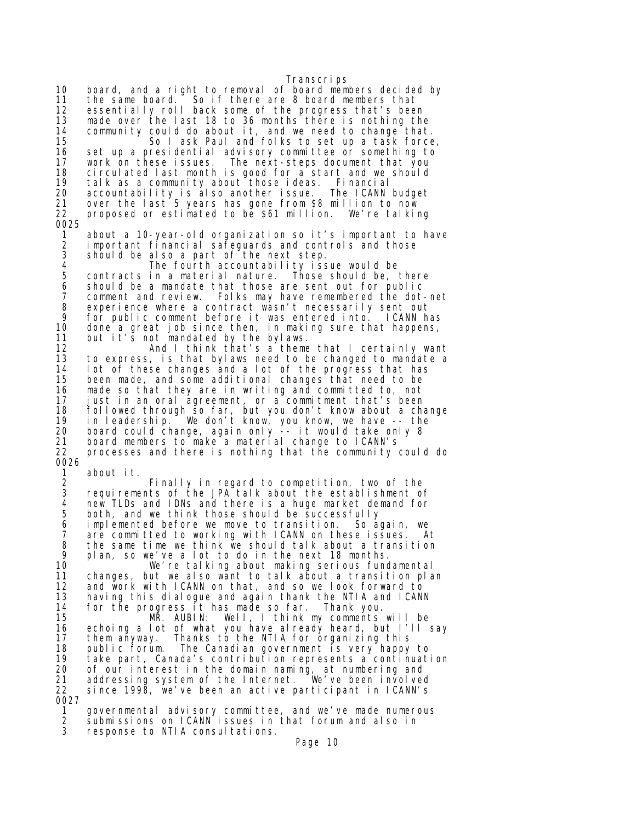Transcrips 10 board, and a right to removal of board members decided by 11 the same board. So if there are 8 board members that 12 essentially roll back some of the progress that's been 13 made over the last 18 to 36 months there is nothing the 14 community could do about it, and we need to change that. 15 So I ask Paul and folks to set up a task force, 16 set up a presidential advisory committee or something to<br>17 work on these issues. The next-steps document that you 17 work on these issues. The next-steps document that you<br>18 circulated last month is good for a start and we should 18 circulated last month is good for a start and we should 19 talk as a community about those ideas. Financial<br>20 accountability is also another issue. The ICANN budget 20 accountability is also another issue.<br>21 over the Iast 5 vears has gone from \$8 21 over the last 5 years has gone from \$8 million to now<br>22 proposed or estimated to be \$61 million. We're talkin proposed or estimated to be \$61 million. We're talking 0025 1 about a 10-year-old organization so it's important to have 2 important financial safeguards and controls and those should be also a part of the next step. 4 The fourth accountability issue would be<br>5 contracts in a material nature. Those should be, 5 contracts in a material nature. Those should be, there 6 should be a mandate that those are sent out for public 7 comment and review. Folks may have remembered the dot-net 8 experience where a contract wasn't necessarily sent out 9 for public comment before it was entered into. ICANN has 10 done a great job since then, in making sure that happens, 11 but it's not mandated by the bylaws. 12 And I think that's a theme that I certainly want<br>13 to express, is that bylaws need to be changed to mandate a to express, is that bylaws need to be changed to mandate a 14 I ot of these changes and a lot of the progress that has<br>15 been made, and some additional changes that need to be been made, and some additional changes that need to be 16 made so that they are in writing and committed to, not 17 just in an oral agreement, or a commitment that's been 18 followed through so far, but you don't know about a change 19 in leadership. We don't know, you know, we have -- the 20 board could change, again only -- it would take only 8 21 board members to make a material change to ICANN's<br>22 processes and there is nothing that the community 22 processes and there is nothing that the community could do 0026 1 about it. 2 Finally in regard to competition, two of the 3 requirements of the JPA talk about the establishment of 4 new TLDs and IDNs and there is a huge market demand for 5 both, and we think those should be successfully<br>6 implemented before we move to transition. So a 6 implemented before we move to transition. So again, we are committed to working with ICANN on these issues. At 8 the same time we think we should talk about a transition 9 plan, so we've a lot to do in the next 18 months.<br>10 We're talking about making serious fund 10 We're talking about making serious fundamental 11 changes, but we also want to talk about a transition plan 12 and work with ICANN on that, and so we look forward to 13 having this dialogue and again thank the NTIA and ICANN 14 for the progress it has made so far. Thank you. 15 MR. AUBIN: Well, I think my comments will be 16 echoing a lot of what you have already heard, but I'll say<br>17 them anyway. Thanks to the NTIA for organizing this Thanks to the NTIA for organizing this 18 public forum. The Canadian government is very happy to 19 take part, Canada's contribution represents a continuation<br>20 of our interest in the domain naming, at numbering and 20 of our interest in the domain naming, at numbering and<br>21 addressing system of the Internet. We've been involved 21 addressing system of the Internet. We've been involved 22 since 1998, we've been an active participant in ICANN's 0027 1 governmental advisory committee, and we've made numerous 2 submissions on ICANN issues in that forum and also in

response to NTIA consultations.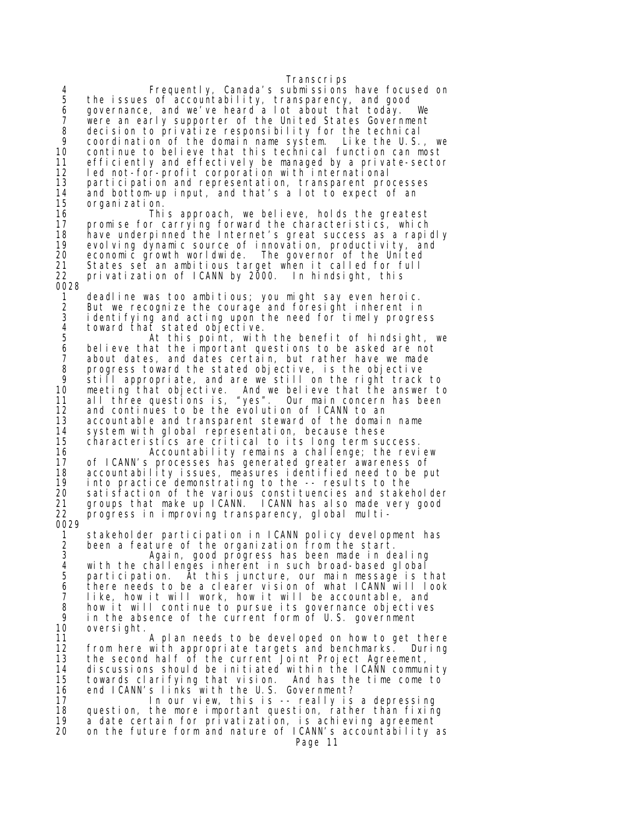Transcrips 4 Frequently, Canada's submissions have focused on<br>5 the issues of accountability, transparency, and good 5 the issues of accountability, transparency, and good 6 governance, and we've heard a lot about that today. We 7 were an early supporter of the United States Government<br>8 decision to privatize responsibility for the technical 8 decision to privatize responsibility for the technical 9 coordination of the domain name system. Like the U.S., we 10 continue to believe that this technical function can most 11 efficiently and effectively be managed by a private-sector Ied not-for-profit corporation with international 13 participation and representation, transparent processes<br>14 and bottom-up input, and that's a lot to expect of an 14 and bottom-up input, and that's a lot to expect of an organi zati on. 16 This approach, we believe, holds the greatest 17 promise for carrying forward the characteristics, which 18 have underpinned the Internet's great success as a rapidly<br>19 evolving dynamic source of innovation, productivity, and 19 evolving dynamic source of innovation, productivity, and<br>20 economic growth worldwide. The governor of the United 20 economic growth worldwide. The governor of the United<br>21 States set an ambitious target when it called for full States set an ambitious target when it called for full 22 privatization of ICANN by 2000. In hindsight, this 0028 1 deadline was too ambitious; you might say even heroic. 2 But we recognize the courage and foresight inherent in<br>3 identifying and acting upon the need for timely progres 3 identifying and acting upon the need for timely progress 4 toward that stated objective. 5 At this point, with the benefit of hindsight, we 6 believe that the important questions to be asked are not 7 about dates, and dates certain, but rather have we made 8 progress toward the stated objective, is the objective 9 still appropriate, and are we still on the right track to 10 meeting that objective. And we believe that the answer to 11 all three questions is, "yes". Our main concern has been 12 and continues to be the evolution of ICANN to an 13 accountable and transparent steward of the domain name 14 system with global representation, because these characteristics are critical to its long term success. 16 Accountability remains a challenge; the review 17 of ICANN's processes has generated greater awareness of<br>18 accountability issues, measures identified need to be pu 18 accountability issues, measures identified need to be put<br>19 into practice demonstrating to the -- results to the 19 into practice demonstrating to the -- results to the 20 satisfaction of the various constituencies and stakeholder 21 groups that make up ICANN. ICANN has also made very good 22 progress in improving transparency, global multi-0029 1 stakeholder participation in ICANN policy development has 2 been a feature of the organization from the start. 3 Again, good progress has been made in dealing 4 with the challenges inherent in such broad-based global 5 participation. At this juncture, our main message is that 6 there needs to be a clearer vision of what ICANN will look 7 like, how it will work, how it will be accountable, and 8 how it will continue to pursue its governance objectives 9 in the absence of the current form of U.S. government<br>10 oversight. 10 oversight. A plan needs to be developed on how to get there 12 from here with appropriate targets and benchmarks. During 13 the second half of the current Joint Project Agreement,<br>14 discussions should be initiated within the ICANN commun 14 discussions should be initiated within the ICANN community<br>15 towards clarifying that vision. And has the time come to 15 towards clarifying that vision. And has the time come to 16 end ICANN's links with the U.S. Government? 17 In our view, this is -- really is a depressing<br>18 question, the more important question, rather than fixing 18 question, the more important question, rather than fixing<br>19 a date certain for privatization, is achieving agreement 19 a date certain for privatization, is achieving agreement on the future form and nature of ICANN's accountability as Page 11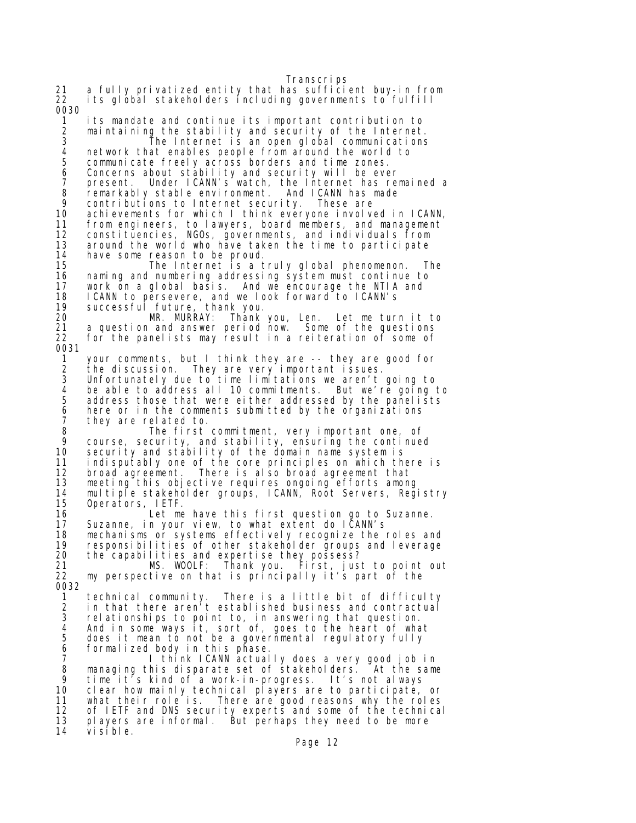Transcrips 21 a fully privatized entity that has sufficient buy-in from 22 its global stakeholders including governments to fulfill 0030 1 its mandate and continue its important contribution to 2 maintaining the stability and security of the Internet. 3 The Internet is an open global communications 4 network that enables people from around the world to<br>5 communicate freely across borders and time zones. 5 communicate freely across borders and time zones. 6 Concerns about stability and security will be ever 7 present. Under ICANN's watch, the Internet has remained a<br>8 remarkably stable environment. And ICANN has made 8 remarkably stable environment. And ICANN has made 9 contributions to Internet security. These are 10 achievements for which I think everyone involved in ICANN, 11 from engineers, to lawyers, board members, and management 12 constituencies, NGOs, governments, and individuals from 13 around the world who have taken the time to participate 14 have some reason to be proud. 15 The Internet is a truly global phenomenon. The 16 naming and numbering addressing system must continue to 17 work on a global basis. And we encourage the NTIA and 18 ICANN to persevere, and we look forward to ICANN's<br>19 successful future, thank you. 19 successful future, thank you. 20 MR. MURRAY: Thank you, Len. Let me turn it to 21 a question and answer period now. Some of the questions 22 for the panelists may result in a reiteration of some of 0031 1 your comments, but I think they are -- they are good for 2 the discussion. They are very important issues.<br>3 Unfortunately due to time limitations we aren't 3 Unfortunately due to time limitations we aren't going to 4 be able to address all 10 commitments. But we're going to<br>5 address those that were either addressed by the panelists 5 address those that were either addressed by the panelists 6 here or in the comments submitted by the organizations 7 they are related to.<br>8 The first 8 The first commitment, very important one, of<br>9 course, security, and stability, ensuring the continued 9 course, security, and stability, ensuring the continued<br>10 security and stability of the domain name system is security and stability of the domain name system is 11 indisputably one of the core principles on which there is broad agreement. There is also broad agreement that 13 meeting this objective requires ongoing efforts among 14 multiple stakeholder groups, ICANN, Root Servers, Registry 15 Operators, IETF. 16 Let me have this first question go to Suzanne. Suzanne, in your view, to what extent do ICANN's 18 mechanisms or systems effectively recognize the roles and 19 responsibilities of other stakeholder groups and leverage the capabilities and expertise they possess? 21 MS. WOOLF: Thank you. First, just to point out 22 my perspective on that is principally it's part of the 0032 1 technical community. There is a little bit of difficulty 2 in that there aren't established business and contractual<br>3 relationships to point to, in answering that question. 3 relationships to point to, in answering that question. 4 And in some ways it, sort of, goes to the heart of what<br>5 does it mean to not be a governmental regulatory fully 5 does it mean to not be a governmental regulatory fully<br>6 formalized body in this phase. 6 formalized body in this phase. 7 I think ICANN actually does a very good job in 8 managing this disparate set of stakeholders. At the same<br>9 time it's kind of a work-in-progress lt's not always 9 time it's kind of a work-in-progress. It's not always clear how mainly technical players are to participate, or 11 what their role is. There are good reasons why the roles 12 of IETF and DNS security experts and some of the technical 13 players are informal. But perhaps they need to be more 14 visible.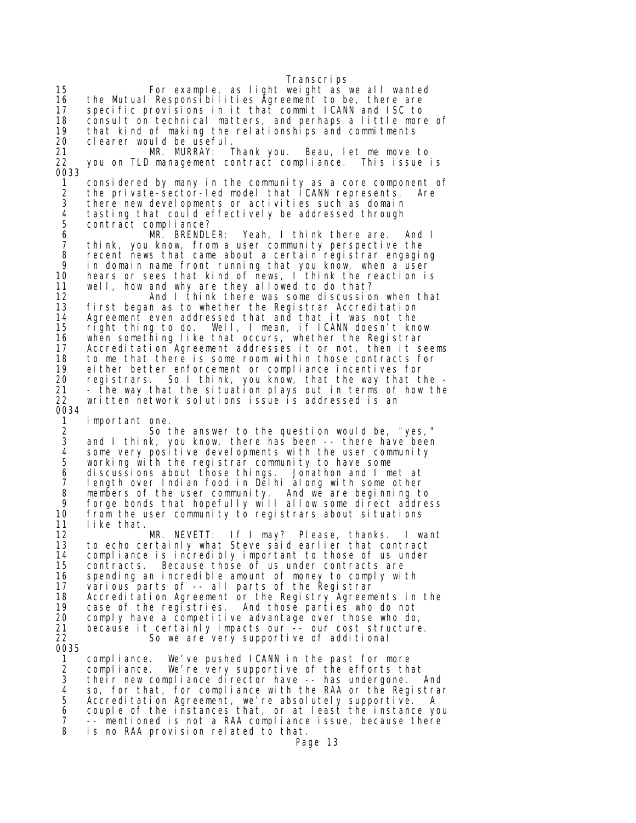15 For example, as light weight as we all wanted 16 the Mutual Responsibilities Agreement to be, there are 17 specific provisions in it that commit ICANN and ISC to<br>18 consult on technical matters, and perhaps a little more 18 consult on technical matters, and perhaps a little more of<br>19 that kind of making the relationships and commitments 19 that kind of making the relationships and commitments 20 clearer would be useful.<br>21 MR. MURRAY: 21 MR. MURRAY: Thank you. Beau, let me move to you on TLD management contract compliance. This issue is 0033 1 considered by many in the community as a core component of<br>2 the private-sector-led model that ICANN represents. Are 2 the private-sector-led model that ICANN represents.<br>3 there new developments or activities such as domain 3 there new developments or activities such as domain 4 tasting that could effectively be addressed through contract compliance? 6 MR. BRENDLER: Yeah, I think there are. And I 7 think, you know, from a user community perspective the 8 recent news that came about a certain registrar engaging 9 in domain name front running that you know, when a user hears or sees that kind of news, I think the reaction is 11 well, how and why are they allowed to do that? 12 And I think there was some discussion when that<br>13 first began as to whether the Registrar Accreditation 13 first began as to whether the Registrar Accreditation 14 Agreement even addressed that and that it was not the 15 right thing to do. Well, I mean, if ICANN doesn't know 16 when something like that occurs, whether the Registrar<br>17 Accreditation Agreement addresses it or not, then it so 17 Accreditation Agreement addresses it or not, then it seems<br>18 to me that there is some room within those contracts for 18 to me that there is some room within those contracts for 19 either better enforcement or compliance incentives for 20 registrars. So I think, you know, that the way that the - 21 - the way that the situation plays out in terms of how the<br>22 written network solutions issue is addressed is an written network solutions issue is addressed is an 0034<br>1 1 important one. 2 So the answer to the question would be, "yes," 3 and I think, you know, there has been -- there have been<br>4 some very positive developments with the user community 4 some very positive developments with the user community<br>5 working with the registrar community to have some 5 working with the registrar community to have some<br>6 discussions about those things. Jonathon and I m<br>7 length over Indian food in Delhi along with some 6 discussions about those things. Jonathon and I met at 7 length over Indian food in Delhi along with some other 8 members of the user community. And we are beginning to 9 forge bonds that hopefully will allow some direct address 10 from the user community to registrars about situations 11 like that. MR. NEVETT: If I may? Please, thanks. I want 13 to echo certainly what Steve said earlier that contract 14 compliance is incredibly important to those of us under 15 contracts. Because those of us under contracts are<br>16 spending an incredible amount of money to comply wi 16 spending an incredible amount of money to comply with 17 various parts of -- all parts of the Registrar 18 Accreditation Agreement or the Registry Agreements in the 19 case of the registries. And those parties who do not 20 comply have a competitive advantage over those who do,<br>21 because it certainly impacts our -- our cost structure 21 because it certainly impacts our -- our cost structure.<br>22 So we are very supportive of additional So we are very supportive of additional 0035 1 compliance. We've pushed ICANN in the past for more 2 compliance. We're very supportive of the efforts that<br>3 their new compliance director have -- has undergone. 3 their new compliance director have -- has undergone. And<br>4 so, for that, for compliance with the RAA or the Registral 4 so, for that, for compliance with the RAA or the Registrar 5 Accreditation Agreement, we're absolutely supportive. A

 6 couple of the instances that, or at least the instance you 7 -- mentioned is not a RAA compliance issue, because there is no RAA provision related to that.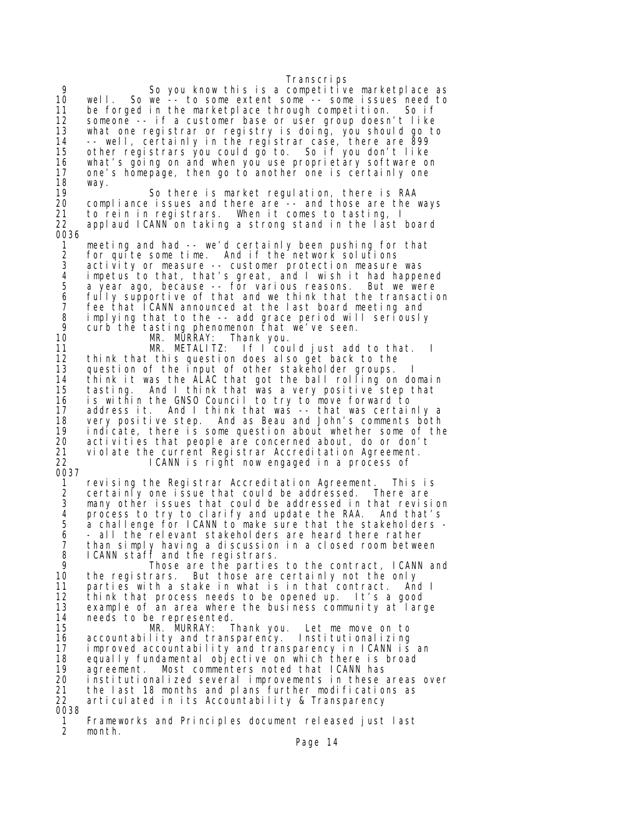9 So you know this is a competitive marketplace as 10 well. So we -- to some extent some -- some issues need to 11 be forged in the marketplace through competition. So if 12 someone -- if a customer base or user group doesn't like 13 what one registrar or registry is doing, you should go to 14 -- well, certainly in the registrar case, there are 899 15 other registrars you could go to. So if you don't like 16 what's going on and when you use proprietary software on<br>17 one's homepage, then go to another one is certainly one one's homepage, then go to another one is certainly one 18 way. 19 So there is market regulation, there is RAA 20 compliance issues and there are -- and those are the ways 21 to rein in registrars. When it comes to tasting, I 22 applaud ICANN on taking a strong stand in the last board 0036 1 meeting and had -- we'd certainly been pushing for that 2 for quite some time. And if the network solutions<br>3 activity or measure -- customer protection measure 3 activity or measure -- customer protection measure was 4 impetus to that, that's great, and I wish it had happened<br>5 a year ago, because -- for various reasons. But we were 5 a year ago, because -- for various reasons. But we were<br>6 fully supportive of that and we think that the transactio 6 fully supportive of that and we think that the transaction<br>7 fee that ICANN announced at the last board meeting and 7 fee that ICANN announced at the last board meeting and 8 implying that to the -- add grace period will seriously 9 curb the tasting phenomenon that we've seen. 10 MR. MURRAY: Thank you.<br>11 MR. METALITZ: If I cou 11 MR. METALITZ: If I could just add to that.<br>12 think that this question does also get back to the think that this question does also get back to the 13 question of the input of other stakeholder groups. 14 think it was the ALAC that got the ball rolling on domain And I think that was a very positive step that 16 is within the GNSO Council to try to move forward to 17 address it. And I think that was -- that was certainly a 18 very positive step. And as Beau and John's comments both indicate, there is some question about whether some of the 20 activities that people are concerned about, do or don't violate the current Registrar Accreditation Agreement. 22 ICANN is right now engaged in a process of 0037 1 revising the Registrar Accreditation Agreement. This is 2 certainly one issue that could be addressed. There are 3 many other issues that could be addressed in that revision 4 process to try to clarify and update the RAA. And that's 5 a challenge for ICANN to make sure that the stakeholders - 6 - all the relevant stakeholders are heard there rather 7 than simply having a discussion in a closed room between 8 ICANN staff and the registrars. 9 Those are the parties to the contract, ICANN and<br>10 the registrars. But those are certainly not the only the registrars. But those are certainly not the only 11 parties with a stake in what is in that contract. And I 12 think that process needs to be opened up. It's a good 13 example of an area where the business community at large<br>14 needs to be represented. 14 needs to be represented.<br>15 MR. MURRAY: 15 MR. MURRAY: Thank you. Let me move on to accountability and transparency. 17 improved accountability and transparency in ICANN is an 18 equally fundamental objective on which there is broad 19 agreement. Most commenters noted that ICANN has<br>20 institutionalized several improvements in these institutionalized several improvements in these areas over 21 the last 18 months and plans further modifications as 22 articulated in its Accountability & Transparency 0038 1 Frameworks and Principles document released just last month.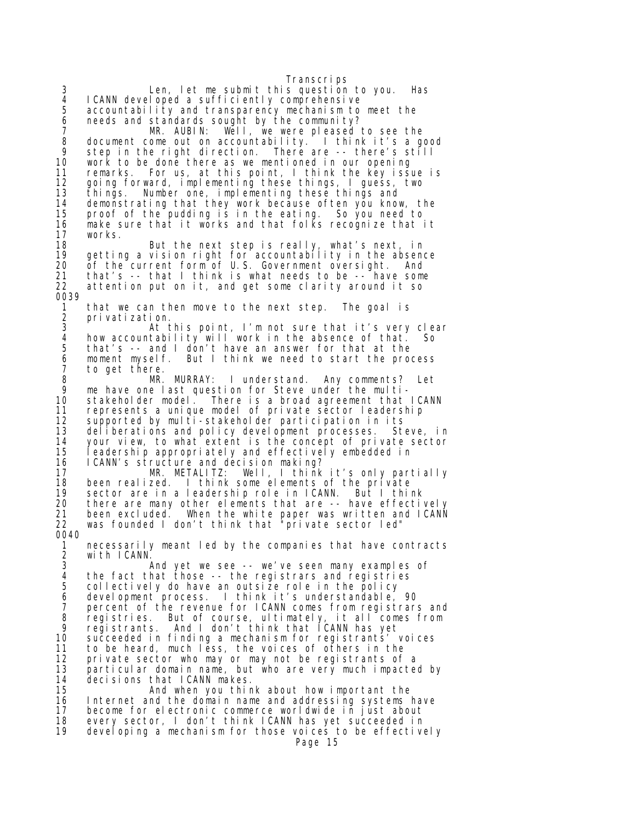Transcrips 3 Len, let me submit this question to you. Has 4 ICANN developed a sufficiently comprehensive 5 accountability and transparency mechanism to meet the<br>6 needs and standards sought by the community?<br>7 MR. AUBIN: Well, we were pleased to see the needs and standards sought by the community? 7 MR. AUBIN: Well, we were pleased to see the 8 document come out on accountability. I think it's a good 9 step in the right direction. There are -- there's still<br>10 work to be done there as we mentioned in our opening 10 work to be done there as we mentioned in our opening remarks. For us, at this point, I think the key issue is 12 going forward, implementing these things, I guess, two<br>13 things. Number one, implementing these things and 13 things. Number one, implementing these things and<br>14 demonstrating that they work because often you know 14 demonstrating that they work because often you know, the 15 proof of the pudding is in the eating. So you need to 16 make sure that it works and that folks recognize that it 17 works. 18 But the next step is really, what's next, in 19 getting a vision right for accountability in the absence 20 of the current form of U.S. Government oversight. And 21 that's -- that I think is what needs to be -- have some 22 attention put on it, and get some clarity around it so 0039 1 that we can then move to the next step. The goal is 2 privatization.<br>3 At 1 3 At this point, I'm not sure that it's very clear 4 how accountability will work in the absence of that. So<br>5 that's -- and I don't have an answer for that at the 5 that's -- and I don't have an answer for that at the<br>6 moment myself. But I think we need to start the prod<br>7 to get there. moment myself. But I think we need to start the process 7 to get there.<br>8 MR. 8 MR. MURRAY: I understand. Any comments? Let 9 me have one last question for Steve under the multi-<br>10 stakeholder model. There is a broad agreement that 10 stakeholder model. There is a broad agreement that ICANN 11 represents a unique model of private sector leadership 12 supported by multi-stakeholder participation in its 13 deliberations and policy development processes. Steve, in 14 your view, to what extent is the concept of private sector<br>15 leadership appropriately and effectively embedded in leadership appropriately and effectively embedded in 16 ICANN's structure and decision making? Well, I think it's only partially 18 been realized. I think some elements of the private 19 sector are in a leadership role in ICANN. But I think 20 there are many other elements that are -- have effectively 21 been excluded. When the white paper was written and ICANN 22 was founded I don't think that "private sector led" 0040 1 necessarily meant led by the companies that have contracts 2 with ICANN.<br>3 3 And yet we see -- we've seen many examples of 4 the fact that those -- the registrars and registries<br>5 collectively do have an outsize role in the policy 5 collectively do have an outsize role in the policy 6 development process. I think it's understandable, 90 7 percent of the revenue for ICANN comes from registrars and 8 registries. But of course, ultimately, it all comes from 9 registrants. And I don't think that ICANN has yet 10 succeeded in finding a mechanism for registrants' voices 11 to be heard, much less, the voices of others in the 12 private sector who may or may not be registrants of a 13 particular domain name, but who are very much impacted by 14 decisions that ICANN makes.<br>15 And when you thin And when you think about how important the 16 Internet and the domain name and addressing systems have<br>17 become for electronic commerce worldwide in just about become for electronic commerce worldwide in just about 18 every sector, I don't think ICANN has yet succeeded in 19 developing a mechanism for those voices to be effectively Page 15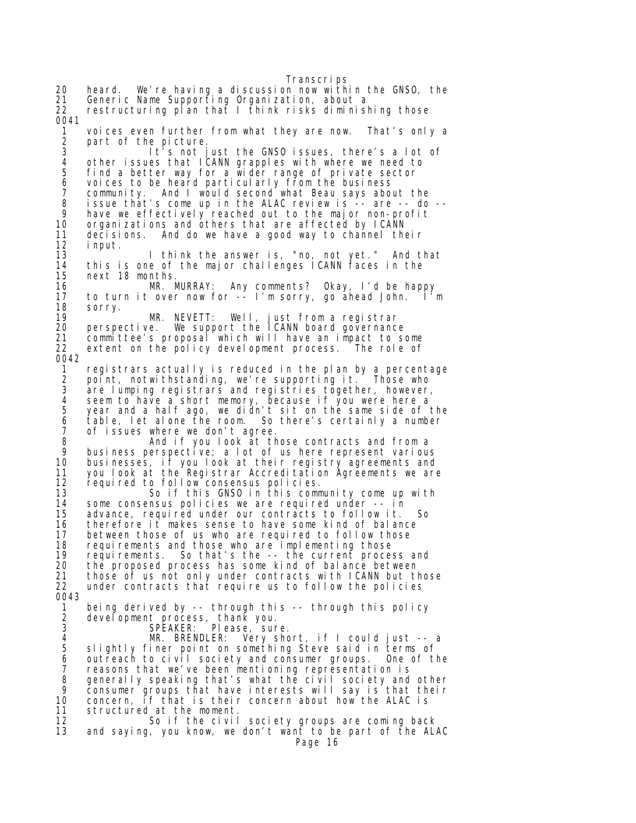Transcrips 20 heard. We're having a discussion now within the GNSO, the 21 Generic Name Supporting Organization, about a 22 restructuring plan that I think risks diminishing those 0041 1 voices even further from what they are now. That's only a 2 part of the picture.<br>3 lt's not i  $3$  It's not just the GNSO issues, there's a lot of  $4$  other issues that ICANN grapples with where we need to 4 other issues that ICANN grapples with where we need to<br>5 find a better way for a wider range of private sector 5 find a better way for a wider range of private sector 6 voices to be heard particularly from the business 7 community. And I would second what Beau says about the 8 issue that's come up in the ALAC review is -- are -- do --<br>9 have we effectively reached out to the maior non-profit 9 have we effectively reached out to the major non-profit<br>10 organizations and others that are affected by ICANN 10 organizations and others that are affected by ICANN 11 decisions. And do we have a good way to channel their 12 input. I think the answer is, "no, not yet." And that 14 this is one of the major challenges ICANN faces in the 15 next 18 months. 16 MR. MURRAY: Any comments? Okay, I'd be happy 17 to turn it over now for -- I'm sorry, go ahead John. I'm<br>18 sorry. 18 sorry.<br>19 19 MR. NEVETT: Well, just from a registrar 20 perspective. We support the ICANN board governance 21 committee's proposal which will have an impact to some<br>22 extent on the policy development process. The role of extent on the policy development process. 0042 1 registrars actually is reduced in the plan by a percentage<br>2 point, notwithstanding, we're supporting it. Those who<br>3 are lumping registrars and registries together, however, 2 point, notwithstanding, we're supporting it. Those who 3 are lumping registrars and registries together, however, 4 seem to have a short memory, because if you were here a 5 year and a half ago, we didn't sit on the same side of the 6 table, let alone the room. So there's certainly a number 6 table, let alone the room. So<br>7 of issues where we don't agree.<br>8 And if you look at th 8 And if you look at those contracts and from a 9 business perspective; a lot of us here represent various 10 businesses, if you look at their registry agreements and you look at the Registrar Accreditation Agreements we are 12 required to follow consensus policies.<br>13 So if this GNSO in this comm So if this GNSO in this community come up with 14 some consensus policies we are required under -- in 15 advance, required under our contracts to follow it. So<br>16 therefore it makes sense to have some kind of balance 16 therefore it makes sense to have some kind of balance between those of us who are required to follow those 18 requirements and those who are implementing those<br>19 requirements. So that's the -- the current proce 19 requirements. So that's the -- the current process and<br>20 the proposed process has some kind of balance between 20 the proposed process has some kind of balance between 21 those of us not only under contracts with ICANN but those 22 under contracts that require us to follow the policies 0043 1 being derived by -- through this -- through this policy 2 development process, thank you. 3 SPEAKER: Please, sure. 4 MR. BRENDLER: Very short, if I could just -- a 5 slightly finer point on something Steve said in terms of 6 outreach to civil society and consumer groups. One of the 7 reasons that we've been mentioning representation is<br>8 generally speaking that's what the civil society and 8 generally speaking that's what the civil society and other 9 consumer groups that have interests will say is that their 10 concern, if that is their concern about how the ALAC is 11 structured at the moment. So if the civil society groups are coming back 13 and saying, you know, we don't want to be part of the ALAC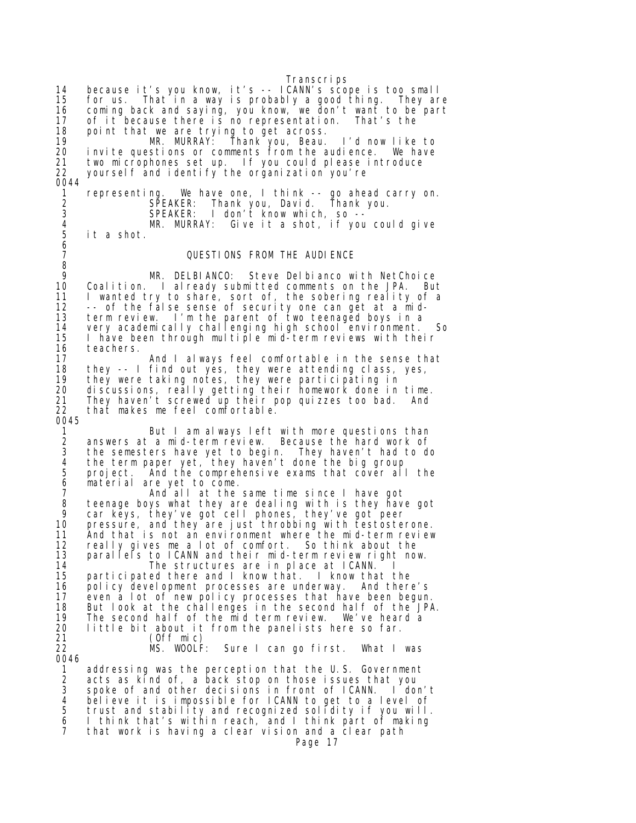Transcrips 14 because it's you know, it's -- ICANN's scope is too small 15 for us. That in a way is probably a good thing. They are 16 coming back and saying, you know, we don't want to be part<br>17 of it because there is no representation. That's the 17 of it because there is no representation. That's the<br>18 point that we are trying to get across. 18 point that we are trying to get across. 19 MR. MURRAY: Thank you, Beau. I'd now like to 20 invite questions or comments from the audience. We have 21 two microphones set up. If you could please introduce<br>22 yourself and identify the organization you're yourself and identify the organization you're 0044<br>1 1 representing. We have one, I think -- go ahead carry on. 2 SPEAKER: Thank you, David. Thank you. 3 SPEAKER: I don't know which, so -- 4 MR. MURRAY: Give it a shot, if you could give 5 it a shot.  $\frac{6}{7}$ QUESTIONS FROM THE AUDIENCE 8<br>9 9 MR. DELBIANCO: Steve Delbianco with NetChoice 10 Coalition. I already submitted comments on the JPA. But 11 I wanted try to share, sort of, the sobering reality of a<br>12 -- of the false sense of security one can get at a mid-12 -- of the false sense of security one can get at a mid-13 term review. I'm the parent of two teenaged boys in a 14 very academically challenging high school environment. So 15 I have been through multiple mid-term reviews with their<br>16 teachers. 16 teachers.<br>17 And I always feel comfortable in the sense that 18 they -- I find out yes, they were attending class, yes, 19 they were taking notes, they were participating in 20 discussions, really getting their homework done in time. 21 They haven't screwed up their pop quizzes too bad. And 22 that makes me feel comfortable. 0045 1 But I am always left with more questions than<br>2 answers at a mid-term review. Because the hard work of 2 answers at a mid-term review. Because the hard work of<br>3 the semesters have yet to begin. They haven't had to de 3 the semesters have yet to begin. They haven't had to do 4 the term paper yet, they haven't done the big group<br>5 project. And the comprehensive exams that cover all 5 project. And the comprehensive exams that cover all the<br>6 material are yet to come. 6 material are yet to come. 7 And all at the same time since I have got 8 teenage boys what they are dealing with is they have got 9 car keys, they've got cell phones, they've got peer 10 pressure, and they are just throbbing with testosterone. 11 And that is not an environment where the mid-term review 12 really gives me a lot of comfort. So think about the 13 parallels to ICANN and their mid-term review right now. 14 The structures are in place at ICANN.<br>15 participated there and I know that. I know tha participated there and I know that. I know that the 16 policy development processes are underway. And there's 17 even a lot of new policy processes that have been begun. 18 But look at the challenges in the second half of the JPA.<br>19 The second half of the mid term review. We've heard a 19 The second half of the mid term review. We've heard a<br>20 Iittle bit about it from the panelists here so far. 20 little bit about it from the panelists here so far. (Off mic)<br>MS. WOOLF: 22 MS. WOOLF: Sure I can go first. What I was 0046 1 addressing was the perception that the U.S. Government<br>2 acts as kind of, a back stop on those issues that you 2 acts as kind of, a back stop on those issues that you 3 spoke of and other decisions in front of ICANN.<br>4 believe it is impossible for ICANN to get to a 4 believe it is impossible for ICANN to get to a level of<br>5 trust and stability and recognized solidity if you will. 5 trust and stability and recognized solidity if you will. 6 I think that's within reach, and I think part of making that work is having a clear vision and a clear path Page 17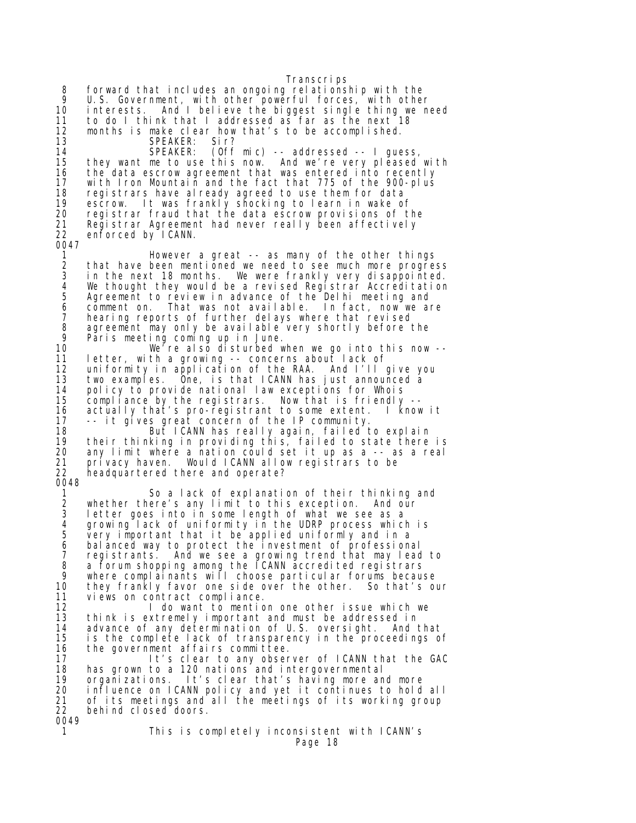Transcrips 8 forward that includes an ongoing relationship with the 9 U.S. Government, with other powerful forces, with other 10 interests. And I believe the biggest single thing we need 11 to do I think that I addressed as far as the next 18 12 months is make clear how that's to be accomplished. 13 SPEAKER: Sir?

14 SPEAKER: (Off mic) -- addressed -- I guess, 15 they want me to use this now. And we're very pleased with 16 the data escrow agreement that was entered into recently 17 with Iron Mountain and the fact that 775 of the 900-plus 18 registrars have already agreed to use them for data 19 escrow. It was frankly shocking to learn in wake of 20 registrar fraud that the data escrow provisions of the 21 Registrar Agreement had never really been affectively 22 enforced by ICANN.

0047

However a great -- as many of the other things 2 that have been mentioned we need to see much more progress<br>3 in the next 18 months. We were frankly very disappointed. 3 in the next 18 months. We were frankly very disappointed. 4 We thought they would be a revised Registrar Accreditation<br>5 Agreement to review in advance of the Delhi meeting and 5 Agreement to review in advance of the Delhi meeting and<br>6 comment on. That was not available. In fact, now we am<br>7 hearing reports of further delays where that revised comment on. That was not available. In fact, now we are 7 hearing reports of further delays where that revised 8 agreement may only be available very shortly before the 9 Paris meeting coming up in June.<br>10 We're also disturbed w

10 We<sup>r</sup>re also disturbed when we go into this now  $-1$ <br>11 letter, with a growing  $-$ - concerns about lack of letter, with a growing -- concerns about lack of 12 uniformity in application of the RAA. And I'll give you 13 two examples. One, is that ICANN has just announced a 14 policy to provide national law exceptions for Whois<br>15 compliance by the registrars. Now that is friendly 15 compliance by the registrars. Now that is friendly -- 16 actually that's pro-registrant to some extent. I know it 17 -- it gives great concern of the IP community.

18 But ICANN has really again, failed to explain 19 their thinking in providing this, failed to state there is<br>20 any limit where a nation could set it up as a -- as a real any limit where a nation could set it up as a -- as a real 21 privacy haven. Would ICANN allow registrars to be headquartered there and operate? 0048

 1 So a lack of explanation of their thinking and 2 whether there's any limit to this exception. And our 3 letter goes into in some length of what we see as a 4 growing lack of uniformity in the UDRP process which is<br>5 very important that it be applied uniformly and in a very important that it be applied uniformly and in a 6 balanced way to protect the investment of professional 7 registrants. And we see a growing trend that may lead to<br>8 a forum shopping among the ICANN accredited registrars 8 a forum shopping among the ICANN accredited registrars 9 where complainants will choose particular forums because 10 they frankly favor one side over the other. So that's our 11 views on contract compliance.

12 I do want to mention one other issue which we<br>13 think is extremely important and must be addressed in 13 think is extremely important and must be addressed in<br>14 advance of any determination of U.S. oversight. And 14 advance of any determination of U.S. oversight. And that<br>15 is the complete lack of transparency in the proceedings of is the complete lack of transparency in the proceedings of 16 the government affairs committee.

17 It's clear to any observer of ICANN that the GAC<br>18 has grown to a 120 nations and intergovernmental 18 has grown to a 120 nations and intergovernmental<br>19 organizations. It's clear that's having more an 19 organizations. It's clear that's having more and more 20 influence on ICANN policy and yet it continues to hold all 21 of its meetings and all the meetings of its working group 22 behind closed doors. 0049

 1 This is completely inconsistent with ICANN's Page 18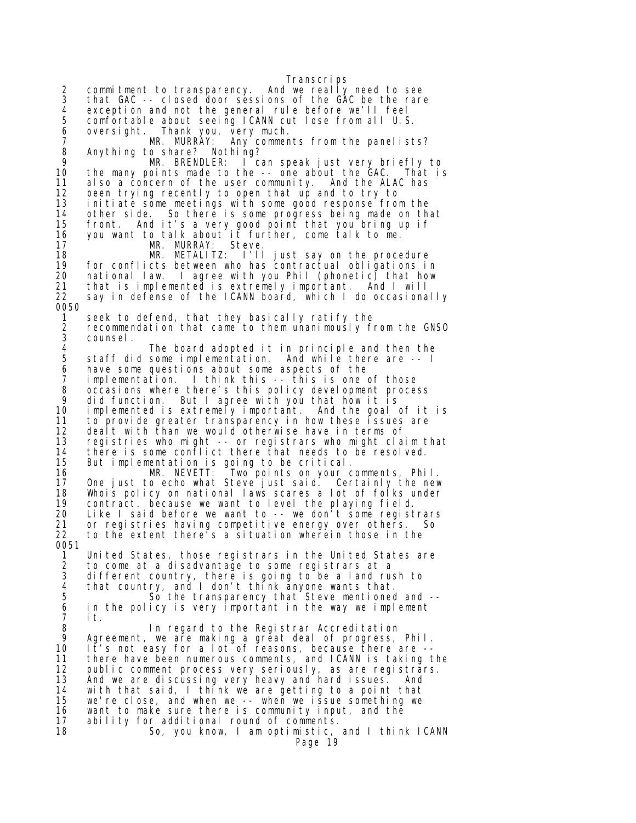Transcrips 2 commitment to transparency. And we really need to see 3 that GAC -- closed door sessions of the GAC be the rare 4 exception and not the general rule before we'll feel 5 comfortable about seeing ICANN cut lose from all U.S.<br>6 oversight. Thank you, very much. 6 oversight. Thank you, very much. 7 MR. MURRAY: Any comments from the panelists? 8 Anything to share? Nothing?<br>9 MR. BRENDLER: I c 9 MR. BRENDLER: I can speak just very briefly to<br>10 the many points made to the -- one about the GAC. That is the many points made to the  $-$ - one about the GAC. 11 also a concern of the user community. And the ALAC has<br>12 been trying recently to open that up and to try to 12 been trying recently to open that up and to try to initiate some meetings with some good response from the 14 other side. So there is some progress being made on that 15 front. And it's a very good point that you bring up if 16 you want to talk about it further, come talk to me. 17 MR. MURRAY: Steve.<br>18 MR. METALITZ: I'll<br>19 for conflicts bet I'll just say on the procedure 19 for conflicts between who has contractual obligations in 20 national law. I agree with you Phil (phonetic) that how 21 that is implemented is extremely important. And I will say in defense of the ICANN board, which I do occasionally 0050 1 seek to defend, that they basically ratify the 2 recommendation that came to them unanimously from the GNSO<br>3 counsel. 3 counsel. 4 The board adopted it in principle and then the<br>5 staff did some implementation. And while there are -- I 5 staff did some implementation. And while there are -- I 6 have some questions about some aspects of the 7 implementation. I think this -- this is one of those 8 occasions where there's this policy development process 9 did function. But I agree with you that how it is 10 implemented is extremely important. And the goal of it is 11 to provide greater transparency in how these issues are<br>12 dealt with than we would otherwise have in terms of dealt with than we would otherwise have in terms of 13 registries who might -- or registrars who might claim that 14 there is some conflict there that needs to be resolved.<br>15 But implementation is going to be critical. .But implementation is going to be critical<br>MR. NEVETT: Two points on your c 16 MR. NEVETT: Two points on your comments, Phil. 17 One just to echo what Steve just said. Certainly the new 18 Whois policy on national laws scares a lot of folks under 19 contract. because we want to level the playing field.<br>20 Like I said before we want to -- we don't some regist 20 Like I said before we want to -- we don't some registrars<br>21 or registries having competitive energy over others. So 21 or registries having competitive energy over others. So to the extent there's a situation wherein those in the 0051 1 United States, those registrars in the United States are<br>2 to come at a disadvantage to some registrars at a<br>3 different country, there is going to be a land rush to 2 to come at a disadvantage to some registrars at a 3 different country, there is going to be a land rush to 4 that country, and I don't think anyone wants that. 5 So the transparency that Steve mentioned and -- 6 in the policy is very important in the way we implement 7 it. 8 In regard to the Registrar Accreditation<br>9 Agreement, we are making a great deal of progress, 9 Agreement, we are making a great deal of progress, Phil.<br>10 It's not easy for a lot of reasons, because there are --10 It's not easy for a lot of reasons, because there are --<br>11 there have been numerous comments, and ICANN is taking t there have been numerous comments, and ICANN is taking the 12 public comment process very seriously, as are registrars.<br>13 And we are discussing very heavy and hard issues. And 13 And we are discussing very heavy and hard issues. And 14 with that said, I think we are getting to a point that 15 we're close, and when we -- when we issue something we 16 want to make sure there is community input, and the ability for additional round of comments. 18 So, you know, I am optimistic, and I think ICANN Page 19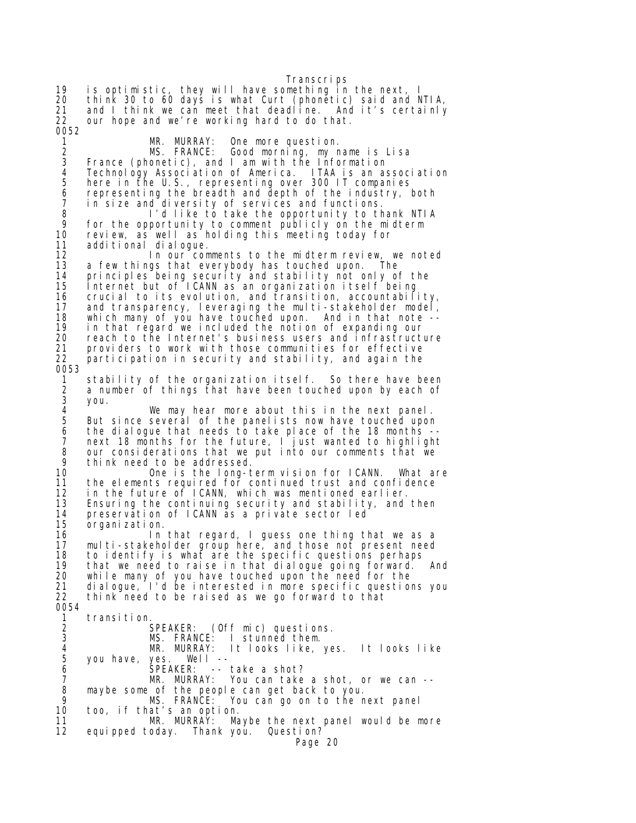Transcrips 19 is optimistic, they will have something in the next, I 20 think 30 to 60 days is what Curt (phonetic) said and NTIA, 21 and I think we can meet that deadline. And it's certainly<br>22 our hope and we're working hard to do that. our hope and we're working hard to do that. 0052 1 MR. MURRAY: One more question. 2 MS. FRANCE: Good morning, my name is Lisa<br>3 France (phonetic), and I am with the Information 3 France (phonetic), and I am with the Information 4 Technology Association of America. ITAA is an association 5 here in the U.S., representing over 300 IT companies<br>6 representing the breadth and depth of the industry, I 6 representing the breadth and depth of the industry, both<br>7 in size and diversity of services and functions. 7 in size and diversity of services and functions. 8 I'd like to take the opportunity to thank NTIA 9 for the opportunity to comment publicly on the midterm 10 review, as well as holding this meeting today for 11 additional dialogue.<br>12 In our com In our comments to the midterm review, we noted<br>lgs that everybody has touched upon. The 13 a few things that everybody has touched upon. 14 principles being security and stability not only of the 15 Internet but of ICANN as an organization itself being<br>16 crucial to its evolution, and transition, accountabil 16 crucial to its evolution, and transition, accountability,<br>17 and transparency, leveraging the multi-stakeholder model, 17 and transparency, leveraging the multi-stakeholder model, 18 which many of you have touched upon. And in that note -- 19 in that regard we included the notion of expanding our 20 reach to the Internet's business users and infrastructure<br>21 providers to work with those communities for effective 21 providers to work with those communities for effective<br>22 participation in security and stability, and again the participation in security and stability, and again the 0053 1 stability of the organization itself. So there have been 2 a number of things that have been touched upon by each of<br>3 you. 3 you. 4 We may hear more about this in the next panel.<br>5 But since several of the panelists now have touched upon 5 But since several of the panelists now have touched upon<br>6 the dialogue that needs to take place of the 18 months -- 6 the dialogue that needs to take place of the 18 months -- 7 next 18 months for the future, I just wanted to highlight 8 our considerations that we put into our comments that we 9 think need to be addressed.<br>10 0ne is the long-t 10 One is the long-term vision for ICANN. What are 11 the elements required for continued trust and confidence<br>12 in the future of ICANN, which was mentioned earlier. 12 in the future of ICANN, which was mentioned earlier. 13 Ensuring the continuing security and stability, and then 14 preservation of ICANN as a private sector led<sup>7</sup><br>15 organization. organi zati on. 16 In that regard, I guess one thing that we as a 17 multi-stakeholder group here, and those not present need 18 to identify is what are the specific questions perhaps 19 that we need to raise in that dialogue going forward. And 20 while many of you have touched upon the need for the 21 dialogue, I'd be interested in more specific questions you 22 think need to be raised as we go forward to that 0054<br>1 1 transition.<br>2 SPEAKER: 2 SPEAKER: (Off mic) questions.<br>3 MS. FRANCE: I stunned them. 3 MS. FRANCE: I stunned them. 4 MR. MURRAY: It looks like, yes. It looks like 5 you have, yes. Well --<br>6 SPEAKER: -- 6 SPEAKER: -- take a shot? 7 MR. MURRAY: You can take a shot, or we can -- 8 maybe some of the people can get back to you. 9 MS. FRANCE: You can go on to the next panel 10 too, if that's an option. 11 MR. MURRAY: Maybe the next panel would be more 12 equipped today. Thank you. Question? Page 20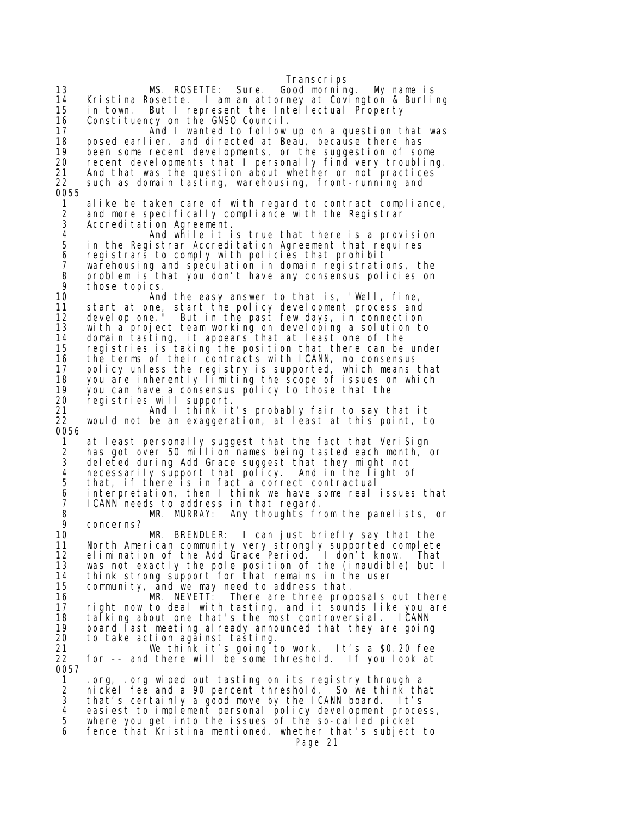Transcrips 13 MS. ROSETTE: Sure. Good morning. My name is 14 Kristina Rosette. I am an attorney at Covington & Burling in town. But I represent the Intellectual Property 16 Constituency on the GNSO Council.<br>17 And I wanted to follow And I wanted to follow up on a question that was 18 posed earlier, and directed at Beau, because there has<br>19 been some recent developments, or the suggestion of som 19 been some recent developments, or the suggestion of some 20 recent developments that I personally find very troubling. And that was the question about whether or not practices 22 such as domain tasting, warehousing, front-running and 0055 1 alike be taken care of with regard to contract compliance,<br>2 and more specifically compliance with the Registrar 2 and more specifically compliance with the Registrar Accreditation Agreement. 4 And while it is true that there is a provision 5 in the Registrar Accreditation Agreement that requires<br>6 registrars to comply with policies that prohibit 6 registrars to comply with policies that prohibit<br>7 warehousing and speculation in domain registration 7 warehousing and speculation in domain registrations, the 8 problem is that you don't have any consensus policies on 9 those topics.<br>10 And 10 **And the easy answer to that is, "Well, fine,** the start at one, start the policy development process and 11 start at one, start the policy development process and 12 develop one." But in the past few days, in connection 13 with a project team working on developing a solution to 14 domain tasting, it appears that at least one of the 15 registries is taking the position that there can be under 16 the terms of their contracts with ICANN, no consensus 17 policy unless the registry is supported, which means that 18 you are inherently limiting the scope of issues on which 19 you can have a consensus policy to those that the 20 registries will support. 21 And I think it's probably fair to say that it 22 would not be an exaggeration, at least at this point, to 0056 1 at least personally suggest that the fact that VeriSign<br>2 has got over 50 million names being tasted each month, 2 has got over 50 million names being tasted each month, or<br>3 deleted during Add Grace suggest that they might not 3 deleted during Add Grace suggest that they might not 4 necessarily support that policy. And in the light of<br>5 that, if there is in fact a correct contractual 5 that, if there is in fact a correct contractual<br>6 interpretation, then I think we have some real<br>7 ICANN needs to address in that regard. interpretation, then I think we have some real issues that 7 ICANN needs to address in that regard.<br>8 MR. MURRAY: Any thoughts fr 8 MR. MURRAY: Any thoughts from the panelists, or 9 concerns?<br>10 MR. BRENDLER: I can just briefly say that the 11 North American community very strongly supported complete 12 elimination of the Add Grace Period. I don't know. That 13 was not exactly the pole position of the (inaudible) but I 14 think strong support for that remains in the user 15 community, and we may need to address that. 16 MR. NEVETT: There are three proposals out there 17 right now to deal with tasting, and it sounds like you are 18 talking about one that's the most controversial. ICANN<br>19 board last meeting already announced that they are going 19 board last meeting already announced that they are going<br>20 to take action against tasting. to take action against tasting. 21 We think it's going to work. It's a \$0.20 fee 22 for -- and there will be some threshold. If you look at 0057 1 .org, .org wiped out tasting on its registry through a 2 nickel fee and a 90 percent threshold. So we think that 3 that's certainly a good move by the ICANN board. It's 4 easiest to implement personal policy development process,<br>5 where you get into the issues of the so-called picket where you get into the issues of the so-called picket 6 fence that Kristina mentioned, whether that's subject to Page 21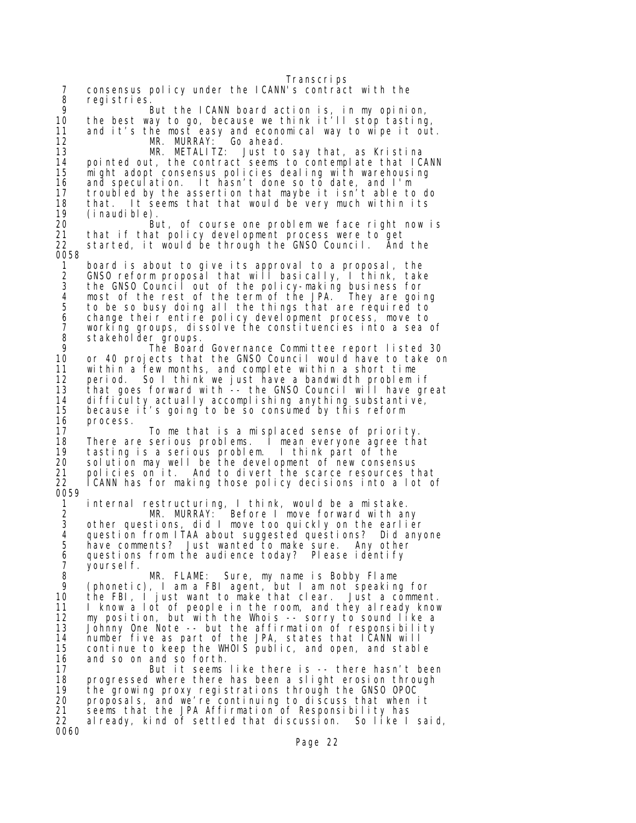Transcrips 7 consensus policy under the ICANN's contract with the 8 registries.<br>ا 9 But the ICANN board action is, in my opinion,<br>10 the best way to go, because we think it'll stop tasting 10 the best way to go, because we think it'll stop tasting,<br>11 and it's the most easy and economical way to wipe it out 11 and it's the most easy and economical way to wipe it out. 12 MR. MURRAY: Go ahead. 13 MR. METALITZ: Just to say that, as Kristina 14 pointed out, the contract seems to contemplate that ICANN<br>15 might adopt consensus policies dealing with warehousing might adopt consensus policies dealing with warehousing 16 and speculation. It hasn't done so to date, and I'm 17 troubled by the assertion that maybe it isn't able to do 18 that. It seems that that would be very much within its<br>19 (inaudible). (i naudi ble). 20 But, of course one problem we face right now is 21 that if that policy development process were to get started, it would be through the GNSO Council. And the 0058 1 board is about to give its approval to a proposal, the 2 GNSO reform proposal that will basically, I think, take 3 the GNSO Council out of the policy-making business for 4 most of the rest of the term of the JPA. They are going<br>5 to be so busy doing all the things that are required to to be so busy doing all the things that are required to 6 change their entire policy development process, move to<br>7 working groups, dissolve the constituencies into a sea 7 working groups, dissolve the constituencies into a sea of 8 stakeholder groups.<br>9 The Board 9 The Board Governance Committee report listed 30<br>10 or 40 projects that the GNSO Council would have to take or 10 or 40 projects that the GNSO Council would have to take on 11 within a few months, and complete within a short time 12 period. So I think we just have a bandwidth problem if 13 that goes forward with -- the GNSO Council will have great<br>14 difficulty actually accomplishing anything substantive, 14 difficulty actually accomplishing anything substantive, 15 because it's going to be so consumed by this reform 16 process.<br>17 17 To me that is a misplaced sense of priority. 18 There are serious problems. I mean everyone agree that 19 tasting is a serious problem. I think part of the 20 solution may well be the development of new consensus policies on it. And to divert the scarce resources that 22 ICANN has for making those policy decisions into a lot of 0059 1 internal restructuring, I think, would be a mistake. 2 MR. MURRAY: Before I move forward with any 3 other questions, did I move too quickly on the earlier 4 question from ITAA about suggested questions? Did anyone 5 have comments? Just wanted to make sure. Any other 6 questions from the audience today? Please identify<br>7 yourself. 7 yourself. 8 MR. FLAME: Sure, my name is Bobby Flame 9 (phonetic), I am a FBI agent, but I am not speaking for 10 the FBI, I just want to make that clear. Just a comment. 11 I know a lot of people in the room, and they already know 12 my position, but with the Whois -- sorry to sound like a 13 Johnny One Note -- but the affirmation of responsibility<br>14 number five as part of the JPA, states that ICANN will number five as part of the JPA, states that ICANN will 15 continue to keep the WHOIS public, and open, and stable 16 and so on and so forth.<br>17 But it seems 17 But it seems like there is -- there hasn't been 18 progressed where there has been a slight erosion through 19 the growing proxy registrations through the GNSO OPOC 20 proposals, and we're continuing to discuss that when it 21 seems that the JPA Affirmation of Responsibility has 22 already, kind of settled that discussion. So like I said, 0060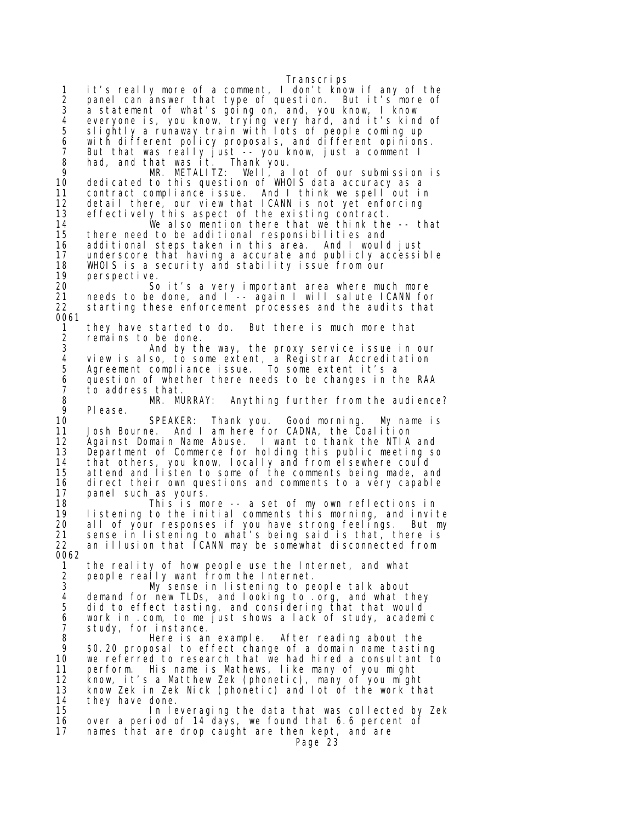Transcrips it's really more of a comment, I don't know if any of the 2 panel can answer that type of question. But it's more of<br>3 a statement of what's going on, and, you know. I know 3 a statement of what's going on, and, you know, I know 4 everyone is, you know, trying very hard, and it's kind of 5 slightly a runaway train with lots of people coming up 6 with different policy proposals, and different opinions. 7 But that was really just -- you know, just a comment I 8 had, and that was it. Thank you. 9 MR. METALITZ: Well, a lot of our submission is 10 dedicated to this question of WHOIS data accuracy as a 11 contract compliance issue. And I think we spell out in detail there, our view that ICANN is not yet enforcing 13 effectively this aspect of the existing contract. 14 We also mention there that we think the -- that 15 there need to be additional responsibilities and 16 additional steps taken in this area. And I would just underscore that having a accurate and publicly accessible 18 WHOIS is a security and stability issue from our 19 perspective.<br>20 Sc 20 So it's a very important area where much more 21 needs to be done, and I<sup>-</sup>-- again I will salute ICANN for<br>22 starting these enforcement processes and the audits that starting these enforcement processes and the audits that 0061 1 they have started to do. But there is much more that<br>2 remains to be done. 2 remains to be done.<br>3 And by th 3 And by the way, the proxy service issue in our 4 view is also, to some extent, a Registrar Accreditation 5 Agreement compliance issue. To some extent it's a 6 question of whether there needs to be changes in the RAA 7 to address that. 8 MR. MURRAY: Anything further from the audience? 9 Please. 10 SPEAKER: Thank you. Good morning. My name is 11 Josh Bourne. And I am here for CADNA, the Coalition 12 Against Domain Name Abuse. I want to thank the NTIA and<br>13 Department of Commerce for holding this public meeting so 13 Department of Commerce for holding this public meeting so 14 that others, you know, locally and from elsewhere could 15 attend and listen to some of the comments being made, and 16 direct their own questions and comments to a very capable<br>17 panel such as yours. panel such as yours. 18 This is more -- a set of my own reflections in<br>19 Iistening to the initial comments this morning, and invi 19 listening to the initial comments this morning, and invite 20 all of your responses if you have strong feelings. But my 21 sense in listening to what's being said is that, there is 22 an illusion that ICANN may be somewhat disconnected from 0062 1 the reality of how people use the Internet, and what 2 people really want from the Internet. 3 My sense in listening to people talk about 4 demand for new TLDs, and looking to .org, and what they<br>5 did to effect tasting, and considering that that would 5 did to effect tasting, and considering that that would<br>6 work in .com, to me just shows a lack of study, academi 6 work in .com, to me just shows a lack of study, academic<br>7 study, for instance. 7 study, for instance. 8 There is an example. After reading about the<br>19 \$0.20 proposal to effect change of a domain name tasti 9 \$0.20 proposal to effect change of a domain name tasting 10 we referred to research that we had hired a consultant to<br>11 perform. His name is Mathews, like many of you might 11 perform. His name is Mathews, like many of you might 12 know, it's a Matthew Zek (phonetic), many of you might 13 know Zek in Zek Nick (phonetic) and lot of the work that 14 they have done.<br>15 In Ion In leveraging the data that was collected by Zek 16 over a period of 14 days, we found that 6.6 percent of 17 names that are drop caught are then kept, and are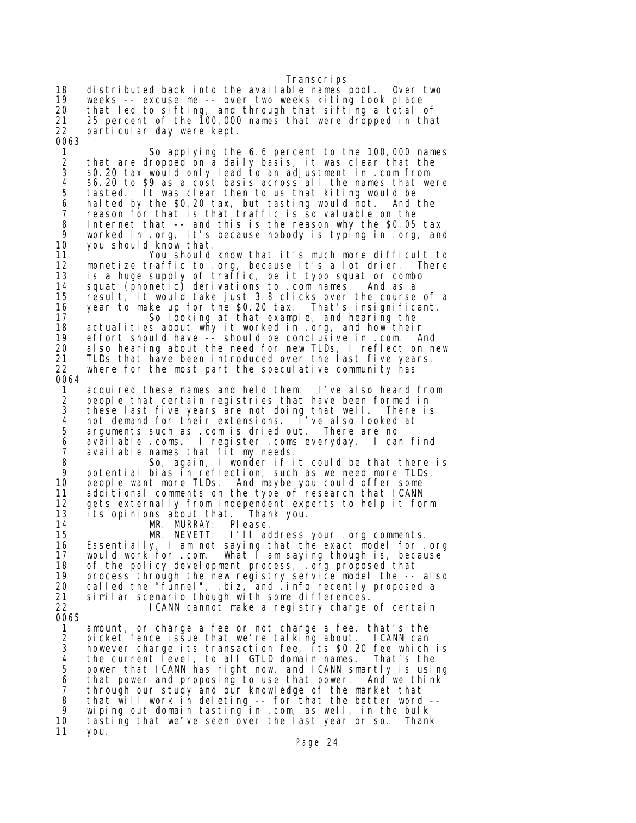Transcrips 18 distributed back into the available names pool. Over two 19 weeks -- excuse me -- over two weeks kiting took place 20 that led to sifting, and through that sifting a total of 21 25 percent of the 100,000 names that were dropped in that particular day were kept. 0063 1 So applying the 6.6 percent to the 100,000 names<br>2 that are dropped on a daily basis, it was clear that the 2 that are dropped on a daily basis, it was clear that the<br>3 \$0.20 tax would only lead to an adjustment in .com from 3 \$0.20 tax would only lead to an adjustment in .com from 4 \$6.20 to \$9 as a cost basis across all the names that were 5 tasted. It was clear then to us that kiting would be<br>6 halted by the \$0.20 tax, but tasting would not. And<br>7 reason for that is that traffic is so valuable on the 6 halted by the \$0.20 tax, but tasting would not. And the 7 reason for that is that traffic is so valuable on the 8 Internet that -- and this is the reason why the \$0.05 tax 9 worked in .org, it's because nobody is typing in .org, and 10 you should know that.<br>11 You should 11 You should know that it's much more difficult to<br>12 monetize traffic to .org, because it's a lot drier. There 12 monetize traffic to .org, because it's a lot drier. There 13 is a huge supply of traffic, be it typo squat or combo 14 squat (phonetic) derivations to .com names. And as a 15 result, it would take just 3.8 clicks over the course of a 16 year to make up for the \$0.20 tax. That's insignificant. 17 So looking at that example, and hearing the 18 actualities about why it worked in .org, and how their 19 effort should have -- should be conclusive in .com. And 20 also hearing about the need for new TLDs, I reflect on new<br>21 TLDs that have been introduced over the last five years, TLDs that have been introduced over the last five years, 22 where for the most part the speculative community has 0064 1 acquired these names and held them. I've also heard from 2 people that certain registries that have been formed in 3 these last five years are not doing that well. There is 4 not demand for their extensions. I've also looked at 5 arguments such as .com is dried out. There are no 6 available .coms. I register .coms everyday. I can find 7 available names that fit my needs.<br>8 So, again, I wonder if i 8 So, again, I wonder if it could be that there is 9 potential bias in reflection, such as we need more TLDs,<br>10 people want more TLDs. And maybe you could offer some 10 people want more TLDs. And maybe you could offer some 11 additional comments on the type of research that ICANN 12 gets externally from independent experts to help it form 13 its opinions about that. Thank you. 14 MR. MURRAY:<br>15 MR. NEVETT: I'll address your .org comments. 16 Essentially, I am not saying that the exact model for .org 17 would work for .com. What I am saying though is, because 18 of the policy development process, .org proposed that<br>19 process through the new registry service model the --19 process through the new registry service model the -- also 20 called the "funnel", .biz, and .info recently proposed a 21 similar scenario though with some differences. 22 ICANN cannot make a registry charge of certain 0065 1 amount, or charge a fee or not charge a fee, that's the 2 picket fence issue that we're talking about. ICANN can 3 however charge its transaction fee, its \$0.20 fee which is<br>4 the current level, to all GTLD domain names. That's the 4 the current level, to all GTLD domain names. That's the<br>5 power that ICANN has right now, and ICANN smartly is usin 5 power that ICANN has right now, and ICANN smartly is using<br>6 that power and proposing to use that power. And we think 6 that power and proposing to use that power. And we think 7 through our study and our knowledge of the market that 8 that will work in deleting -- for that the better word -- 9 wiping out domain tasting in .com, as well, in the bulk 10 tasting that we've seen over the last year or so. Thank 11 you.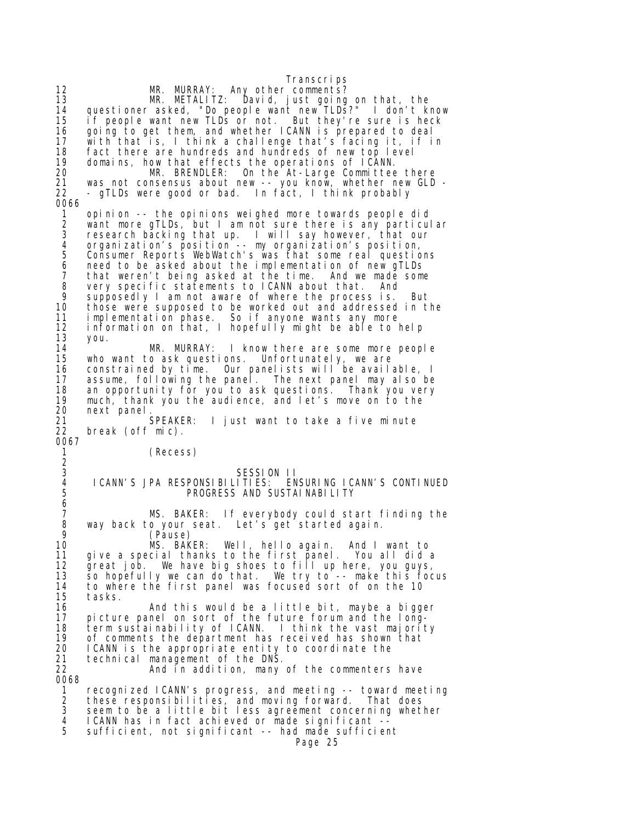Transcrips 12 MR. MURRAY: Any other comments? 13 MR. METALITZ: David, just going on that, the 14 questioner asked, "Do people want new TLDs?" I don't know<br>15 if people want new TLDs or not. But they're sure is heck 15 if people want new TLDs or not. But they're sure is heck 16 going to get them, and whether ICANN is prepared to deal 17 with that is, I think a challenge that's facing it, if in 18 fact there are hundreds and hundreds of new top level<br>19 domains, how that effects the operations of ICANN. 19 domains, how that effects the operations of ICANN.<br>20 MR. BRENDLER: On the At-Large Committee 20 MR. BRENDLER: On the At-Large Committee there 21 was not consensus about new -- you know, whether new GLD -<br>22 - gTLDs were good or bad. In fact, I think probably - gTLDs were good or bad. In fact, I think probably 0066 1 opinion -- the opinions weighed more towards people did 2 want more gTLDs, but I am not sure there is any particular<br>3 research backing that up. I will say however, that our 3 research backing that up. I will say however, that our 4 organization's position -- my organization's position, 5 Consumer Reports WebWatch's was that some real questions<br>6 need to be asked about the implementation of new gTLDs<br>7 that weren't being asked at the time. And we made some heed to be asked about the implementation of new gTLDs 7 that weren't being asked at the time. And we made some 8 very specific statements to ICANN about that. And<br>9 supposedly I am not aware of where the process is. 9 supposedly I am not aware of where the process is. But<br>10 those were supposed to be worked out and addressed in th those were supposed to be worked out and addressed in the 11 implementation phase. So if anyone wants any more 12 information on that, I hopefully might be able to help 13 you. 14 The MR. MURRAY: I know there are some more people<br>15 who want to ask questions. Unfortunately, we are who want to ask questions. Unfortunately, we are 16 constrained by time. Our panelists will be available, I 17 assume, following the panel. The next panel may also be 18 an opportunity for you to ask questions. Thank you very<br>19 much, thank you the audience, and let's move on to the 19 much, thank you the audience, and let's move on to the 20 next panel. 20 next panel. 21 SPEAKER: I just want to take a five minute break (off mic). 0067<br>1 (Recess)  $\frac{2}{3}$ 3 SESSION II<br>4 ICANN'S JPA RESPONSIBILITIES: EN 4 ICANN'S JPA RESPONSIBILITIES: ENSURING ICANN'S CONTINUED PROGRESS AND SUSTAINABILITY 6<br>7 7 MS. BAKER: If everybody could start finding the 8 way back to your seat. Let's get started again. 9 (Pause)<br>10 MS. BAK 10 MS. BAKER: Well, hello again. And I want to 11 give a special thanks to the first panel. You all did a 12 great job. We have big shoes to fill up here, you guys, 13 so hopefully we can do that. We try to -- make this focus 14 to where the first panel was focused sort of on the 10 15 tasks. 16 And this would be a little bit, maybe a bigger 17 picture panel on sort of the future forum and the long-18 term sustainability of ICANN. I think the vast majority<br>19 of comments the department has received has shown that of comments the department has received has shown that 20 ICANN is the appropriate entity to coordinate the 21 technical management of the DNS. 22 And in addition, many of the commenters have 0068 1 recognized ICANN's progress, and meeting -- toward meeting 2 these responsibilities, and moving forward. That does 3 seem to be a little bit less agreement concerning whether<br>4 ICANN has in fact achieved or made significant -- 4 ICANN has in fact achieved or made significant -- 5 sufficient, not significant -- had made sufficient Page 25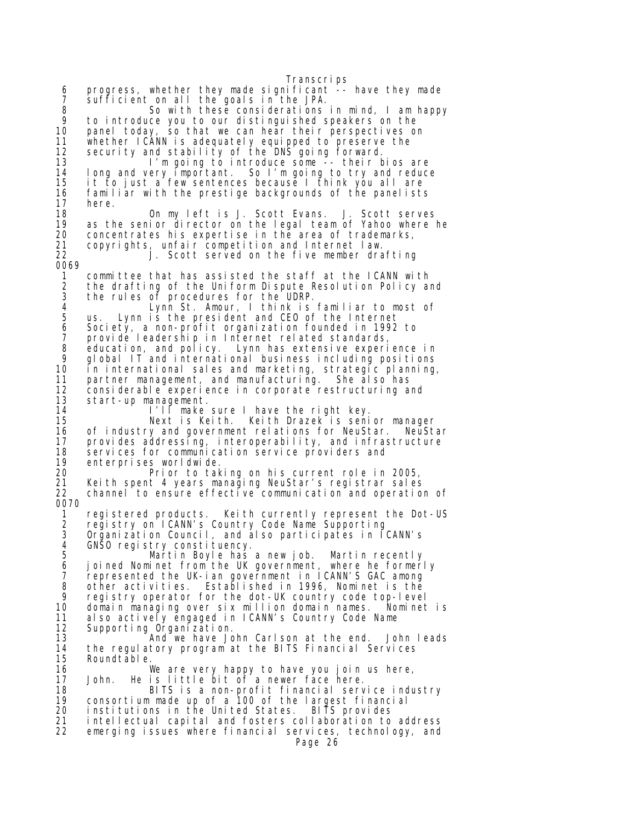Transcrips 6 progress, whether they made significant -- have they made 7 sufficient on all the goals in the JPA.<br>8 So with these considerations 8 So with these considerations in mind, I am happy<br>9 to introduce you to our distinguished speakers on the 9 to introduce you to our distinguished speakers on the 10 panel today, so that we can hear their perspectives on 11 whether ICANN is adequately equipped to preserve the 12 security and stability of the DNS going forward. 13 I'm going to introduce some -- their bios are<br>14 Iong and very important. So I'm going to try and reduce 14 long and very important. So I'm going to try and reduce it to just a few sentences because I think you all are 16 familiar with the prestige backgrounds of the panelists here. 18 On my left is J. Scott Evans. J. Scott serves 19 as the senior director on the legal team of Yahoo where he 20 concentrates his expertise in the area of trademarks,<br>21 copyrights, unfair competition and Internet law. 21 copyrights, unfair competition and Internet law. J. Scott served on the five member drafting 0069 1 committee that has assisted the staff at the ICANN with 2 the drafting of the Uniform Dispute Resolution Policy and<br>3 the rules of procedures for the UDRP. 3 the rules of procedures for the UDRP. 4 Lynn St. Amour, I think is familiar to most of 5 us. Lynn is the president and CEO of the Internet 6 Society, a non-profit organization founded in 1992 to<br>7 provide leadership in Internet related standards. 7 provide leadership in Internet related standards,<br>8 education, and policy. Lynn has extensive experi 8 education, and policy. Lynn has extensive experience in 9 global IT and international business including positions<br>10 in international sales and marketing, strategic planning, in international sales and marketing, strategic planning, 11 partner management, and manufacturing. She also has 12 considerable experience in corporate restructuring and<br>13 start-up management. 13 start-up management.<br>14 11 II make 14 I'll make sure I have the right key.<br>15 Mext is Keith. Keith Drazek is seni Keith Drazek is senior manager 16 of industry and government relations for NeuStar. NeuStar<br>17 provides addressing, interoperability, and infrastructure 17 provides addressing, interoperability, and infrastructure<br>18 services for communication service providers and 18 services for communication service providers and 19 enterprises worldwide.<br>20 Prior to tak 20 Prior to taking on his current role in 2005, Keith spent 4 years managing NeuStar's registrar sales 22 channel to ensure effective communication and operation of 0070 1 registered products. Keith currently represent the Dot-US<br>2 registry on ICANN's Country Code Name Supporting<br>3 Organization Council, and also participates in ICANN's registry on ICANN's Country Code Name Supporting Organization Council, and also participates in ICANN's 4 GNSO registry constituency.<br>5 Martin Boyle has 5 Martin Boyle has a new job. Martin recently 6 joined Nominet from the UK government, where he formerly 7 represented the UK-ian government in ICANN'S GAC among 8 other activities. Established in 1996, Nominet is the 9 registry operator for the dot-UK country code top-level 10 domain managing over six million domain names. Nominet is<br>11 also actively engaged in ICANN's Country Code Name 11 also actively engaged in ICANN's Country Code Name<br>12 Supporting Organization. 12 Supporting Organization.<br>13 And we have Jo And we have John Carlson at the end. John leads 14 the regulatory program at the BITS Financial Services Roundtable. 16 We are very happy to have you join us here,<br>17 John. He is little bit of a newer face here. John. He is little bit of a newer face here. 18 BITS is a non-profit financial service industry 19 consortium made up of a 100 of the largest financial 20 institutions in the United States. BITS provides 21 intellectual capital and fosters collaboration to address emerging issues where financial services, technology, and Page 26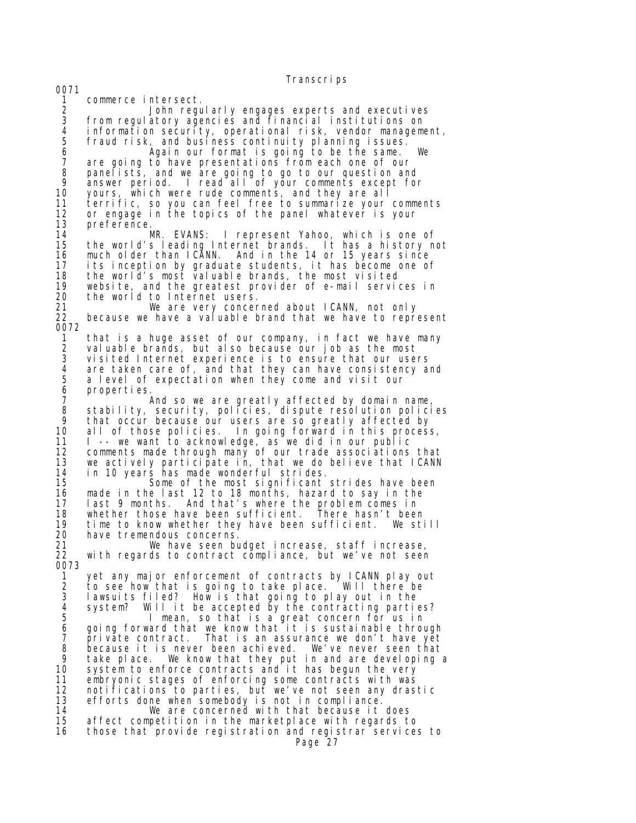1 commerce intersect. 2 John regularly engages experts and executives 3 from regulatory agencies and financial institutions on<br>4 information security, operational risk, vendor manageme 4 information security, operational risk, vendor management,<br>5 fraud risk, and business continuity planning issues. 5 fraud risk, and business continuity planning issues. 6 Again our format is going to be the same. We 7 are going to have presentations from each one of our<br>8 panelists, and we are going to go to our question and 8 panelists, and we are going to go to our question and 9 answer period. I read all of your comments except for<br>10 yours, which were rude comments, and they are all 10 yours, which were rude comments, and they are all 11 terrific, so you can feel free to summarize your comments 12 or engage in the topics of the panel whatever is your 13 preference. 14 MR. EVANS: I represent Yahoo, which is one of 15 the world's leading Internet brands. It has a history not 16 much older than ICANN. And in the 14 or 15 years since 17 its inception by graduate students, it has become one of 18 the world's most valuable brands, the most visited 19 website, and the greatest provider of e-mail services in 20 the world to Internet users.<br>21 We are very concer 21 We are very concerned about ICANN, not only because we have a valuable brand that we have to represent 0072 1 that is a huge asset of our company, in fact we have many 2 valuable brands, but also because our job as the most<br>3 visited Internet experience is to ensure that our use 3 visited Internet experience is to ensure that our users 4 are taken care of, and that they can have consistency and<br>5 a level of expectation when they come and visit our 5 a level of expectation when they come and visit our 6 properties. 7 And so we are greatly affected by domain name, 8 stability, security, policies, dispute resolution policies 9 that occur because our users are so greatly affected by 10 all of those policies. In going forward in this process, 11 I -- we want to acknowledge, as we did in our public<br>12 comments made through many of our trade associations comments made through many of our trade associations that 13 we actively participate in, that we do believe that ICANN 14 in 10 years has made wonderful strides. 15 Some of the most significant strides have been 16 made in the last 12 to 18 months, hazard to say in the 17 last 9 months. And that's where the problem comes in 18 whether those have been sufficient. There hasn't been 19 time to know whether they have been sufficient.<br>20 have tremendous concerns. have tremendous concerns. 21 We have seen budget increase, staff increase, with regards to contract compliance, but we've not seen 0073 1 yet any major enforcement of contracts by ICANN play out 2 to see how that is going to take place. Will there be 3 lawsuits filed? How is that going to play out in the 4 system? Will it be accepted by the contracting parties?<br>5 I mean, so that is a great concern for us in 5 I mean, so that is a great concern for us in<br>6 going forward that we know that it is sustainable throu 6 going forward that we know that it is sustainable through<br>7 private contract. That is an assurance we don't have yet 7 private contract. That is an assurance we don't have yet 8 because it is never been achieved. We've never seen that 9 take place. We know that they put in and are developing a<br>10 system to enforce contracts and it has begun the very 10 system to enforce contracts and it has begun the very 11 embryonic stages of enforcing some contracts with was 12 notifications to parties, but we've not seen any drastic 13 efforts done when somebody is not in compliance. 14 We are concerned with that because it does<br>15 affect competition in the marketplace with regards to affect competition in the marketplace with regards to 16 those that provide registration and registrar services to Page 27

0071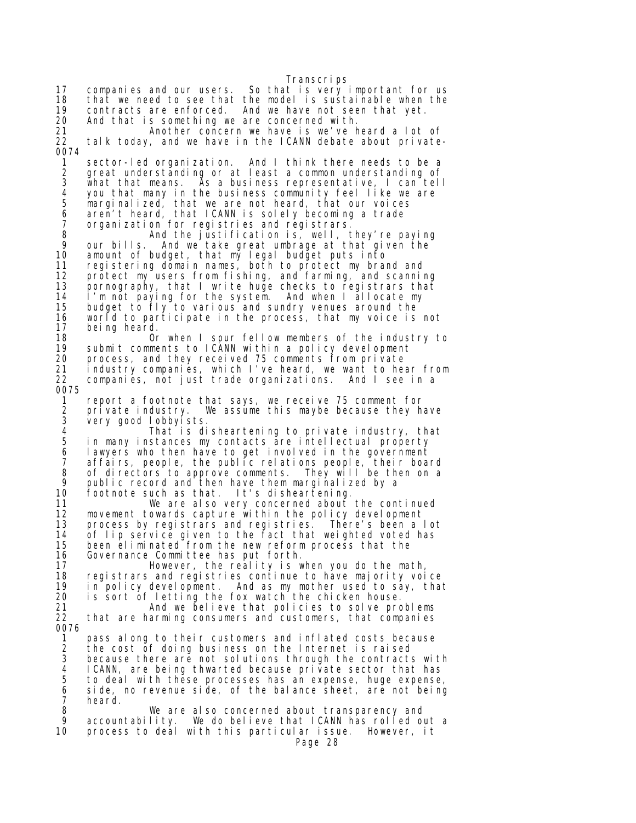17 companies and our users. So that is very important for us 18 that we need to see that the model is sustainable when the 19 contracts are enforced. And we have not seen that yet.<br>20 And that is something we are concerned with. 20 And that is something we are concerned with. 21 Another concern we have is we've heard a lot of talk today, and we have in the ICANN debate about private-0074 1 sector-led organization. And I think there needs to be a 2 great understanding or at least a common understanding of<br>3 what that means. As a business representative, I can tell 3 what that means. As a business representative, I can tell 4 you that many in the business community feel like we are<br>5 marginalized, that we are not heard, that our voices 5 marginalized, that we are not heard, that our voices 6 aren't heard, that ICANN is solely becoming a trade 7 organization for registries and registrars. 8 And the justification is, well, they're paying 9 our bills. And we take great umbrage at that given the 10 amount of budget, that my legal budget puts into 11 registering domain names, both to protect my brand and 12 protect my users from fishing, and farming, and scanning 13 pornography, that I write huge checks to registrars that<br>14 I'm not paving for the system. And when I allocate my 14 I'm not paying for the system. And when I allocate my 15 budget to fly to various and sundry venues around the 16 world to participate in the process, that my voice is not 17 being heard.<br>18 0r 18 Or when I spur fellow members of the industry to<br>19 submit comments to ICANN within a policy development 19 submit comments to ICANN within a policy development<br>20 process, and they received 75 comments from private process, and they received 75 comments from private 21 industry companies, which I've heard, we want to hear from 22 companies, not just trade organizations. And I see in a 0075 1 report a footnote that says, we receive 75 comment for 2 private industry. We assume this maybe because they have 3 very good lobbyists. 4 That is disheartening to private industry, that 5 in many instances my contacts are intellectual property 6 lawyers who then have to get involved in the government 7 affairs, people, the public relations people, their board 8 of directors to approve comments. They will be then on a 9 public record and then have them marginalized by a<br>10 footnote such as that. It's disheartening. footnote such as that. It's disheartening. 11 We are also very concerned about the continued 12 movement towards capture within the policy development 13 process by registrars and registries. There's been a lot 14 of lip service given to the fact that weighted voted has 15 been eliminated from the new reform process that the 16 Governance Committee has put forth.<br>17 However, the reality is w 17 However, the reality is when you do the math, registrars and registries continue to have majority voice 19 in policy development. And as my mother used to say, that 20 is sort of letting the fox watch the chicken house. 21 And we believe that policies to solve problems that are harming consumers and customers, that companies 0076 pass along to their customers and inflated costs because 2 the cost of doing business on the Internet is raised 3 because there are not solutions through the contracts with<br>4 ICANN, are being thwarted because private sector that has 4 ICANN, are being thwarted because private sector that has<br>5 to deal with these processes has an expense, huge expense 5 to deal with these processes has an expense, huge expense, 6 side, no revenue side, of the balance sheet, are not being 7 heard. 8 We are also concerned about transparency and 9 accountability. We do believe that ICANN has rolled out a process to deal with this particular issue. However, it Page 28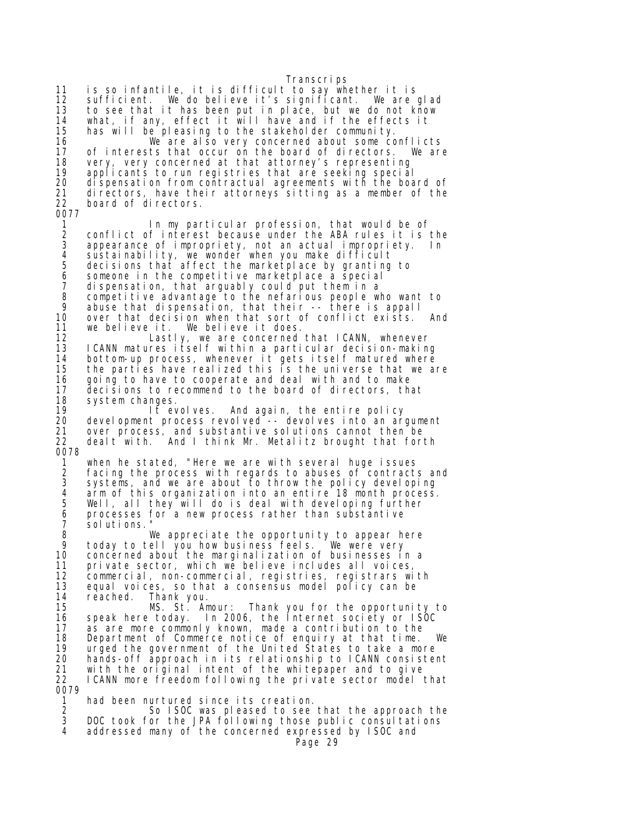Transcrips 11 is so infantile, it is difficult to say whether it is 12 sufficient. We do believe it's significant.<br>13 to see that it has been put in place, but we 13 to see that it has been put in place, but we do not know<br>14 what, if any, effect it will have and if the effects it 14 what, if any, effect it will have and if the effects it has will be pleasing to the stakeholder community. 16 We are also very concerned about some conflicts<br>17 of interests that occur on the board of directors We are 17 of interests that occur on the board of directors. We are<br>18 very, very concerned at that attorney's representing 18 very, very concerned at that attorney's representing 19 applicants to run registries that are seeking special<br>20 dispensation from contractual agreements with the boa 20 dispensation from contractual agreements with the board of<br>21 directors, have their attorneys sitting as a member of the 21 directors, have their attorneys sitting as a member of the board of directors. 0077 1 In my particular profession, that would be of<br>2 conflict of interest because under the ABA rules it is 2 conflict of interest because under the ABA rules it is the<br>3 appearance of impropriety, not an actual impropriety. In 3 appearance of impropriety, not an actual impropriety. In 4 sustainability, we wonder when you make difficult 5 decisions that affect the marketplace by granting to<br>6 someone in the competitive marketplace a special 6 someone in the competitive marketplace a special<br>7 dispensation, that arquably could put them in a 7 dispensation, that arguably could put them in a 8 competitive advantage to the nefarious people who want to<br>9 abuse that dispensation, that their -- there is appall 9 abuse that dispensation, that their -- there is appall 10 over that decision when that sort of conflict exists. And 11 we believe it. We believe it does. 12 Lastly, we are concerned that ICANN, whenever<br>13 ICANN matures itself within a particular decision-makin 13 ICANN matures itself within a particular decision-making<br>14 bottom-up process, whenever it gets itself matured where 14 bottom-up process, whenever it gets itself matured where 15 the parties have realized this is the universe that we are 16 going to have to cooperate and deal with and to make 17 decisions to recommend to the board of directors, that 18 system changes.<br>19 1t ev 19 It evolves. And again, the entire policy<br>20 development process revolved -- devolves into an ar 20 development process revolved -- devolves into an argument<br>21 over process, and substantive solutions cannot then be over process, and substantive solutions cannot then be 22 dealt with. And I think Mr. Metalitz brought that forth 0078 1 when he stated, "Here we are with several huge issues 2 facing the process with regards to abuses of contracts and<br>3 systems, and we are about to throw the policy developing 3 systems, and we are about to throw the policy developing<br>4 arm of this organization into an entire 18 month process. 4 arm of this organization into an entire 18 month process.<br>5 Well, all they will do is deal with developing further 5 Well, all they will do is deal with developing further<br>6 processes for a new process rather than substantive 6 processes for a new process rather than substantive<br>7 solutions." 7 solutions." 8 We appreciate the opportunity to appear here 9 today to tell you how business feels. We were very 10 concerned about the marginalization of businesses in a<br>11 private sector, which we believe includes all voices, 11 private sector, which we believe includes all voices,<br>12 commercial, non-commercial, registries, registrars wi 12 commercial, non-commercial, registries, registrars with 13 equal voices, so that a consensus model policy can be 14 reached. Thank you. 15 MS. St. Amour: Thank you for the opportunity to 16 speak here today. In 2006, the Internet society or ISOC<br>17 as are more commonly known, made a contribution to the 17 as are more commonly known, made a contribution to the<br>18 Department of Commerce notice of enquiry at that time. 18 Department of Commerce notice of enquiry at that time. We 19 urged the government of the United States to take a more 20 hands-off approach in its relationship to ICANN consistent 21 with the original intent of the whitepaper and to give<br>22 ICANN more freedom following the private sector model I CANN more freedom following the private sector model that 0079 1 had been nurtured since its creation.<br>2 50 ISOC was pleased to see 2 So ISOC was pleased to see that the approach the<br>3 DOC took for the JPA following those public consultations 3 DOC took for the JPA following those public consultations<br>4 addressed many of the concerned expressed by LSOC and addressed many of the concerned expressed by ISOC and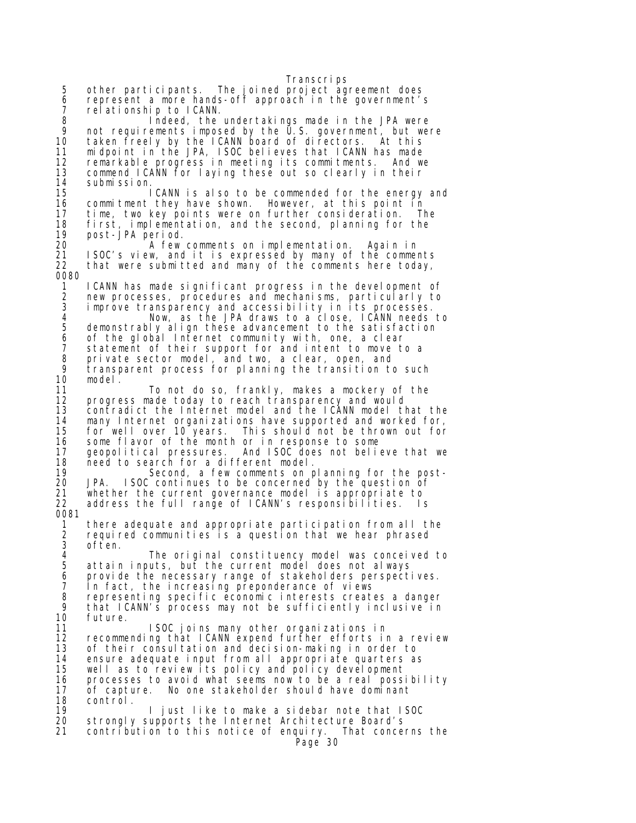Transcrips 5 other participants. The joined project agreement does 6 represent a more hands-off approach in the government's 7 relationship to ICANN.<br>8 **Indeed**, the 8 Indeed, the undertakings made in the JPA were 9 not requirements imposed by the U.S. government, but were 10 taken freely by the ICANN board of directors. At this 11 midpoint in the JPA, ISOC believes that ICANN has made 12 remarkable progress in meeting its commitments. And we commend ICANN for laying these out so clearly in their 14 submission.<br>15 I ICANN is also to be commended for the energy and 16 commitment they have shown. However, at this point in 17 time, two key points were on further consideration. The 18 first, implementation, and the second, planning for the 19 post-JPA period. 20 A few comments on implementation. Again in ISOC's view, and it is expressed by many of the comments 22 that were submitted and many of the comments here today, 0080 1 ICANN has made significant progress in the development of 2 new processes, procedures and mechanisms, particularly to<br>3 improve transparency and accessibility in its processes. improve transparency and accessibility in its processes. 4 Now, as the JPA draws to a close, ICANN needs to 5 demonstrably align these advancement to the satisfaction 6 of the global Internet community with, one, a clear 7 statement of their support for and intent to move to a<br>8 private sector model, and two, a clear, open, and 8 private sector model, and two, a clear, open, and 9 transparent process for planning the transition to such<br>10 model. 10 model.<br>11 To not do so, frankly, makes a mockery of the 12 progress made today to reach transparency and would 13 contradict the Internet model and the ICANN model that the 14 many Internet organizations have supported and worked for, 15 for well over 10 years. This should not be thrown out for 16 some flavor of the month or in response to some<br>17 geopolitical pressures. And ISOC does not belie And ISOC does not believe that we 18 need to search for a different model.<br>19 19 Second, a few comments on p 19 Second, a few comments on planning for the post-JPA. ISOC continues to be concerned by the question of 21 whether the current governance model is appropriate to 22 address the full range of ICANN's responsibilities. Is 0081 1 there adequate and appropriate participation from all the 2 required communities is a question that we hear phrased 3 often. 4 The original constituency model was conceived to<br>5 attain inputs, but the current model does not always 5 attain inputs, but the current model does not always<br>6 provide the necessary range of stakeholders perspect<br>7 In fact, the increasing preponderance of views provide the necessary range of stakeholders perspectives. 7 In fact, the increasing preponderance of views 8 representing specific economic interests creates a danger 9 that ICANN's process may not be sufficiently inclusive in 10 future. 11 ISOC joins many other organizations in<br>12 recommending that ICANN expend further efforts in recommending that ICANN expend further efforts in a review 13 of their consultation and decision-making in order to 14 ensure adequate input from all appropriate quarters as well as to review its policy and policy development 16 processes to avoid what seems now to be a real possibility 17 of capture. No one stakeholder should have dominant 18 control. 19 I just like to make a sidebar note that ISOC<br>20 Strongly supports the Internet Architecture Board's strongly supports the Internet Architecture Board's 21 contribution to this notice of enquiry. That concerns the Page 30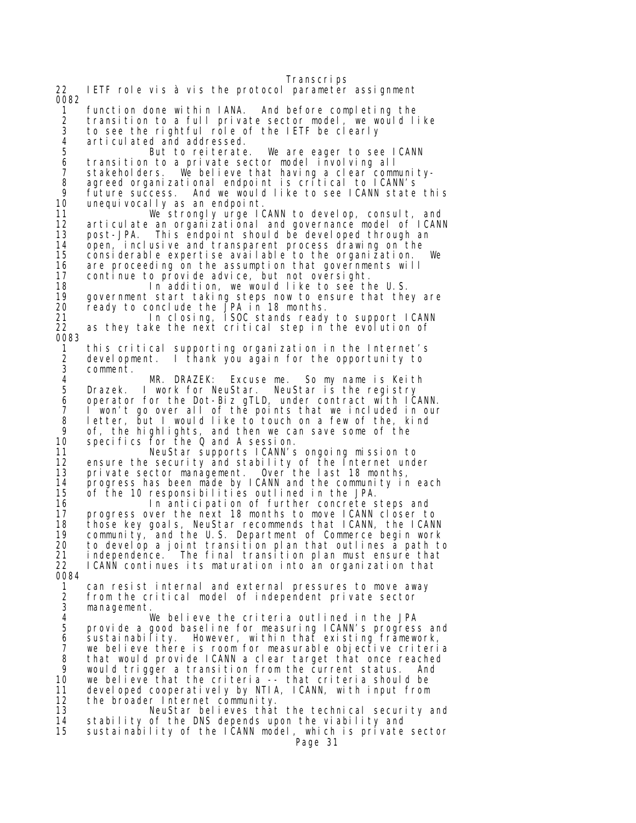Transcrips 22 IETF role vis à vis the protocol parameter assignment 0082 1 function done within IANA. And before completing the 2 transition to a full private sector model, we would like 3 to see the rightful role of the IETF be clearly 4 articulated and addressed. 5 But to reiterate. We are eager to see ICANN<br>6 transition to a private sector model involving all 6 transition to a private sector model involving all 7 stakeholders. We believe that having a clear community- 8 agreed organizational endpoint is critical to ICANN's 9 fūture success. And we would like to see ICANN state this<br>10 unequivocally as an endpoint. unequivocally as an endpoint. 11 We strongly urge ICANN to develop, consult, and 12 articulate an organizational and governance model of ICANN 13 post-JPA. This endpoint should be developed through an 14 open, inclusive and transparent process drawing on the last of the version. We<br>15 considerable expertise available to the organization. We considerable expertise available to the organization. 16 are proceeding on the assumption that governments will 17 continue to provide advice, but not oversight. 18 In addition, we would like to see the U.S.<br>19 oovernment start taking steps now to ensure that the 19 government start taking steps now to ensure that they are<br>20 ready to conclude the JPA in 18 months. 20 ready to conclude the JPA in 18 months. 21 In closing, ISOC stands ready to support ICANN 22 as they take the next critical step in the evolution of 0083 1 this critical supporting organization in the Internet's 2 development. I thank you again for the opportunity to 3 comment. 4 MR. DRAZEK: Excuse me. So my name is Keith 5 Drazek. I work for NeuStar. NeuStar is the registry<br>6 operator for the Dot-Biz gTLD, under contract with IC 6 operator for the Dot-Biz gTLD, under contract with ICANN. 7 I won't go over all of the points that we included in our 8 letter, but I would like to touch on a few of the, kind 9 of, the highlights, and then we can save some of the 10 specifics for the Q and A session.<br>11 NeuStar supports ICANN's NeuStar supports ICANN's ongoing mission to 12 ensure the security and stability of the Internet under 13 private sector management.<br>14 progress has been made by I 14 progress has been made by ICANN and the community in each<br>15 of the 10 responsibilities outlined in the JPA. of the 10 responsibilities outlined in the JPA. 16 **In anticipation of further concrete steps and**<br>17 **progress over the next 18 months to move ICANN** closer to 17 progress over the next 18 months to move ICANN closer to<br>18 those key goals, NeuStar recommends that ICANN, the ICANN 18 those key goals, NeuStar recommends that ICANN, the ICANN<br>19 community, and the U.S. Department of Commerce begin work community, and the U.S. Department of Commerce begin work 20 to develop a joint transition plan that outlines a path to 21 independence. The final transition plan must ensure that<br>22 ICANN continues its maturation into an organization that ICANN continues its maturation into an organization that 0084 1 can resist internal and external pressures to move away 2 from the critical model of independent private sector 3 management. 4 We believe the criteria outlined in the JPA<br>5 provide a good baseline for measuring ICANN's progress 5 provide a good baseline for measuring ICANN's progress and<br>6 sustainability. However, within that existing framework, 6 sustainability. However, within that existing framework, 7 we believe there is room for measurable objective criteria 8 that would provide ICANN a clear target that once reached 9 would trigger a transition from the current status. And<br>10 we believe that the criteria -- that criteria should be 10 we believe that the criteria -- that criteria should be 11 developed cooperatively by NTIA, ICANN, with input from 12 the broader Internet community.<br>13 MeuStar believes that 13 NeuStar believes that the technical security and stability of the DNS depends upon the viability and 15 sustainability of the ICANN model, which is private sector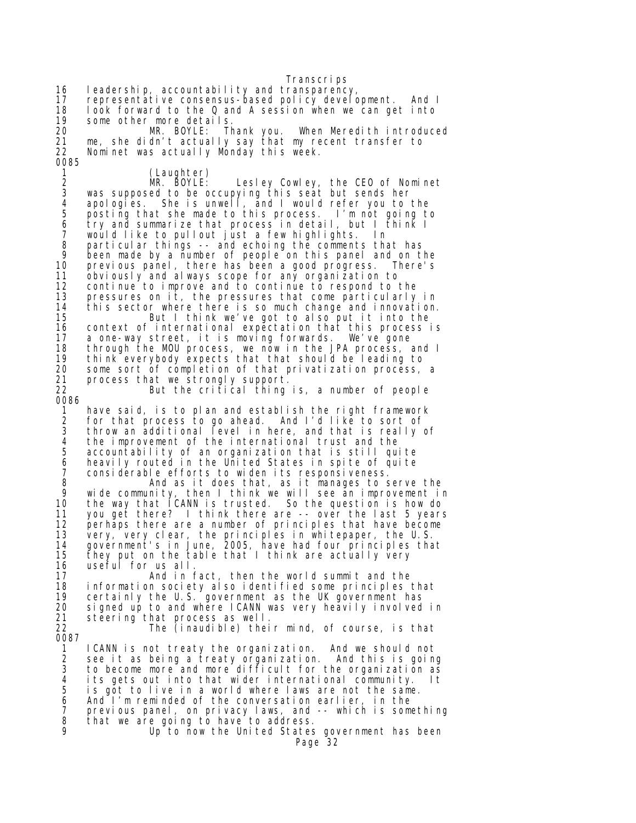Transcrips 16 leadership, accountability and transparency, 17 representative consensus-based policy development. And I 18 look forward to the Q and A session when we can get into 19 some other more details. 20 MR. BOYLE: Thank you. When Meredith introduced 21 me, she didn't actually say that my recent transfer to 22 Nominet was actually Monday this week. 0085 1 (Laughter)<br>2 MR. BOYLE: 2 MR. BOYLE: Lesley Cowley, the CEO of Nominet 3 was supposed to be occupying this seat but sends her 4 apologies. She is unwell, and I would refer you to the 5 posting that she made to this process. I'm not going to 6 try and summarize that process in detail, but I think I 7 would like to pullout just a few highlights. In<br>8 particular things -- and echoing the comments tha 8 particular things -- and echoing the comments that has 9 been made by a number of people on this panel and on the<br>10 previous panel, there has been a good progress. There's previous panel, there has been a good progress. There's 11 obviously and always scope for any organization to 12 continue to improve and to continue to respond to the 13 pressures on it, the pressures that come particularly in this sector where there is so much change and innovation. 15 But I think we've got to also put it into the 16 context of international expectation that this process is 17 a one-way street, it is moving forwards. We've gone 18 through the MOU process, we now in the JPA process, and I<br>19 think everybody expects that that should be leading to think everybody expects that that should be leading to 20 some sort of completion of that privatization process, a 21 process that we strongly support. But the critical thing is, a number of people 0086 1 have said, is to plan and establish the right framework 2 for that process to go ahead. And I'd like to sort of 3 throw an additional level in here, and that is really of 4 the improvement of the international trust and the<br>5 accountability of an organization that is still qui 5 accountability of an organization that is still quite<br>6 heavily routed in the United States in spite of quite<br>7 considerable efforts to widen its responsiveness. heavily routed in the United States in spite of quite 7 considerable efforts to widen its responsiveness.<br>8 And as it does that, as it manages to s 8 And as it does that, as it manages to serve the 9 wide community, then I think we will see an improvement in 10 the way that ICANN is trusted. So the question is how do 11 you get there? I think there are -- over the last 5 years<br>12 perhaps there are a number of principles that have become perhaps there are a number of principles that have become 13 very, very clear, the principles in whitepaper, the U.S. 14 government's in June, 2005, have had four principles that<br>15 they put on the table that I think are actually very they put on the table that I think are actually very 16 useful for us all. And in fact, then the world summit and the 18 information society also identified some principles that 19 certainly the U.S. government as the UK government has<br>20 signed up to and where ICANN was very heavily involved 20 signed up to and where ICANN was very heavily involved in<br>21 steering that process as well. 21 steering that process as well.<br>22 The (inaudible) thei The  $(inaudible)$  their mind, of course, is that 0087 1 ICANN is not treaty the organization. And we should not 2 see it as being a treaty organization. And this is going 3 to become more and more difficult for the organization as<br>4 its gets out into that wider international community. It 4 its gets out into that wider international community. It<br>5 is got to live in a world where laws are not the same. 5 is got to live in a world where laws are not the same. 6 And I'm reminded of the conversation earlier, in the 7 previous panel, on privacy laws, and -- which is something 8 that we are going to have to address.<br>9 10 to now the United States Up to now the United States government has been Page 32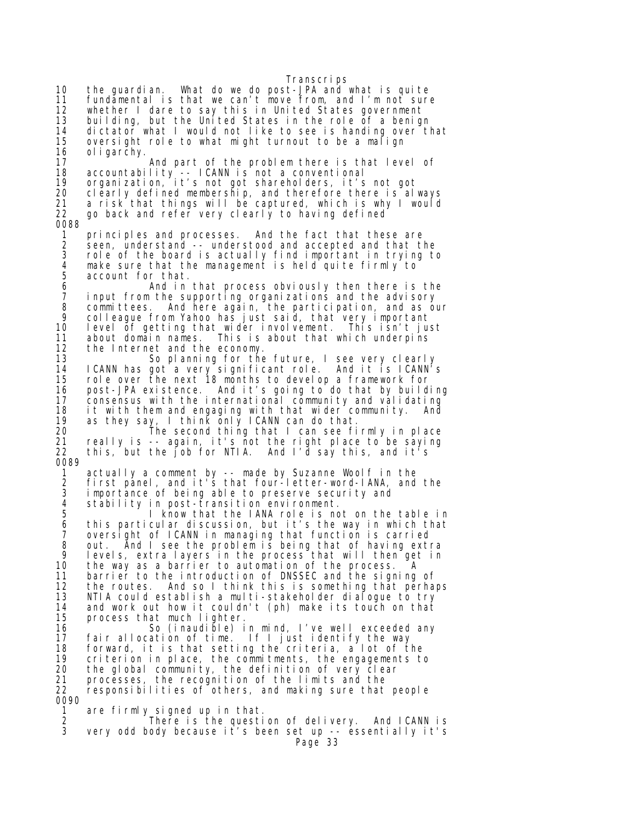Transcrips 10 the guardian. What do we do post-JPA and what is quite 11 fundamental is that we can't move from, and I'm not sure 12 whether I dare to say this in United States government<br>13 building, but the United States in the role of a benign 13 building, but the United States in the role of a benign 14 dictator what I would not like to see is handing over that 15 oversight role to what might turnout to be a malign 16 oligarchy.<br>17 17 And part of the problem there is that level of 18 accountability -- ICANN is not a conventional 19 organization, it's not got shareholders, it's not got<br>20 clearly defined membership, and therefore there is alm 20 clearly defined membership, and therefore there is always<br>21 a risk that things will be captured, which is why I would a risk that things will be captured, which is why I would 22 go back and refer very clearly to having defined 0088 1 principles and processes. And the fact that these are 2 seen, understand -- understood and accepted and that the role of the board is actually find important in trying to 4 make sure that the management is held quite firmly to 5 account for that. And in that process obviously then there is the 7 input from the supporting organizations and the advisory 8 committees. And here again, the participation, and as our 9 colleague from Yahoo has just said, that very important 10 level of getting that wider involvement. This isn't just 11 about domain names. This is about that which underpins<br>12 the Internet and the economy. 12 the Internet and the economy.<br>13 60 planning for the So planning for the future, I see very clearly 14 ICANN has got a very significant role. And it is ICANN's role over the next 18 months to develop a framework for 16 post-JPA existence. And it's going to do that by building consensus with the international community and validating 18 it with them and engaging with that wider community. And 19 as they say, I think only ICANN can do that. 20 The second thing that I can see firmly in place<br>21 Treally is -- again, it's not the right place to be saying 21 really is -- again, it's not the right place to be saying this, but the job for NTIA. And I'd say this, and it's 0089 1 actually a comment by -- made by Suzanne Woolf in the 2 first panel, and it's that four-letter-word-IANA, and the 3 importance of being able to preserve security and 4 stability in post-transition environment.<br>5 1 know that the IANA role is no 5 I know that the IANA role is not on the table in<br>6 this particular discussion, but it's the way in which that 6 this particular discussion, but it's the way in which that 7 oversight of ICANN in managing that function is carried 8 out. And I see the problem is being that of having extra 9 levels, extra layers in the process that will then get in<br>10 the way as a barrier to automation of the process. A 10 the way as a barrier to automation of the process. A 11 barrier to the introduction of DNSSEC and the signing of 12 the routes. And so I think this is something that perhaps 13 NTIA could establish a multi-stakeholder dialogue to try 14 and work out how it couldn't (ph) make its touch on that process that much lighter. 16 So (inaudible) in mind, I've well exceeded any fair allocation of time. If I just identify the way 18 forward, it is that setting the criteria, a lot of the 19 criterion in place, the commitments, the engagements to<br>20 the global community, the definition of very clear 20 the global community, the definition of very clear<br>21 processes, the recognition of the limits and the 21 processes, the recognition of the limits and the 22 responsibilities of others, and making sure that people 0090 1 are firmly signed up in that. 2 There is the question of delivery. And ICANN is very odd body because it's been set up -- essentially it's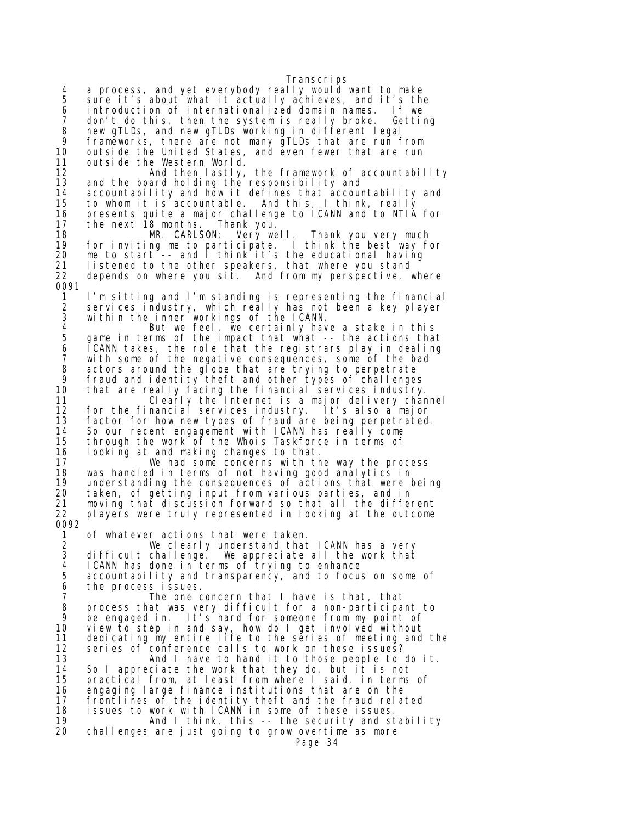Transcrips 4 a process, and yet everybody really would want to make<br>5 sure it's about what it actually achieves, and it's the 5 sure it's about what it actually achieves, and it's the 6 introduction of internationalized domain names. If we 7 don't do this, then the system is really broke. Getting 8 new gTLDs, and new gTLDs working in different legal 9 frameworks, there are not many gTLDs that are run from 10 outside the United States, and even fewer that are run 11 outside the Western World.<br>12 And then lastly, And then lastly, the framework of accountability 13 and the board holding the responsibility and 14 accountability and how it defines that accountability and And this, I think, really 16 presents quite a major challenge to ICANN and to NTIA for 17 the next 18 months. Thank you. 18 MR. CARLSON: Very well. Thank you very much 19 for inviting me to participate. I think the best way for<br>20 me to start -- and I think it's the educational having 20 me to start<sup>7</sup>-- and I think it's the educational having<br>21 Iistened to the other speakers, that where you stand 21 listened to the other speakers, that where you stand 22 depends on where you sit. And from my perspective, where 0091 1 I'm sitting and I'm standing is representing the financial<br>2 services industry, which really has not been a key player 2 services industry, which really has not been a key player<br>3 within the inner workings of the ICANN. 3 within the inner workings of the ICANN. 4 But we feel, we certainly have a stake in this 5 game in terms of the impact that what -- the actions that<br>6 ICANN takes, the role that the registrars play in dealing 6 ICANN takes, the role that the registrars play in dealing 7 with some of the negative consequences, some of the bad<br>8 actors around the globe that are trying to perpetrate 8 actors around the globe that are trying to perpetrate<br>9 fraud and identity theft and other types of challenge 9 fraud and identity theft and other types of challenges<br>10 that are really facing the financial services industry 10 that are really facing the financial services industry. 11 Clearly the Internet is a major delivery channel 12 for the financial services industry. It's also a major 13 factor for how new types of fraud are being perpetrated. 14 So our recent engagement with ICANN has really come 15 through the work of the Whois Taskforce in terms of 16 looking at and making changes to that. 17 We had some concerns with the way the process 18 was handled in terms of not having good analytics in<br>19 understanding the consequences of actions that were b 19 understanding the consequences of actions that were being 20 taken, of getting input from various parties, and in 21 moving that discussion forward so that all the different 22 players were truly represented in looking at the outcome 0092 1 of whatever actions that were taken. 2 We clearly understand that ICANN has a very 3 difficult challenge. We appreciate all the work that<br>4 ICANN has done in terms of trying to enhance 4 ICANN has done in terms of trying to enhance<br>5 accountability and transparency, and to focus accountability and transparency, and to focus on some of 6 the process issues. 7 The one concern that I have is that, that<br>8 process that was very difficult for a non-participa 8 process that was very difficult for a non-participant to<br>9 be engaged in. It's hard for someone from my point of 9 be engaged in. It's hard for someone from my point of<br>10 view to step in and say, how do I get involved without 10 view to step in and say, how do I get involved without dedicating my entire life to the series of meeting and the 12 series of conference calls to work on these issues? 13 And I have to hand it to those people to do it. 14 So I appreciate the work that they do, but it is not 15 practical from, at least from where I said, in terms of 16 engaging large finance institutions that are on the 17 frontlines of the identity theft and the fraud related 18 issues to work with ICANN in some of these issues. 19 And I think, this -- the security and stability challenges are just going to grow overtime as more Page 34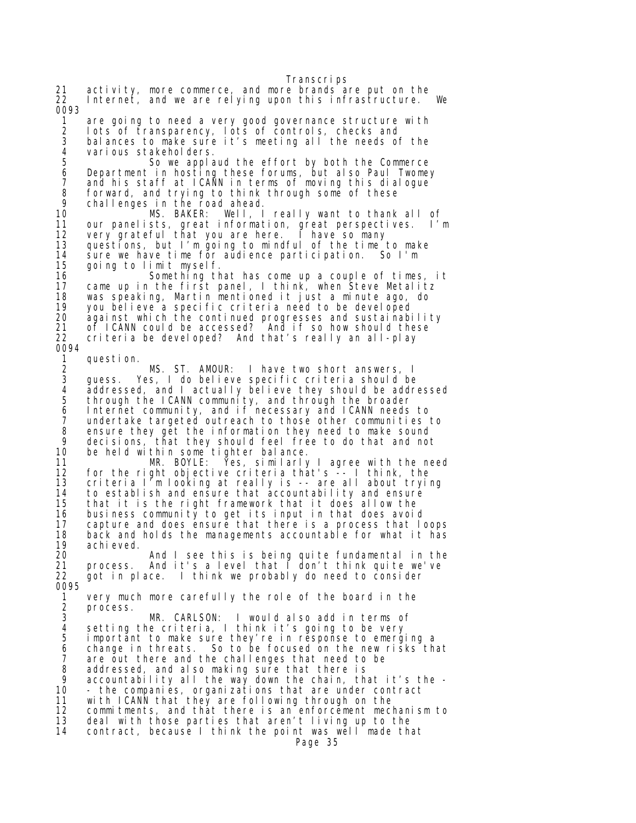Transcrips 21 activity, more commerce, and more brands are put on the 22 Internet, and we are relying upon this infrastructure. We 0093 1 are going to need a very good governance structure with 2 lots of transparency, lots of controls, checks and 3 balances to make sure it's meeting all the needs of the 4 various stakeholders.<br>5 So we appla 5 So we applaud the effort by both the Commerce Department in hosting these forums, but also Paul Twomey 7 and his staff at ICANN in terms of moving this dialogue<br>8 forward, and trying to think through some of these 8 forward, and trying to think through some of these<br>9 challenges in the road ahead. 9 challenges in the road ahead.<br>10 MS. BAKER: Well. I MS. BAKER: Well, I really want to thank all of 11 our panelists, great information, great perspectives. I'm 12 very grateful that you are here. I have so many 13 questions, but I'm going to mindful of the time to make 14 sure we have time for audience participation. So I'm<br>15 qoing to limit myself. going to limit myself. 16 Something that has come up a couple of times, it 17 came up in the first panel, I think, when Steve Metalitz 18 was speaking, Martin mentioned it just a minute ago, do you believe a specific criteria need to be developed 20 against which the continued progresses and sustainability 21 of ICANN could be accessed? And if so how should these 21 of ICANN could be accessed? And if so how should the<br>22 criteria be developed? And that's really an all-play 0094 1 question. 2 MS. ST. AMOUR: I have two short answers, I 3 guess. Yes, I do believe specific criteria should be 4 addressed, and I actually believe they should be addressed 5 through the ICANN community, and through the broader 6 Internet community, and if necessary and ICANN needs to 7 undertake targeted outreach to those other communities to 8 ensure they get the information they need to make sound<br>9 decisions, that they should feel free to do that and not 9 decisions, that they should feel free to do that and not<br>10 be held within some tighter balance. be held within some tighter balance.<br>MR. BOYLE: Yes, similarly 11 MR. BOYLE: Yes, similarly I agree with the need 12 for the right objective criteria that's -- I think, the<br>13 criteria l'm Looking at really is -- are all about tryin criteria I'm looking at really is -- are all about trying 14 to establish and ensure that accountability and ensure 15 that it is the right framework that it does allow the 16 business community to get its input in that does avoid<br>17 capture and does ensure that there is a process that Io capture and does ensure that there is a process that loops 18 back and holds the managements accountable for what it has 19 achieved.<br>20 20 And I see this is being quite fundamental in the 21 process. And it's a level that I don't think quite we've got in place. I think we probably do need to consider 0095 1 very much more carefully the role of the board in the 2 process. 3 MR. CARLSON: I would also add in terms of 4 setting the criteria, I think it's going to be very<br>5 important to make sure they're in response to emergi 5 important to make sure they're in response to emerging a<br>6 change in threats. So to be focused on the new risks that<br>7 are out there and the challenges that need to be So to be focused on the new risks that 7 are out there and the challenges that need to be<br>8 addressed, and also making sure that there is 8 addressed, and also making sure that there is 9 accountability all the way down the chain, that it's the - 10 - the companies, organizations that are under contract 11 with ICANN that they are following through on the 12 commitments, and that there is an enforcement mechanism to<br>13 deal with those parties that aren't living up to the deal with those parties that aren't living up to the 14 contract, because I think the point was well made that Page 35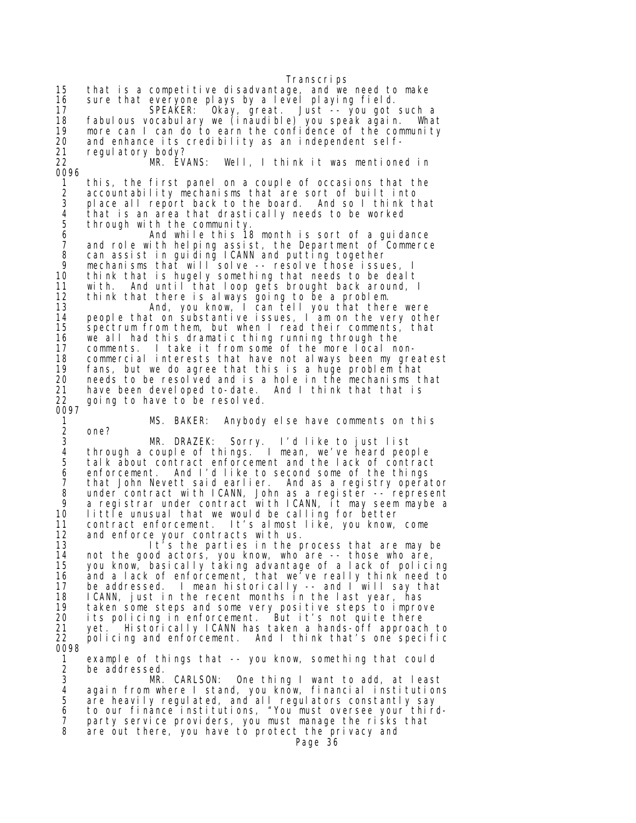Transcrips 15 that is a competitive disadvantage, and we need to make 16 sure that everyone plays by a level playing field. 17 SPEAKER: Okay, great. Just -- you got such a 18 fabulous vocabulary we (inaudible) you speak again. What 19 more can I can do to earn the confidence of the community 20 and enhance its credibility as an independent self-21 regulatory body?<br>22 MR. EVANS: Well, I think it was mentioned in 0096 1 this, the first panel on a couple of occasions that the 2 accountability mechanisms that are sort of built into 3 place all report back to the board. And so I think that 4 that is an area that drastically needs to be worked through with the community. 6 And while this 18 month is sort of a guidance 7 and role with helping assist, the Department of Commerce 8 can assist in guiding ICANN and putting together 9 mechanisms that will solve -- resolve those issues, I think that is hugely something that needs to be dealt 11 with. And until that loop gets brought back around, I<br>12 think that there is always going to be a problem. 12 think that there is always going to be a problem. 13 And, you know, I can tell you that there were 14 people that on substantive issues, I am on the very other 15 spectrum from them, but when I read their comments, that 16 we all had this dramatic thing running through the<br>17 comments. I take it from some of the more local no 17 comments. I take it from some of the more local non-<br>18 commercial interests that have not always been my gre 18 commercial interests that have not always been my greatest<br>19 fans, but we do agree that this is a huge problem that 19 fans, but we do agree that this is a huge problem that 20 needs to be resolved and is a hole in the mechanisms that<br>21 have been developed to-date. And I think that that is have been developed to-date. 22 going to have to be resolved. 0097 1 MS. BAKER: Anybody else have comments on this 2 one? 3 MR. DRAZEK: Sorry. I'd like to just list 4 through a couple of things. I mean, we've heard people 5 talk about contract enforcement and the lack of contract<br>6 enforcement. And I'd like to second some of the things<br>7 that John Nevett said earlier. And as a registry operat enforcement. And I'd like to second some of the things 7 that John Nevett said earlier. And as a registry operator 8 under contract with ICANN, John as a register -- represent 9 a registrar under contract with ICANN, it may seem maybe a 10 little unusual that we would be calling for better<br>11 contract enforcement. It's almost like, you know, contract enforcement. It's almost like, you know, come 12 and enforce your contracts with us. 13 It<sup>7</sup>s the parties in the process that are may be<br>14 not the good actors, you know, who are -- those who are, 14 not the good actors, you know, who are -- those who are, 15 you know, basically taking advantage of a lack of policing 16 and a lack of enforcement, that we've really think need to 17 be addressed. I mean historically -- and I will say that 18 ICANN, just in the recent months in the last year, has 19 taken some steps and some very positive steps to improve 20 its policing in enforcement. But it's not quite there 21 yet. Historically ICANN has taken a hands-off approach to<br>22 policing and enforcement. And I think that's one specific And I think that's one specific 0098 1 example of things that -- you know, something that could 2 be addressed.<br>3 MR. 3 MR. CARLSON: One thing I want to add, at least 4 again from where I stand, you know, financial institutions 5 are heavily regulated, and all regulators constantly say 6 to our finance institutions, "You must oversee your third- 7 party service providers, you must manage the risks that 8 are out there, you have to protect the privacy and Page 36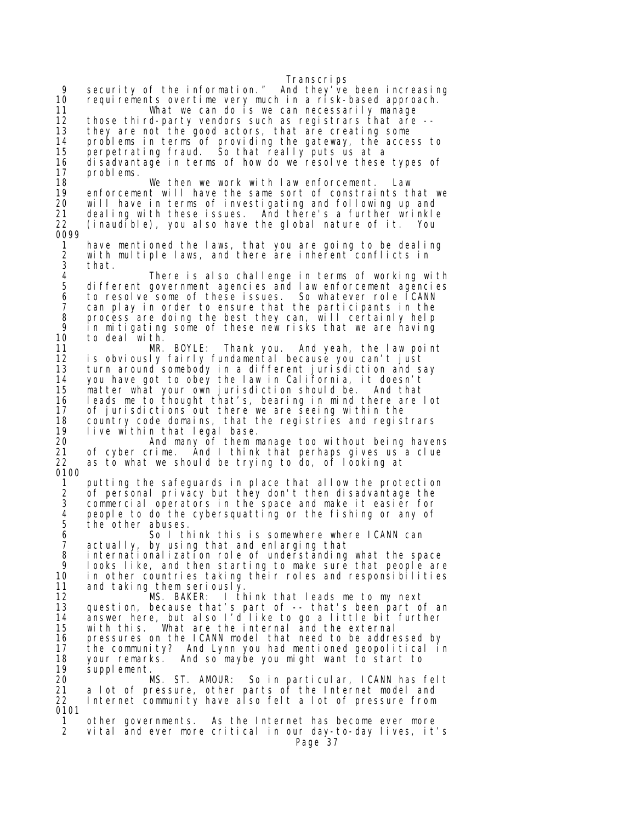Transcrips<br>And they′ve been increasing 9 security of the information."<br>10 requirements overtime very mud 10 requirements overtime very much in a risk-based approach. 11 What we can do is we can necessarily manage 12 those third-party vendors such as registrars that are --<br>13 they are not the good actors, that are creating some 13 they are not the good actors, that are creating some 14 problems in terms of providing the gateway, the access to 15 perpetrating fraud. So that really puts us at a 16 disadvantage in terms of how do we resolve these types of<br>17 problems. problems. 18 We then we work with law enforcement. Law 19 enforcement will have the same sort of constraints that we will have in terms of investigating and following up and<br>dealing with these issues. And there's a further wrinkle 21 dealing with these issues. And there's a further wrinkle 22 (inaudible), you also have the global nature of it. You 0099 1 have mentioned the laws, that you are going to be dealing 2 with multiple laws, and there are inherent conflicts in<br>3 that. 3 that. 4 There is also challenge in terms of working with<br>5 different government agencies and law enforcement agencies 5 different government agencies and law enforcement agencies 6 to resolve some of these issues. So whatever role ICANN<br>7 can play in order to ensure that the participants in the 7 can play in order to ensure that the participants in the 8 process are doing the best they can, will certainly help 9 in mitigating some of these new risks that we are having 10 to deal with.<br>11 MR. BOYLE: 11 MR. BOYLE: Thank you. And yeah, the law point is obviously fairly fundamental because you can't just 13 turn around somebody in a different jurisdiction and say 14 you have got to obey the law in California, it doesn't 15 matter what your own jurisdiction should be. And that 16 leads me to thought that's, bearing in mind there are lot 17 of jurisdictions out there we are seeing within the 18 country code domains, that the registries and registrars 19 live within that legal base. 20 And many of them manage too without being havens of cyber crime. And I think that perhaps gives us a clue 22 as to what we should be trying to do, of looking at 0100 1 putting the safeguards in place that allow the protection 2 of personal privacy but they don't then disadvantage the 3 commercial operators in the space and make it easier for 4 people to do the cybersquatting or the fishing or any of 5 the other abuses.<br>6 So I tl 6 So I think this is somewhere where ICANN can 7 actually, by using that and enlarging that 8 internationalization role of understanding what the space 9 looks like, and then starting to make sure that people are in other countries taking their roles and responsibilities 11 and taking them seriously. 12 MS. BAKER: I think that leads me to my next 13 question, because that's part of -- that's been part of an 14 answer here, but also I'd like to go a little bit further with this. What are the internal and the external 16 pressures on the ICANN model that need to be addressed by 17 the community? And Lynn you had mentioned geopolitical in 18 your remarks. And so maybe you might want to start to 19 supplement.<br>20 M 20 MS. ST. AMOUR: So in particular, ICANN has felt 21 a lot of pressure, other parts of the Internet model and 22 Internet community have also felt a lot of pressure from 0101 1 other governments. As the Internet has become ever more vital and ever more critical in our day-to-day lives, it's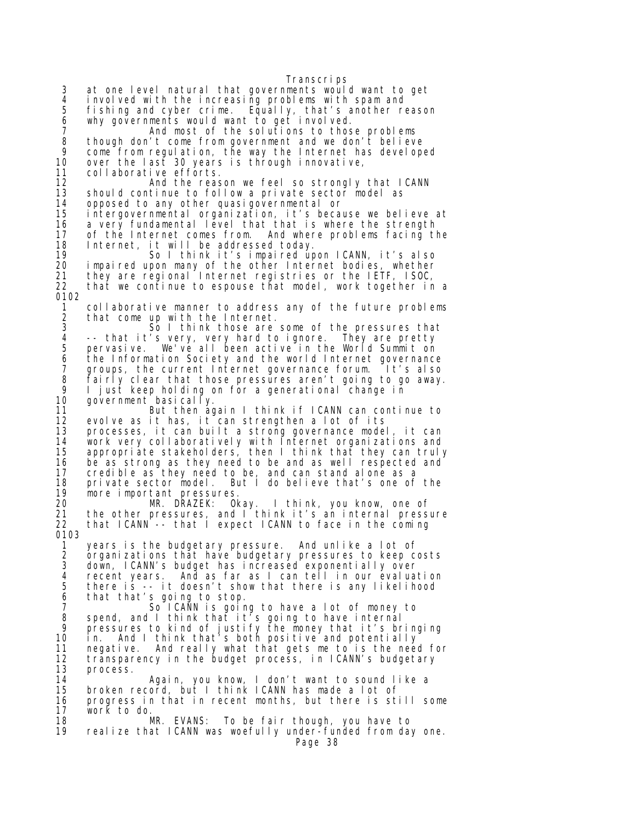Transcrips 3 at one level natural that governments would want to get 4 involved with the increasing problems with spam and 5 fishing and cyber crime. Equally, that's another reason 6 why governments would want to get involved. 7 And most of the solutions to those problems 8 though don't come from government and we don't believe 9 come from regulation, the way the Internet has developed<br>10 over the last 30 years is through innovative, 10 over the last 30 years is through innovative,<br>11 collaborative efforts. collaborative efforts. 12 And the reason we feel so strongly that ICANN 13 should continue to follow a private sector model as 14 opposed to any other quasigovernmental or 15 intergovernmental organization, it's because we believe at 16 a very fundamental level that that is where the strength 17 of the Internet comes from. And where problems facing the 18 Internet, it will be addressed today. 19 So I think it's impaired upon ICANN, it's also 20 impaired upon many of the other Internet bodies, whether 21 they are regional Internet registries or the IETF, ISOC, 22 that we continue to espouse that model, work together in a 0102 1 collaborative manner to address any of the future problems 2 that come up with the Internet. 3 So I think those are some of the pressures that 4 -- that it's very, very hard to ignore. They are pretty 5 pervasive. We've all been active in the World Summit on<br>6 the Information Society and the world Internet governance 6 the Information Society and the world Internet governance 7 groups, the current Internet governance forum. It's also 8 fairly clear that those pressures aren't going to go away. 9 I just keep holding on for a generational change in 10 government basically. 11 But then again I think if ICANN can continue to<br>12 evolve as it has, it can strengthen a lot of its 12 evolve as it has, it can strengthen a lot of its 13 processes, it can built a strong governance model, it can 14 work very collaboratively with Internet organizations and appropriate stakeholders, then I think that they can truly 16 be as strong as they need to be and as well respected and<br>17 credible as they need to be, and can stand alone as a 17 credible as they need to be, and can stand alone as a 18 private sector model. But I do believe that's one of the 19 more important pressures. 20 MR. DRAZEK: Okay. I think, you know, one of 21 the other pressures, and I think it's an internal pressure 22 that ICANN -- that I expect ICANN to face in the coming 0103 1 years is the budgetary pressure. And unlike a lot of 2 organizations that have budgetary pressures to keep costs<br>3 down, ICANN's budget has increased exponentially over 3 down, ICANN's budget has increased exponentially over<br>4 recent years. And as far as I can tell in our evalua 4 recent years. And as far as I can tell in our evaluation 5 there is -- it doesn't show that there is any likelihood 6 that that's going to stop. 7 So ICANN is going to have a lot of money to 8 spend, and I think that it's going to have internal 9 pressures to kind of justify the money that it's bringing<br>10 in. And I think that's both positive and potentially in. And I think that's both positive and potentially 11 negative. And really what that gets me to is the need for 12 transparency in the budget process, in ICANN's budgetary<br>13 process. 13 process.<br>14 14 Again, you know, I don't want to sound like a 15 broken record, but I think ICANN has made a lot of 16 progress in that in recent months, but there is still some<br>17 work to do. work to do. 18 MR. EVANS: To be fair though, you have to 19 realize that ICANN was woefully under-funded from day one. Page 38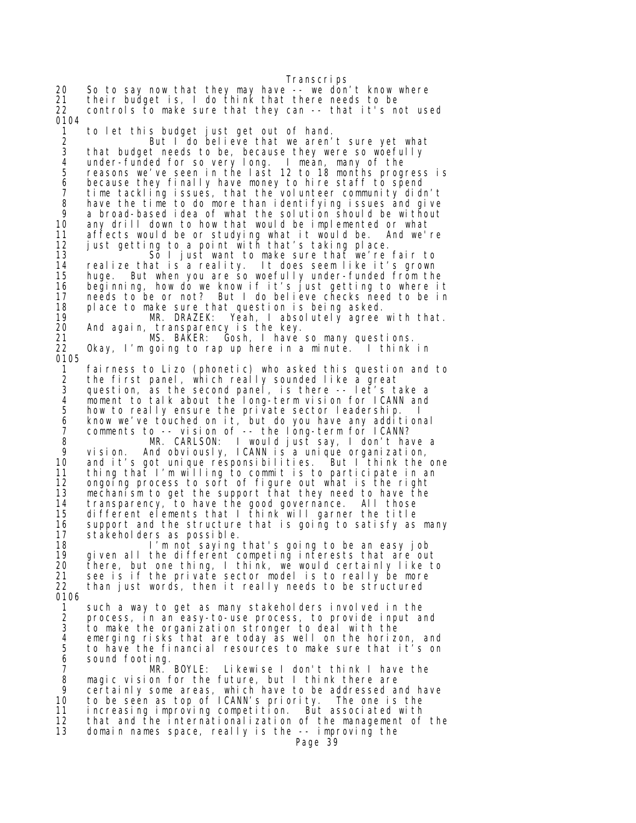20 So to say now that they may have -- we don't know where 21 their budget is, I do think that there needs to be<br>22 controls to make sure that they can -- that it's no controls to make sure that they can  $-$  that it's not used 0104 1 to let this budget just get out of hand. 2 But I do believe that we aren't sure yet what 3 that budget needs to be, because they were so woefully<br>4 under-funded for so very long. I mean, many of the 4 under-funded for so very long. I mean, many of the<br>5 reasons we've seen in the last 12 to 18 months prog 5 reasons we've seen in the last 12 to 18 months progress is 6 because they finally have money to hire staff to spend 7 time tackling issues, that the volunteer community didn't 8 have the time to do more than identifying issues and give 9 a broad-based idea of what the solution should be without 10 any drill down to how that would be implemented or what 11 affects would be or studying what it would be. And we're 12 just getting to a point with that's taking place. 13 So I just want to make sure that we're fair to 14 realize that is a reality. It does seem like it's grown 15 huge. But when you are so woefully under-funded from the 16 beginning, how do we know if it's just getting to where it 17 needs to be or not? But I do believe checks need to be in<br>18 place to make sure that question is being asked. 18 place to make sure that question is being asked. 19 MR. DRAZEK: Yeah, I absolutely agree with that. 20 And again, transparency is the key. 21 MS. BAKER: Gosh, I have so many questions.<br>22 Okay, I'm going to rap up here in a minute. I think Okay, I'm going to rap up here in a minute. I think in 0105 1 fairness to Lizo (phonetic) who asked this question and to 2 the first panel, which really sounded like a great<br>3 question, as the second panel, is there --let's ta 3 question, as the second panel, is there --  $1e^+$ 's take a<br>4 moment to talk about the long-term vision for ICANN and 4 moment to talk about the long-term vision for ICANN and 5 how to really ensure the private sector leadership. I 6 know we've touched on it, but do you have any additional 7 comments to -- vision of -- the long-term for ICANN? 8 MR. CARLSON: I would just say, I don't have a 9 vision. And obviously, ICANN is a unique organization, 10 and it's got unique responsibilities. But I think the one thing that I'm willing to commit is to participate in an 12 ongoing process to sort of figure out what is the right<br>13 mechanism to get the support that they need to have the mechanism to get the support that they need to have the 14 transparency, to have the good governance. All those 15 different elements that I think will garner the title 16 support and the structure that is going to satisfy as many 17 stakeholders as possible. 18 I'm not saying that's going to be an easy job 19 given all the different competing interests that are out 20 there, but one thing, I think, we would certainly like to 21 see is if the private sector model is to really be more 22 than just words, then it really needs to be structured 0106 1 such a way to get as many stakeholders involved in the 2 process, in an easy-to-use process, to provide input and<br>3 to make the organization stronger to deal with the 3 to make the organization stronger to deal with the 4 emerging risks that are today as well on the horizon, and 5 to have the financial resources to make sure that it's on<br>6 sound footing.<br>7 MR. BOYLE: Likewise I don't think I have the sound footing.<br>MR. BOYLE: 7 MR. BOYLE: Likewise I don't think I have the 8 magic vision for the future, but I think there are 9 certainly some areas, which have to be addressed and have 10 to be seen as top of ICANN's priority. The one is the 11 increasing improving competition. But associated with that and the internationalization of the management of the 13 domain names space, really is the -- improving the Page 39

Transcrips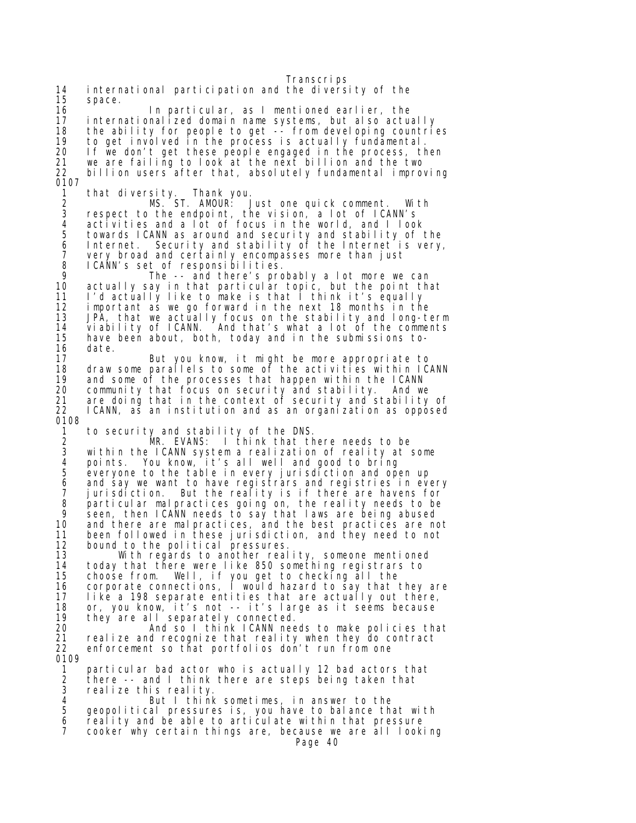Transcrips 14 international participation and the diversity of the 15 space.<br>16 16 In particular, as I mentioned earlier, the<br>17 internationalized domain name systems, but also actua 17 internationalized domain name systems, but also actually 18 the ability for people to get -- from developing countries 19 to get involved in the process is actually fundamental. 20 If we don't get these people engaged in the process, then<br>21 we are failing to look at the next billion and the two 21 we are failing to look at the next billion and the two<br>22 billion users after that, absolutely fundamental impro billion users after that, absolutely fundamental improving 0107 1 that diversity. Thank you. 2 MS. ST. AMOUR: Just one quick comment. With 3 respect to the endpoint, the vision, a lot of ICANN's 4 activities and a lot of focus in the world, and I look 5 towards ICANN as around and security and stability of the 6 Internet. Security and stability of the Internet is very, 6 Internet. Security and stability of the Internet is<br>7 very broad and certainly encompasses more than just<br>8 ICANN's set of responsibilities. 8 ICANN's set of responsibilities. 9 The -- and there's probably a lot more we can 10 actually say in that particular topic, but the point that 11 I'd actually like to make is that I think it's equally<br>12 important as we go forward in the next 18 months in the important as we go forward in the next 18 months in the 13 JPA, that we actually focus on the stability and long-term 14 viability of ICANN. And that's what a lot of the comments 15 have been about, both, today and in the submissions to-<br>16 date. 16 date.<br>17 But you know, it might be more appropriate to 18 draw some parallels to some of the activities within ICANN<br>19 and some of the processes that happen within the ICANN 19 and some of the processes that happen within the ICANN 20 community that focus on security and stability. And we 21 are doing that in the context of security and stability of 22 ICANN, as an institution and as an organization as opposed 0108 1 to security and stability of the DNS. 2 MR. EVANS: I think that there needs to be<br>3 within the ICANN system a realization of reality at s 3 within the ICANN system a realization of reality at some 4 points. You know, it's all well and good to bring 5 everyone to the table in every jurisdiction and open up 6 and say we want to have registrars and registries in every<br>7 jurisdiction. But the reality is if there are havens for 7 jurisdiction. But the reality is if there are havens for 8 particular malpractices going on, the reality needs to be 9 seen, then ICANN needs to say that laws are being abused 10 and there are malpractices, and the best practices are not 11 been followed in these jurisdiction, and they need to not 12 bound to the political pressures. 13 With regards to another reality, someone mentioned 14 today that there were like 850 something registrars to 15 choose from. Well, if you get to checking all the 16 corporate connections, I would hazard to say that they are 17 like a 198 separate entities that are actually out there, 18 or, you know, it's not -- it's large as it seems because<br>19 they are all separately connected. 19 they are all separately connected.<br>20 And so I think ICANN nee 20 **And so I think ICANN needs to make policies that**<br>21 **The realize and recognize that reality when they do contract** realize and recognize that reality when they do contract 22 enforcement so that portfolios don't run from one 0109 1 particular bad actor who is actually 12 bad actors that<br>2 there -- and I think there are steps being taken that 2 there -- and I think there are steps being taken that<br>3 realize this reality. 3 realize this reality. 4 But I think sometimes, in answer to the<br>5 geopolitical pressures is, you have to balance th geopolitical pressures is, you have to balance that with 6 reality and be able to articulate within that pressure cooker why certain things are, because we are all looking Page 40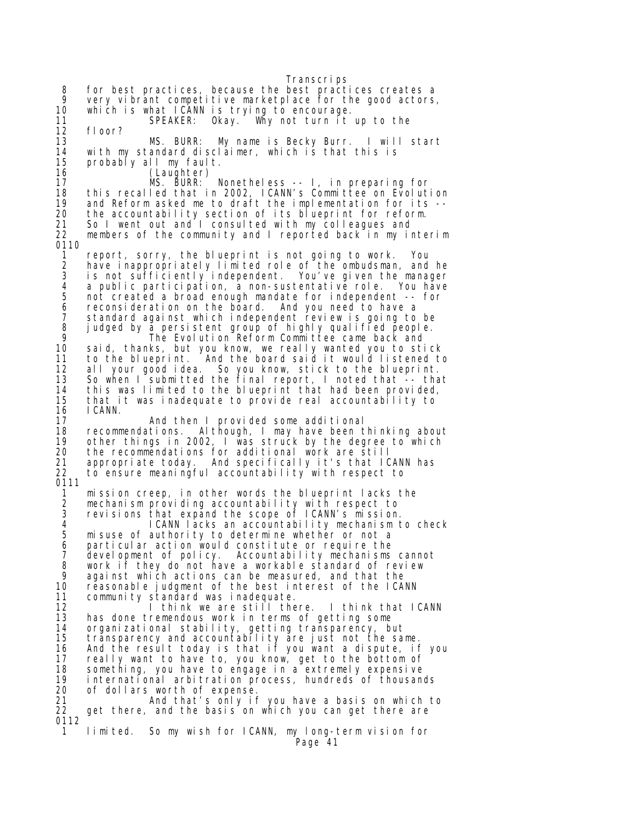Transcrips 8 for best practices, because the best practices creates a 9 very vibrant competitive marketplace for the good actors,<br>10 which is what ICANN is trving to encourage. 10 which is what ICANN is trying to encourage.<br>11 SPEAKER: Okay. Why not turn it 11 SPEAKER: Okay. Why not turn it up to the 12 floor? 12 floor? 13 MS. BURR: My name is Becky Burr. I will start 14 with my standard disclaimer, which is that this is  $15$  probably all my fault. probably all my fault. 16 (Laughter)<br>17 MS. BURR: 17 MS. BURR: Nonetheless -- I, in preparing for 18 this recalled that in 2002, ICANN's Committee on Evolution 19 and Reform asked me to draft the implementation for its -- 20 the accountability section of its blueprint for reform. 21 So I went out and I consulted with my colleagues and 22 members of the community and I reported back in my interim 0110 1 report, sorry, the blueprint is not going to work. You 2 have inappropriately limited role of the ombudsman, and he 3 is not sufficiently independent. You've given the manager 4 a public participation, a non-sustentative role. You have 5 not created a broad enough mandate for independent -- for<br>6 reconsideration on the board. And you need to have a<br>7 standard against which independent review is going to be 6 reconsideration on the board. And you need to have a 7 standard against which independent review is going to be 8 judged by a persistent group of highly qualified people. 9 The Evolution Reform Committee came back and 10 said, thanks, but you know, we really wanted you to stick to the blueprint. And the board said it would listened to 12 all your good idea. So you know, stick to the blueprint. 13 So when I submitted the final report, I noted that -- that 14 this was limited to the blueprint that had been provided,<br>15 that it was inadequate to provide real accountability to that it was inadequate to provide real accountability to 16 I CANN.<br>17 And then I provided some additional 18 recommendations. Although, I may have been thinking about 19 other things in 2002, I was struck by the degree to which<br>20 the recommendations for additional work are still the recommendations for additional work are still 21 appropriate today. And specifically it's that ICANN has<br>22 to ensure meaningful accountability with respect to 22 to ensure meaningful accountability with respect to 0111 1 mission creep, in other words the blueprint lacks the<br>2 mechanism providing accountability with respect to 2 mechanism providing accountability with respect to 3 revisions that expand the scope of ICANN's mission. 4 ICANN lacks an accountability mechanism to check misuse of authority to determine whether or not a 6 particular action would constitute or require the 7 development of policy. Accountability mechanisms cannot 8 work if they do not have a workable standard of review 9 against which actions can be measured, and that the 10 reasonable judgment of the best interest of the ICANN 11 community standard was inadequate. 12 I think we are still there. I think that ICANN<br>13 has done tremendous work in terms of getting some 13 has done tremendous work in terms of getting some 14 organizational stability, getting transparency, but 15 transparency and accountability are just not the same. 16 And the result today is that if you want a dispute, if you 17 really want to have to, you know, get to the bottom of 18 something, you have to engage in a extremely expensive 19 international arbitration process, hundreds of thousands 20 of dollars worth of expense. 21 and that's only if you have a basis on which to<br>22 aet there, and the basis on which you can get there are get there, and the basis on which you can get there are 0112 1 limited. So my wish for ICANN, my long-term vision for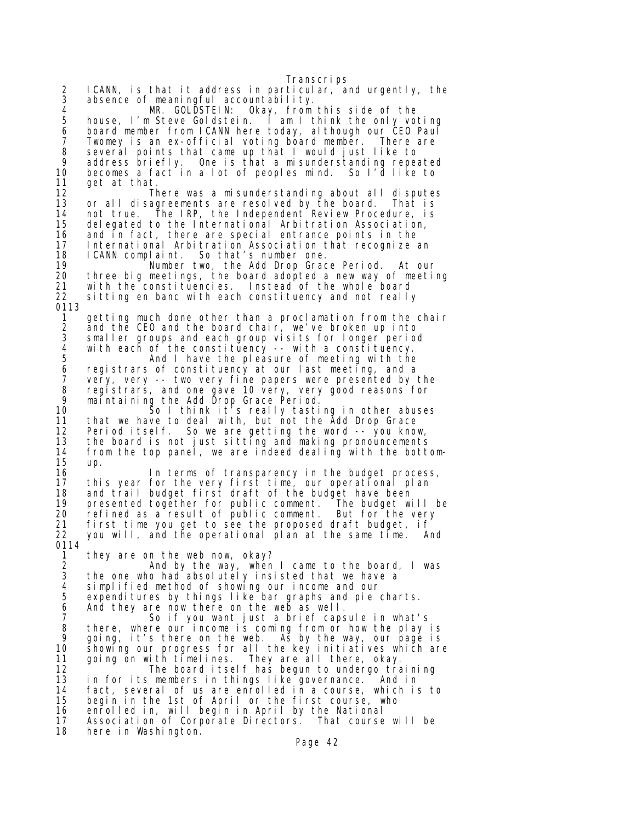Transcrips 2 ICANN, is that it address in particular, and urgently, the<br>3 absence of meaningful accountability. 3 absence of meaningful accountability. 4 MR. GOLDSTEIN: Okay, from this side of the<br>5 house, I'm Steve Goldstein. I am I think the only vo 5 house, I'm Steve Goldstein. I am I think the only voting 6 board member from ICANN here today, although our CEO Paul 7 Twomey is an ex-official voting board member. There are 8 several points that came up that I would just like to<br>9 address briefly. One is that a misunderstanding repea 9 address briefly. One is that a misunderstanding repeated becomes a fact in a lot of peoples mind. So I'd like to 11 get at that. 12 There was a misunderstanding about all disputes 13 or all disagreements are resolved by the board. That is 14 not true. The IRP, the Independent Review Procedure, is 15 delegated to the International Arbitration Association, 16 and in fact, there are special entrance points in the 17 International Arbitration Association that recognize an 18 ICANN complaint. So that's number one. Number two, the Add Drop Grace Period. At our 20 three big meetings, the board adopted a new way of meeting 21 with the constituencies. Instead of the whole board<br>22 sitting en banc with each constituency and not really sitting en banc with each constituency and not really 0113 1 getting much done other than a proclamation from the chair<br>2 and the CEO and the board chair, we've broken up into 2 and the CEO and the board chair, we ve broken up into<br>3 smaller groups and each group visits for longer period 3 smaller groups and each group visits for longer period<br>4 with each of the constituency -- with a constituency. 4 with each of the constituency -- with a constituency.<br>5 And I have the pleasure of meeting with the 5 **And I have the pleasure of meeting with the pleasure of standing the constituency** at our last meeting, and a 6 registrars of constituency at our last meeting, and a 7 very, very -- two very fine papers were presented by the 8 registrars, and one gave 10 very, very good reasons for 9 maintaining the Add Drop Grace Period. 10  $\sim$  So I think it's really tasting in other abuses 11 that we have to deal with, but not the Add Drop Grace<br>12 Period itself. So we are getting the word -- you know Period itself. So we are getting the word -- you know, 13 the board is not just sitting and making pronouncements<br>14 from the top panel, we are indeed dealing with the botte 14 from the top panel, we are indeed dealing with the bottom-15 up. 16 In terms of transparency in the budget process, 17 this year for the very first time, our operational plan 18 and trail budget first draft of the budget have been 19 presented together for public comment. The budget will be 20 refined as a result of public comment. But for the very 21 first time you get to see the proposed draft budget, if<br>22 vou will, and the operational plan at the same time. Am you will, and the operational plan at the same time. And 0114 1 they are on the web now, okay? 2 And by the way, when I came to the board, I was 3 the one who had absolutely insisted that we have a 4 simplified method of showing our income and our 5 expenditures by things like bar graphs and pie charts.<br>6 And they are now there on the web as well. 6 And they are now there on the web as well. 7 So if you want just a brief capsule in what's<br>8 there, where our income is coming from or how the play i 8 there, where our income is coming from or how the play is<br>9 qoing, it's there on the web. As by the way, our page is 9 going, it's there on the web. As by the way, our page is 10 showing our progress for all the key initiatives which are 11 going on with timelines. They are all there, okay. 12 The board itself has begun to undergo training 13 in for its members in things like governance. And in 14 fact, several of us are enrolled in a course, which is to 15 begin in the 1st of April or the first course, who 16 enrolled in, will begin in April by the National<br>17 Association of Corporate Directors. That course Association of Corporate Directors. That course will be 18 here in Washington.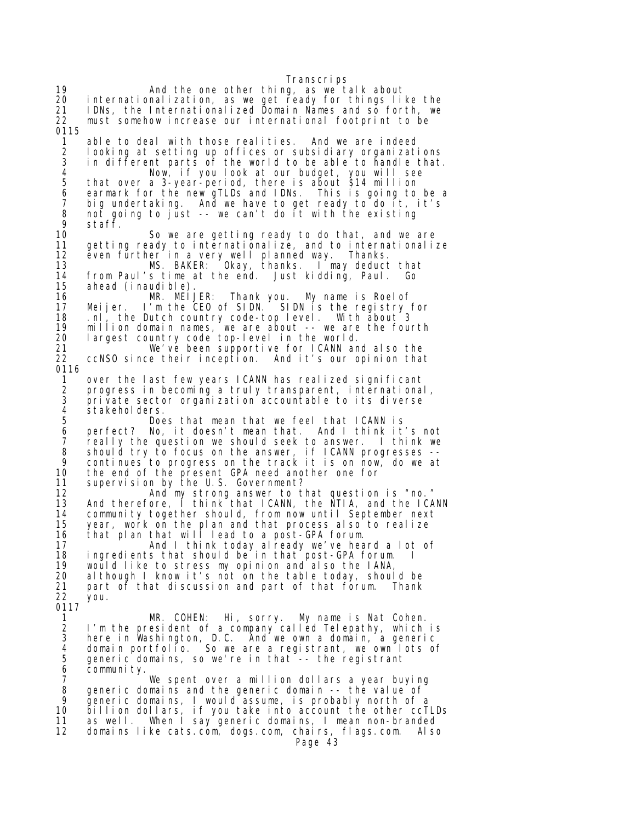Transcrips 19 And the one other thing, as we talk about 20 internationalization, as we get ready for things like the 21 IDNs, the Internationalized Domain Names and so forth, we<br>22 must somehow increase our international footprint to be must somehow increase our international footprint to be 0115 1 able to deal with those realities. And we are indeed 2 looking at setting up offices or subsidiary organizations 3 in different parts of the world to be able to handle that.<br>4 Now, if you look at our budget, you will see 4 Now, if you look at our budget, you will see 5 that over a 3-year-period, there is about \$14 million 6 earmark for the new gTLDs and IDNs. This is going to be a 7 big undertaking. And we have to get ready to do it, it's 8 not going to just -- we can't do it with the existing 9 staff. 10 So we are getting ready to do that, and we are 11 getting ready to internationalize, and to internationalize<br>12 even further in a very well planned way. Thanks. even further in a very well planned way. Thanks. 13 MS. BAKER: Okay, thanks. I may deduct that 14 from Paul's time at the end. Just kidding, Paul. Go 15 ahead (inaudible).<br>16 MR. MEIJER: 16 **MR. MEIJER: Thank you. My name is Roelof**<br>17 Meijer. I'm the CEO of SIDN. SIDN is the registry t Meijer. I'm the CEO of SIDN. SIDN is the registry for 18 .nl, the Dutch country code-top level. With about 3 19 million domain names, we are about -- we are the fourth 20 largest country code top-level in the world. 21 We've been supportive for ICANN and also the<br>22 ccNSO since their inception. And it's our opinion that  $ccNSO$  since their inception. And it's our opinion that 0116 1 over the last few years ICANN has realized significant<br>2 orogress in becoming a truly transparent, international 2 progress in becoming a truly transparent, international,<br>3 private sector organization accountable to its diverse 3 private sector organization accountable to its diverse<br>4 stakeholders. 4 stakeholders.<br>5 Doe 5 Does that mean that we feel that ICANN is 6 perfect? No, it doesn't mean that. And I think it's not 7 really the question we should seek to answer. I think we<br>8 should try to focus on the answer, if ICANN progresses -- 8 should try to focus on the answer, if ICANN progresses -- 9 continues to progress on the track it is on now, do we at<br>10 the end of the present GPA need another one for 10 the end of the present GPA need another one for<br>11 supervision by the U.S. Government? 11 supervision by the U.S. Government?<br>12 And my strong answer to t 12 And my strong answer to that question is "no." 13 And therefore, I think that ICANN, the NTIA, and the ICANN 14 community together should, from now until September next 15 year, work on the plan and that process also to realize 16 that plan that will lead to a post-GPA forum. 17 **And I think today already we've heard a lot of** 18 ingredients that should be in that post-GPA forum. I<br>19 would like to stress my opinion and also the IANA. 19 would like to stress my opinion and also the IANA, although I know it's not on the table today, should be 21 part of that discussion and part of that forum. Thank 22 you. 0117 1 MR. COHEN: Hi, sorry. My name is Nat Cohen.<br>2 I'm the president of a company called Telepathy, which 2 I'm the president of a company called Telepathy, which is<br>3 here in Washington, D.C. And we own a domain, a generic 3 here in Washington, D.C. And we own a domain, a generic 4 domain portfolio. So we are a registrant, we own lots of 5 generic domains, so we're in that -- the registrant<br>6 community. 6 community. 7 We spent over a million dollars a year buying<br>8 generic domains and the generic domain -- the value of 8 generic domains and the generic domain -- the value of<br>9 deneric domains I would assume is probably porth of a 9 generic domains, I would assume, is probably north of a 10 billion dollars, if you take into account the other ccTLDs 11 as well. When I say generic domains, I mean non-branded 12 domains like cats.com, dogs.com, chairs, flags.com. Also Page 43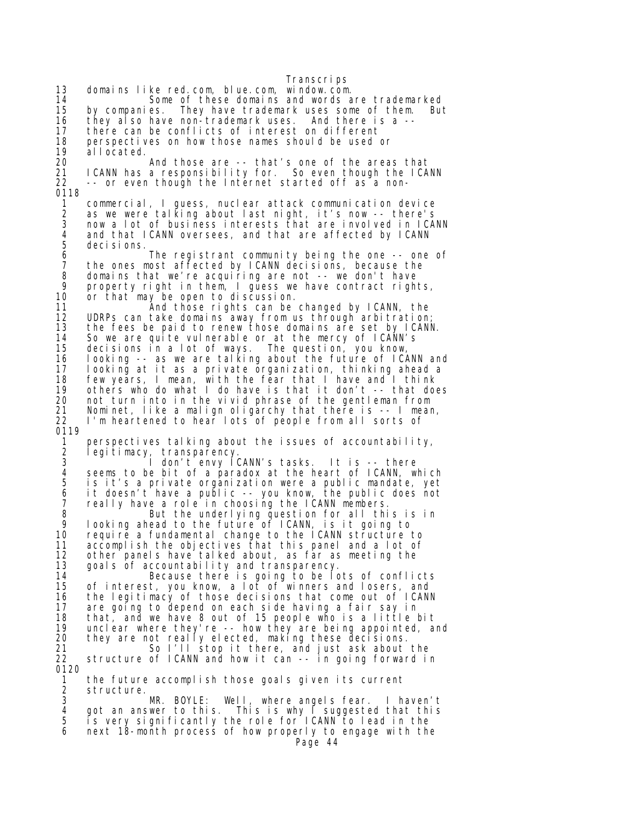13 domains like red.com, blue.com, window.com. 14 Some of these domains and words are trademarked 15 by companies. They have trademark uses some of them. But<br>16 they also have non-trademark uses. And there is a --16 they also have non-trademark uses. And there is a -- 17 there can be conflicts of interest on different 18 perspectives on how those names should be used or 19 allocated. 20 And those are -- that's one of the areas that I CANN has a responsibility for. So even though the ICANN 22 -- or even though the Internet started off as a non-0118 1 commercial, I guess, nuclear attack communication device 2 as we were talking about last night, it's now -- there's 3 now a lot of business interests that are involved in ICANN 4 and that ICANN oversees, and that are affected by ICANN 5 decisions. 6 The registrant community being the one -- one of 7 the ones most affected by ICANN decisions, because the 8 domains that we're acquiring are not -- we don't have 9 property right in them, I guess we have contract rights,<br>10 or that may be open to discussion. 10 or that may be open to discussion.<br>11 **And those rights can be** And those rights can be changed by ICANN, the 12 UDRPs can take domains away from us through arbitration; 13 the fees be paid to renew those domains are set by ICANN.<br>14 So we are quite vulnerable or at the mercy of ICANN's 14 So we are quite vulnerable or at the mercy of ICANN's<br>15 decisions in a lot of ways. The question, you know. 15 decisions in a lot of ways. The question, you know,<br>16 looking -- as we are talking about the future of IC looking -- as we are talking about the future of ICANN and 17 looking at it as a private organization, thinking ahead a 18 few years, I mean, with the fear that I have and I think 19 others who do what I do have is that it don't -- that does 20 not turn into in the vivid phrase of the gentleman from 21 Nominet, like a malign oligarchy that there is -- I mean,<br>22 I'm heartened to hear lots of people from all sorts of I'm heartened to hear lots of people from all sorts of 0119 1 perspectives talking about the issues of accountability,<br>2 legitimacy, transparency. 2 legitimacy, transparency. 3 I don't envy ICANN's tasks. It is -- there 4 seems to be bit of a paradox at the heart of ICANN, which<br>5 is it's a private organization were a public mandate, yet 5 is it's a private organization were a public mandate, yet 6 it doesn't have a public -- you know, the public does not 7 really have a role in choosing the ICANN members. 8 But the underlying question for all this is in 9 looking ahead to the future of ICANN, is it going to 10 require a fundamental change to the ICANN structure to 11 accomplish the objectives that this panel and a lot of 12 other panels have talked about, as far as meeting the<br>13 goals of accountability and transparency. 13 goals of accountability and transparency. 14 Because there is going to be lots of conflicts 15 of interest, you know, a lot of winners and losers, and 16 the legitimacy of those decisions that come out of ICANN 17 are going to depend on each side having a fair say in 18 that, and we have 8 out of 15 people who is a little bit 19 unclear where they're -- how they are being appointed, and<br>20 they are not really elected, making these decisions. they are not really elected, making these decisions. 21 So I'll stop it there, and just ask about the structure of ICANN and how it can -- in going forward in 0120 1 the future accomplish those goals given its current<br>2 structure.<br>3 MR. BOYLE: Well, where angels fear. I ha structure. 3 MR. BOYLE: Well, where angels fear. I haven't 4 got an answer to this. This is why I suggested that this<br>5 is very significantly the role for ICANN to lead in the 5 is very significantly the role for ICANN to lead in the 6 next 18-month process of how properly to engage with the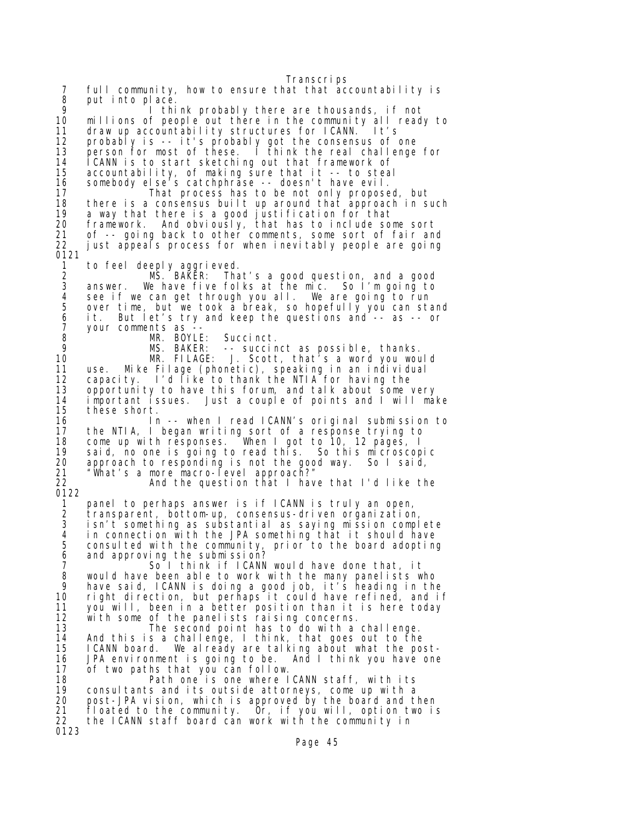Transcrips 7 full community, how to ensure that that accountability is 8 put into place. 9 I think probably there are thousands, if not 10 millions of people out there in the community all ready to<br>11 draw up accountability structures for ICANN. It's 11 draw up accountability structures for ICANN. It's 12 probably is -- it's probably got the consensus of one 13 person for most of these. I think the real challenge for 14 ICANN is to start sketching out that framework of accountability, of making sure that it -- to steal 16 somebody else's catchphrase -- doesn't have evil. 17 That process has to be not only proposed, but 18 there is a consensus built up around that approach in such 19 a way that there is a good justification for that 20 framework. And obviously, that has to include some sort 21 of -- going back to other comments, some sort of fair and 22 just appeals process for when inevitably people are going 0121 1 to feel deeply aggrieved. 2 MS. BAKER: That's a good question, and a good 3 answer. We have five folks at the mic. So I'm going to 4 see if we can get through you all. We are going to run<br>5 over time, but we took a break, so hopefully you can sta 5 over time, but we took a break, so hopefully you can stand 6 it. But let's try and keep the questions and -- as -- or 7 your comments as<br>8 MR. BOY 8 MR. BOYLE: Succinct.<br>9 MS. BAKER: -- succin 9 MS. BAKER: -- succinct as possible, thanks. J. Scott, that's a word you would 11 use. Mike Filage (phonetic), speaking in an individual 12 capacity. I'd like to thank the NTIA for having the 13 opportunity to have this forum, and talk about some very 14 important issues. Just a couple of points and I will make 15 these short. 16 In -- when I read ICANN's original submission to<br>17 the NTIA. I began writing sort of a response trying to 17 the NTIA, I began writing sort of a response trying to 18 come up with responses. When I got to 10, 12 pages, I 19 said, no one is going to read this. So this microscopic 20 approach to responding is not the good way. So I said,<br>21 "What's a more macro-level approach?" "What's a more macro-level approach?" 22 And the question that I have that I'd like the 0122 1 panel to perhaps answer is if ICANN is truly an open, 2 transparent, bottom-up, consensus-driven organization, isn't something as substantial as saying mission complete 4 in connection with the JPA something that it should have<br>5 consulted with the community, prior to the board adopting 5 consulted with the community, prior to the board adopting<br>6 and approving the submission? 6 and approving the submission? 7 Soil think if ICANN would have done that, it<br>8 would have been able to work with the many panelists w 8 would have been able to work with the many panelists who 9 have said, ICANN is doing a good job, it's heading in the 10 right direction, but perhaps it could have refined, and if 11 you will, been in a better position than it is here today 12 with some of the panelists raising concerns. 13 The second point has to do with a challenge.<br>14 And this is a challenge, I think, that goes out to the And this is a challenge, I think, that goes out to the 15 ICANN board. We already are talking about what the post-16 JPA environment is going to be. And I think you have one 17 of two paths that you can follow.<br>18 Path one is one where I 18 **Path one is one where ICANN staff, with its**<br>19 **consultants and its outside attorneys**, come up with a 19 consultants and its outside attorneys, come up with a 20 post-JPA vision, which is approved by the board and then 21 floated to the community. Or, if you will, option two is 22 the ICANN staff board can work with the community in 0123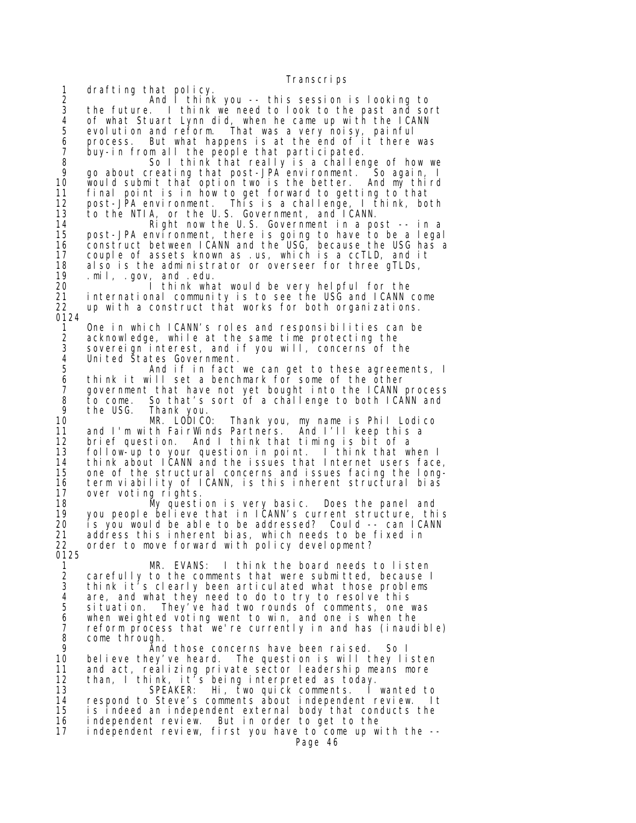Transcrips 1 drafting that policy.<br>2 And I think<br>3 the future. I think 2 And I think you -- this session is looking to 3 the future. I think we need to look to the past and sort<br>4 of what Stuart Lynn did, when he came up with the ICANN 4 of what Stuart Lynn did, when he came up with the ICANN<br>5 evolution and reform. That was a very noisy, painful 5 evolution and reform. That was a very noisy, painful 6 process. But what happens is at the end of it there was 6 process. But what happens is at the end of i<br>7 buy-in from all the people that participated.<br>8 6 1 think that really is a challen 8 So I think that really is a challenge of how we<br>9 qo about creating that post-JPA environment. So again. I 9 go about creating that post-JPA environment. So again, I<br>10 would submit that option two is the better. And my third 10 would submit that option two is the better.<br>11 final point is in how to get forward to getti 11 final point is in how to get forward to getting to that 12 post-JPA environment. This is a challenge, I think, both 13 to the NTIA, or the U.S. Government, and ICANN. 14 Right now the U.S. Government in a post -- in a 15 post-JPA environment, there is going to have to be a legal 16 construct between ICANN and the USG, because the USG has a 17 couple of assets known as .us, which is a ccTLD, and it 18 also is the administrator or overseer for three gTLDs,<br>19 .mil. .gov. and .edu. 19 .mil, .gov, and .edu. 20 I think what would be very helpful for the<br>21 international community is to see the USG and ICANN 21 international community is to see the USG and ICANN come up with a construct that works for both organizations. 0124 1 One in which ICANN's roles and responsibilities can be 2 acknowledge, while at the same time protecting the 3 sovereign interest, and if you will, concerns of the 4 United States Government. 5 And if in fact we can get to these agreements, I 6 think it will set a benchmark for some of the other 7 government that have not yet bought into the ICANN process 8 to come. So that's sort of a challenge to both ICANN and 9 the USG. Thank you.<br>10 MR. LODICO: 10 MR. LODICO: Thank you, my name is Phil Lodico 11 and I'm with FairWinds Partners. And I'll keep this a 12 brief question. And I think that timing is bit of a 13 follow-up to your question in point. I think that when I 14 think about ICANN and the issues that Internet users face, 15 one of the structural concerns and issues facing the long-16 term viability of ICANN, is this inherent structural biased 17 over voting rights. over voting rights. 18 My question is very basic. Does the panel and 19 you people believe that in ICANN's current structure, this 20 is you would be able to be addressed? Could -- can ICANN 21 address this inherent bias, which needs to be fixed in 22 order to move forward with policy development? 0125 1 MR. EVANS: I think the board needs to listen<br>2 carefully to the comments that were submitted, because I 2 carefully to the comments that were submitted, because I 3 think it's clearly been articulated what those problems 4 are, and what they need to do to try to resolve this 5 situation. They've had two rounds of comments, one was<br>6 when weighted voting went to win, and one is when the<br>7 reform process that we're currently in and has (inaudib) when weighted voting went to win, and one is when the 7 reform process that we're currently in and has (inaudible)<br>8 come through. 8 come through.<br>9 And 9 And those concerns have been raised. So I 10 believe they've heard. The question is will they listen<br>11 and act, realizing private sector leadership means more 11 and act, realizing private sector leadership means more<br>12 than, I think, it's being interpreted as today. 12 than, I think, it's being interpreted as today. 13 SPEAKER: Hi, two quick comments. I wanted to 14 respond to Steve's comments about independent review. It is indeed an independent external body that conducts the 16 independent review. But in order to get to the 17 independent review, first you have to come up with the -- Page 46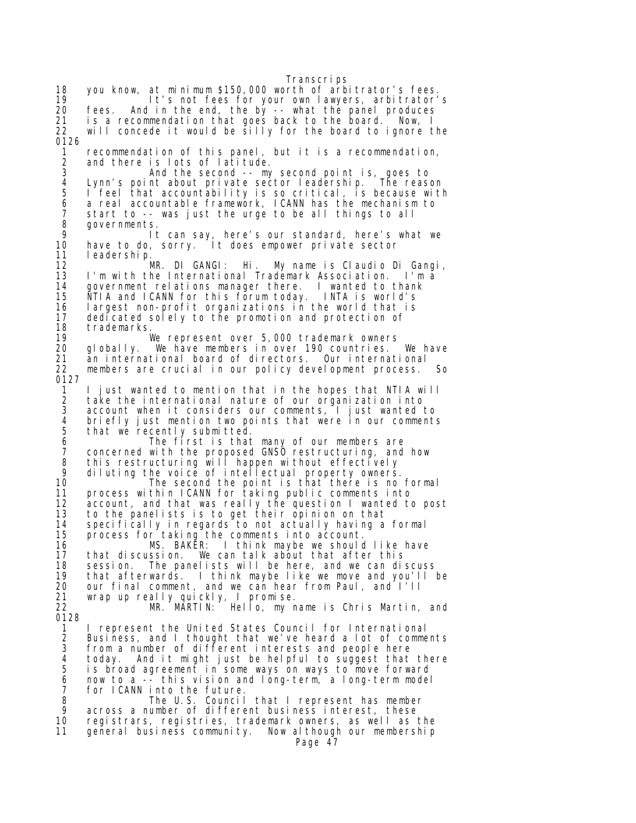Transcrips 18 you know, at minimum \$150,000 worth of arbitrator's fees. 19 It's not fees for your own lawyers, arbitrator's<br>20 fees. And in the end. the by -- what the panel produces 20 fees. And in the end, the by -- what the panel produces 21 is a recommendation that goes back to the board. Now, I 22 will concede it would be silly for the board to ignore the 0126 1 recommendation of this panel, but it is a recommendation, 2 and there is lots of latitude.<br>3 And the second -- my 3 And the second -- my second point is, goes to 4 Lynn's point about private sector leadership. The reason 5 I feel that accountability is so critical, is because with<br>6 a real accountable framework, ICANN has the mechanism to 6 a real accountable framework, ICANN has the mechanism to start to -- was just the urge to be all things to all .8 governments<br>11 9 It can say, here's our standard, here's what we 10 have to do, sorry. It does empower private sector<br>11 leadership. I eadership. 12 MR. DI GANGI: Hi. My name is Claudio Di Gangi, 13 I'm with the International Trademark Association. I'm a 14 government relations manager there. I wanted to thank 15 NTIA and ICANN for this forum today. INTA is world's largest non-profit organizations in the world that is 17 dedicated solely to the promotion and protection of 18 trademarks. 19 We represent over 5,000 trademark owners 20 globally. We have members in over 190 countries.<br>21 an international board of directors. Our internat an international board of directors. Our international 22 members are crucial in our policy development process. So 0127 1 I just wanted to mention that in the hopes that NTIA will 2 take the international nature of our organization into 3 account when it considers our comments, I just wanted to<br>4 briefly just mention two points that were in our comment 4 briefly just mention two points that were in our comments 5 that we recently submitted. 6 The first is that many of our members are<br>7 concerned with the proposed GNSO restructuring, and 7 concerned with the proposed GNSO restructuring, and how 8 this restructuring will happen without effectively 9 diluting the voice of intellectual property owners.<br>10 The second the point is that there is no 10 The second the point is that there is no formal 11 process within ICANN for taking public comments into 12 account, and that was really the question I wanted to post 13 to the panelists is to get their opinion on that 14 specifically in regards to not actually having a formal process for taking the comments into account. 16 Process For California Commence Three assessments of the have 17 that discussion. We can talk about that after this<br>18 session. The panelists will be here, and we can dis 18 session. The panelists will be here, and we can discuss<br>19 that afterwards. I think maybe like we move and you'll 19 that afterwards. I think maybe like we move and you'll be 20 our final comment, and we can hear from Paul, and I'll 21 wrap up really quickly, I promise. 22 MR. MARTIN: Hello, my name is Chris Martin, and 0128 1 I represent the United States Council for International<br>2 Business, and I thought that we've heard a lot of comme 2 Business, and I thought that we've heard a lot of comments<br>3 from a number of different interests and people here 3 from a number of different interests and people here 4 today. And it might just be helpful to suggest that there<br>5 is broad agreement in some ways on ways to move forward 5 is broad agreement in some ways on ways to move forward 6 now to a -- this vision and long-term, a long-term model<br>7 for ICANN into the future. 7 for ICANN into the future.<br>8 The U.S. Council 8 The U.S. Council that I represent has member 9 across a number of different business interest, these<br>10 registrars, registries, trademark owners, as well as registrars, registries, trademark owners, as well as the 11 general business community. Now although our membership Page 47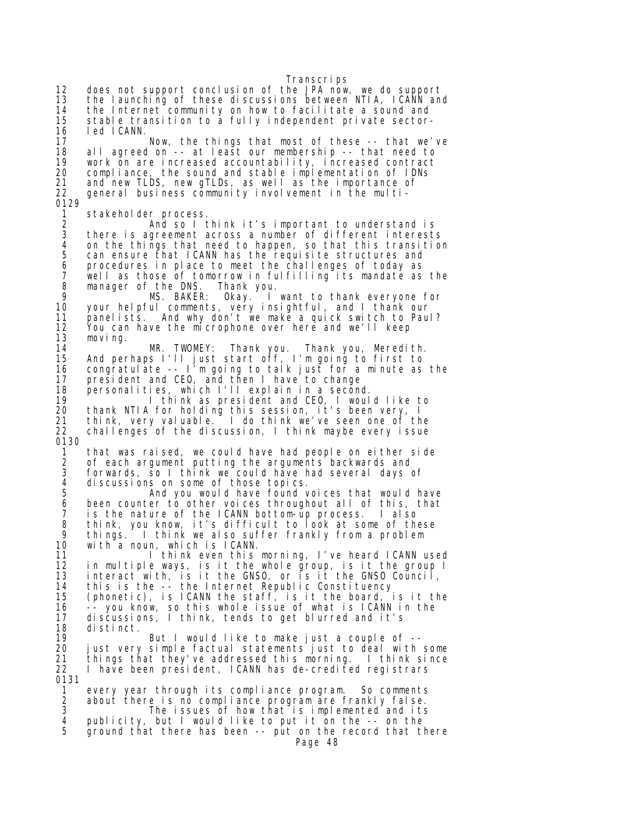12 does not support conclusion of the JPA now, we do support 13 the launching of these discussions between NTIA, ICANN and 14 the Internet community on how to facilitate a sound and<br>15 stable transition to a fully independent private sectorstable transition to a fully independent private sector-16 led ICANN. 17 Now, the things that most of these -- that we've 18 all agreed on -- at least our membership -- that need to 19 work on are increased accountability, increased contract compliance, the sound and stable implementation of IDNs 21 and new TLDS, new gTLDs, as well as the importance of<br>22 general business community involvement in the multigeneral business community involvement in the multi-0129 1 stakeholder process.<br>2 And so I t 2 And so I think it's important to understand is 3 there is agreement across a number of different interests 4 on the things that need to happen, so that this transition<br>5 can ensure that ICANN has the requisite structures and 5 can ensure that ICANN has the requisite structures and<br>6 procedures in place to meet the challenges of today as<br>7 well as those of tomorrow in fulfilling its mandate as procedures in place to meet the challenges of today as 7 well as those of tomorrow in fulfilling its mandate as the 8 manager of the DNS. Thank you. 9 MS. BAKER: Okay. I want to thank everyone for 10 your helpful comments, very insightful, and I thank our 11 panelists. And why don't we make a quick switch to Paul? 12 You can have the microphone over here and we'll keep 13 moving. 14 MR. TWOMEY: Thank you. Thank you, Meredith. 15 And perhaps I'll just start off, I'm going to first to 16 congratulate -- I'm going to talk just for a minute as the 17 president and CEO, and then I have to change 18 personalities, which I'll explain in a second. 19 I think as president and CEO, I would like to 20 thank NTIA for holding this session, it's been very, I 21 think, very valuable. I do think we've seen one of the 22 challenges of the discussion, I think maybe every issue 0130 1 that was raised, we could have had people on either side 2 of each argument putting the arguments backwards and 3 forwards, so I think we could have had several days of<br>4 discussions on some of those topics. 4 discussions on some of those topics.<br>5 And you would have found v 5 And you would have found voices that would have 6 been counter to other voices throughout all of this, that 7 is the nature of the ICANN bottom-up process. I also 8 think, you know, it's difficult to look at some of these 9 things. I think we also suffer frankly from a problem 10 with a noun, which is ICANN. 11 I think even this morning, I've heard ICANN used<br>12 in multiple ways, is it the whole group, is it the group I 12 in multiple ways, is it the whole group, is it the group I 13 interact with, is it the GNSO, or is it the GNSO Council, 14 this is the -- the Internet Republic Constituency 15 (phonetic), is ICANN the staff, is it the board, is it the 16 -- you know, so this whole issue of what is ICANN in the 17 discussions, I think, tends to get blurred and it's 18 distinct. But I would like to make just a couple of  $-$ -20 just very simple factual statements just to deal with some 21 things that they've addressed this morning. I think since 22 I have been president, ICANN has de-credited registrars 0131 1 every year through its compliance program. So comments 2 about there is no compliance program are frankly false. 3 The issues of how that is implemented and its 4 publicity, but I would like to put it on the -- on the ground that there has been -- put on the record that there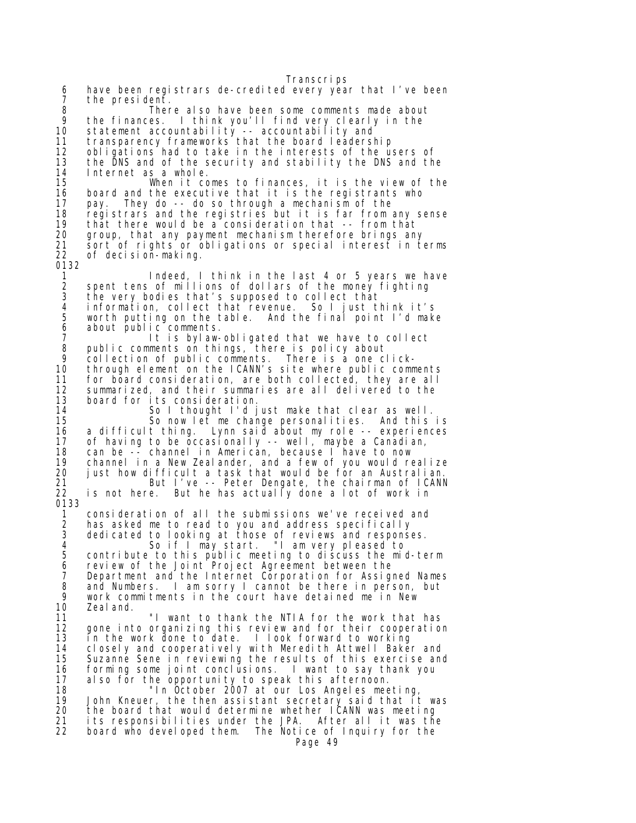Transcrips 6 have been registrars de-credited every year that I've been 7 the president.<br>8 Ther 8 There also have been some comments made about 9 the finances. I think you'll find very clearly in the 10 statement accountability -- accountability and 11 transparency frameworks that the board leadership 12 obligations had to take in the interests of the users of 13 the DNS and of the security and stability the DNS and the Internet as a whole. 15 When it comes to finances, it is the view of the 16 board and the executive that it is the registrants who  $17$  pay they do  $-5$  do so through a mechanism of the pay. They do -- do so through a mechanism of the 18 registrars and the registries but it is far from any sense<br>19 that there would be a consideration that -- from that that there would be a consideration that  $-$ - from that 20 group, that any payment mechanism therefore brings any 21 sort of rights or obligations or special interest in terms<br>22 of decision-making. of decision-making. 0132 1 Indeed, I think in the last 4 or 5 years we have 2 spent tens of millions of dollars of the money fighting<br>3 the very bodies that's supposed to collect that 3 the very bodies that's supposed to collect that 4 information, collect that revenue. So I just think it's 5 worth putting on the table. And the final point I'd make 6 about public comments. 7 It is bylaw-obligated that we have to collect 8 public comments on things, there is policy about 9 collection of public comments. There is a one click-<br>10 through element on the ICANN's site where public comm through element on the ICANN's site where public comments 11 for board consideration, are both collected, they are all 12 summarized, and their summaries are all delivered to the 13 board for its consideration. 14 So I thought I'd just make that clear as well. 15 So now let me change personalities. And this is 16 a difficult thing. Lynn said about my role -- experiences 17 of having to be occasionally -- well, maybe a Canadian, 18 can be -- channel in American, because l have to now<br>19 channel in a New Zealander, and a few of you would re 19 channel in a New Zealander, and a few of you would realize 20 just how difficult a task that would be for an Australian. 21 **But I've -- Peter Dengate, the chairman of ICANN**<br>22 is not here. But he has actually done a lot of work in is not here. But he has actually done a lot of work in 0133 1 consideration of all the submissions we've received and<br>2 has asked me to read to you and address specifically 2 has asked me to read to you and address specifically 3 dedicated to looking at those of reviews and responses. 4 So if I may start. "I am very pleased to 5 contribute to this public meeting to discuss the mid-term<br>6 review of the Joint Project Agreement between the 6 review of the Joint Project Agreement between the Department and the Internet Corporation for Assigned Names 8 and Numbers. I am sorry I cannot be there in person, but 9 work commitments in the court have detained me in New<br>10 Zealand. 10 Zeal and.<br>11 11 "I want to thank the NTIA for the work that has 12 gone into organizing this review and for their cooperation<br>13 in the work done to date. I look forward to working In the work done to date. I look forward to working 14 closely and cooperatively with Meredith Attwell Baker and 15 Suzanne Sene in reviewing the results of this exercise and 16 forming some joint conclusions. I want to say thank you<br>17 also for the opportunity to speak this afternoon. 17 also for the opportunity to speak this afternoon. 18 "In October 2007 at our Los Angeles meeting, 19 John Kneuer, the then assistant secretary said that it was 20 the board that would determine whether ICANN was meeting<br>21 its responsibilities under the JPA. After all it was the 21 its responsibilities under the JPA. After all it was the board who developed them. The Notice of Inquiry for the Page 49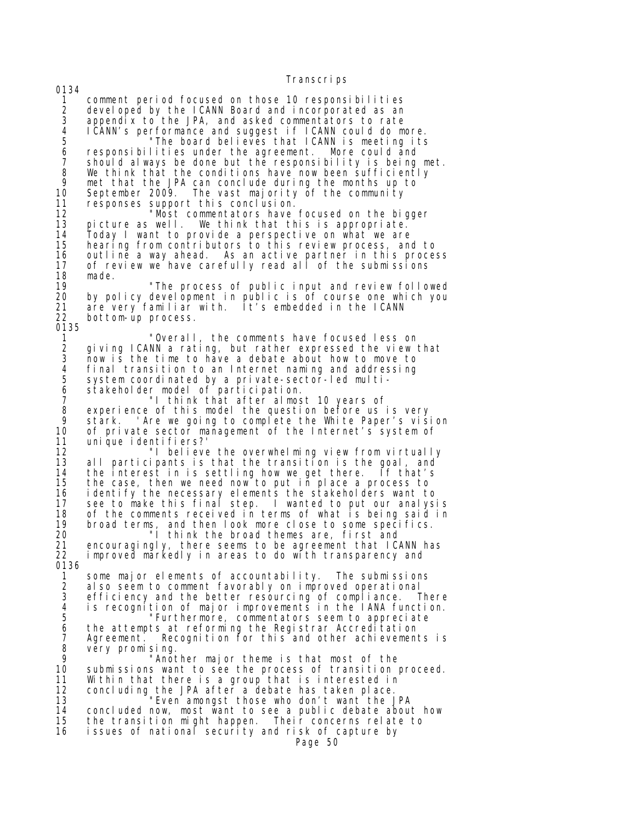0134 1 comment period focused on those 10 responsibilities 2 developed by the ICANN Board and incorporated as an<br>3 appendix to the JPA, and asked commentators to rate 3 appendix to the JPA, and asked commentators to rate 4 ICANN's performance and suggest if ICANN could do more. 5 "The board believes that ICANN is meeting its 6 responsibilities under the agreement. More could and 7 should always be done but the responsibility is being met.<br>8 We think that the conditions have now been sufficiently 8 We think that the conditions have now been sufficiently 9 met that the JPA can conclude during the months up to<br>10 September 2009. The vast majority of the community 10 September 2009. The vast majority of the community<br>11 responses support this conclusion. 11 responses support this conclusion. 12 "Most commentators have focused on the bigger 13 picture as well. We think that this is appropriate. 14 Today I want to provide a perspective on what we are 15 hearing from contributors to this review process, and to 16 outline a way ahead. As an active partner in this process<br>17 of review we have carefully read all of the submissions of review we have carefully read all of the submissions 18 made. 19 "The process of public input and review followed 20 by policy development in public is of course one which you<br>21 are very familiar with. It's embedded in the ICANN are very familiar with. It's embedded in the ICANN 22 bottom-up process. 0135 1 "Overall, the comments have focused less on 2 giving ICANN a rating, but rather expressed the view that 3 now is the time to have a debate about how to move to 4 final transition to an Internet naming and addressing<br>5 system coordinated by a private-sector-led multi-5 system coordinated by a private-sector-led multi-<br>6 stakeholder model of participation. 6 stakeholder model of participation. 7 "I think that after almost 10 years of 8 experience of this model the question before us is very 9 stark. 'Are we going to complete the White Paper's vision<br>10 of private sector management of the Internet's system of 10 of private sector management of the Internet's system of<br>11 unique identifiers?' 11 unique identifiers?'<br>12 "I believe 12 "I believe the overwhelming view from virtually 13 all participants is that the transition is the goal, and 14 the interest in is settling how we get there. If that's 15 the case, then we need now to put in place a process to 16 identify the necessary elements the stakeholders want to 17 see to make this final step. I wanted to put our analysis 18 of the comments received in terms of what is being said in 19 broad terms, and then look more close to some specifics. 20 "I think the broad themes are, first and 21 encouragingly, there seems to be agreement that ICANN has<br>22 improved markedly in areas to do with transparency and improved markedly in areas to do with transparency and 0136 1 some major elements of accountability. The submissions 2 also seem to comment favorably on improved operational 3 efficiency and the better resourcing of compliance. There 4 is recognition of major improvements in the IANA function.<br>5 Territhermore, commentators seem to appreciate 5 "Furthermore, commentators seem to appreciate 6 the attempts at reforming the Registrar Accreditation<br>7 Agreement. Recognition for this and other achievemen 7 Agreement. Recognition for this and other achievements is 8 very promising.<br>9 Anot 9 "Another major theme is that most of the 10 submissions want to see the process of transition proceed.<br>11 Within that there is a group that is interested in 11 Within that there is a group that is interested in 12 concluding the JPA after a debate has taken place. 13 "Even amongst those who don't want the JPA 14 concluded now, most want to see a public debate about how the transition might happen. Their concerns relate to 16 issues of national security and risk of capture by Page 50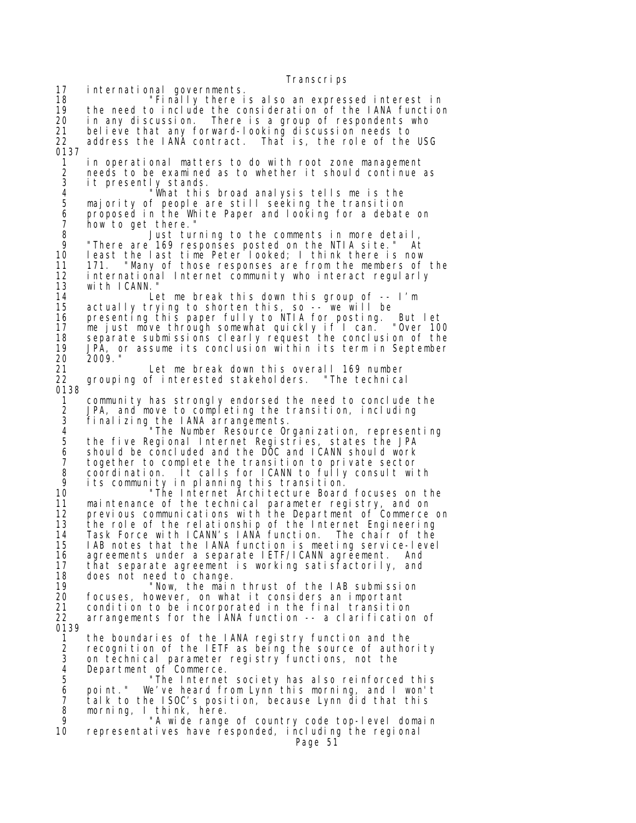17 international governments. 18 Tinally there is also an expressed interest in<br>19 the need to include the consideration of the IANA function 19 the need to include the consideration of the IANA function 20 in any discussion. There is a group of respondents who 21 believe that any forward-looking discussion needs to 22 address the IANA contract. That is, the role of the USG 0137 1 in operational matters to do with root zone management 2 needs to be examined as to whether it should continue as<br>3 it presently stands. 3 it presently stands. <sup>4</sup> "What this broad analysis tells me is the<br>5 majority of people are still seeking the transition 5 majority of people are still seeking the transition 6 proposed in the White Paper and looking for a debate on 7 how to get there." 8 **Just turning to the comments in more detail,**<br>9 There are 169 responses posted on the NTIA site. At 9 "There are 169 responses posted on the NTIA site." At least the last time Peter looked; I think there is now 11 171. "Many of those responses are from the members of the 12 international Internet community who interact regularly 13 with ICANN.<br>14 L 14 Let me break this down this group of -- I'm 15 actually trying to shorten this, so -- we will be 16 presenting this paper fully to NTIA for posting. But let 17 me just move through somewhat quickly if I can. "Over 100 18 separate submissions clearly request the conclusion of the 19 JPA, or assume its conclusion within its term in September 20 2009." 21 Let me break down this overall 169 number 22 grouping of interested stakeholders. "The technical 0138 1 community has strongly endorsed the need to conclude the<br>2 JPA, and move to completing the transition, including 2 JPA, and move to completing the transition, including<br>3 finalizing the IANA arrangements. 3 finalizing the IANA arrangements. 4 "The Number Resource Organization, representing 5 the five Regional Internet Registries, states the JPA 6 should be concluded and the DOC and ICANN should work 7 together to complete the transition to private sector 8 coordination. It calls for ICANN to fully consult with<br>9 its community in planning this transition 9 its community in planning this transition. 10 "The Internet Architecture Board focuses on the 11 maintenance of the technical parameter registry, and on 12 previous communications with the Department of Commerce on 13 the role of the relationship of the Internet Engineering<br>14 Task Force with ICANN's IANA function. The chair of the Task Force with ICANN's IANA function. The chair of the 15 IAB notes that the IANA function is meeting service-level 16 agreements under a separate IETF/ICANN agreement. And 17 that separate agreement is working satisfactorily, and 18 does not need to change. 19 "Now, the main thrust of the IAB submission 20 focuses, however, on what it considers an important 21 condition to be incorporated in the final transition<br>22 arrangements for the IANA function -- a clarification arrangements for the IANA function -- a clarification of 0139<br>1 the boundaries of the IANA registry function and the 2 recognition of the IETF as being the source of authority<br>3 on technical parameter registry functions, not the 3 on technical parameter registry functions, not the 4 Department of Commerce. 5 "The Internet society has also reinforced this 6 point." We've heard from Lynn this morning, and I won't 6 point." We've heard from Lynn this morning, and I won't<br>7 talk to the ISOC's position, because Lynn did that this<br>8 morning, I think, here. 8 morning, I think, here.<br>9 morning, I think, here. 9 "A wide range of country code top-level domain<br>10 representatives have responded, including the regional representatives have responded, including the regional Page 51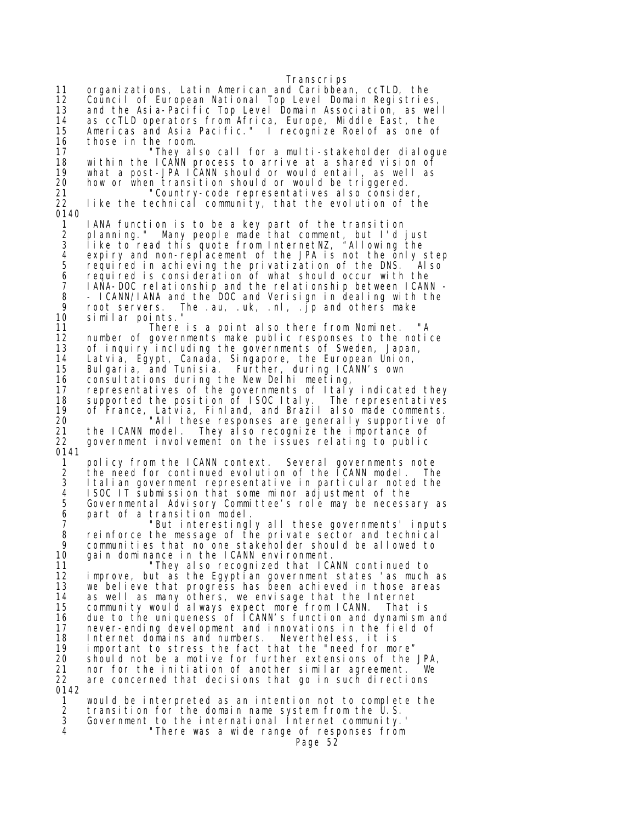Transcrips 11 organizations, Latin American and Caribbean, ccTLD, the 12 Council of European National Top Level Domain Registries, 13 and the Asia-Pacific Top Level Domain Association, as well<br>14 as ccTLD operators from Africa, Europe, Middle East, the 14 as ccTLD operators from Africa, Europe, Middle East, the 15 Americas and Asia Pacific." I recognize Roelof as one of 16 those in the room.<br>17 They al 17 "They also call for a multi-stakeholder dialogue 18 within the ICANN process to arrive at a shared vision of 19 what a post-JPA ICANN should or would entail, as well as how or when transition should or would be triggered. 21 "Country-code representatives also consider, like the technical community, that the evolution of the 0140 1 IANA function is to be a key part of the transition 2 planning." Many people made that comment, but I'd just 3 like to read this quote from InternetNZ, "Allowing the 4 expiry and non-replacement of the JPA is not the only step 5 required in achieving the privatization of the DNS. Also 6 required is consideration of what should occur with the 7 IANA-DOC relationship and the relationship between ICANN - 8 - ICANN/IANA and the DOC and Verisign in dealing with the root servers. The .au, .uk, .nl, .jp and others make 10 similar points." 11 There is a point also there from Nominet. "A<br>12 Inumber of governments make public responses to the notic 12 number of governments make public responses to the notice<br>13 of inguiry including the governments of Sweden, Japan, 13 of inquiry including the governments of Sweden, Japan, 14 Latvia, Egypt, Canada, Singapore, the European Union, 15 Bulgaria, and Tunisia. Further, during ICANN's own 16 consultations during the New Delhi meeting, representatives of the governments of Italy indicated they 18 supported the position of ISOC Italy. The representatives 19 of France, Latvia, Finland, and Brazil also made comments. 20 "All these responses are generally supportive of 21 the ICANN model. They also recognize the importance of 22 government involvement on the issues relating to public 0141 1 policy from the ICANN context. Several governments note 2 the need for continued evolution of the ICANN model. The 3 Italian government representative in particular noted the 4 ISOC IT submission that some minor adjustment of the 5 Governmental Advisory Committee's role may be necessary as .6 part of a transition model<br>7 "But interestingl 7 "But interestingly all these governments' inputs 8 reinforce the message of the private sector and technical 9 communities that no one stakeholder should be allowed to<br>10 qain dominance in the ICANN environment. gain dominance in the ICANN environment. 11 "They also recognized that ICANN continued to 12 improve, but as the Egyptian government states 'as much as 13 we believe that progress has been achieved in those areas 14 as well as many others, we envisage that the Internet 15 community would always expect more from ICANN. That is 16 due to the uniqueness of ICANN's function and dynamism and<br>17 never-ending development and innovations in the field of 17 never-ending development and innovations in the field of 18 Internet domains and numbers.<br>19 important to stress the fact 19 important to stress the fact that the "need for more" should not be a motive for further extensions of the JPA, 21 nor for the initiation of another similar agreement. We 22 are concerned that decisions that go in such directions 0142 1 would be interpreted as an intention not to complete the 2 transition for the domain name system from the U.S. 3 Government to the international Internet community.<br>4 There was a wide range of responses from "There was a wide range of responses from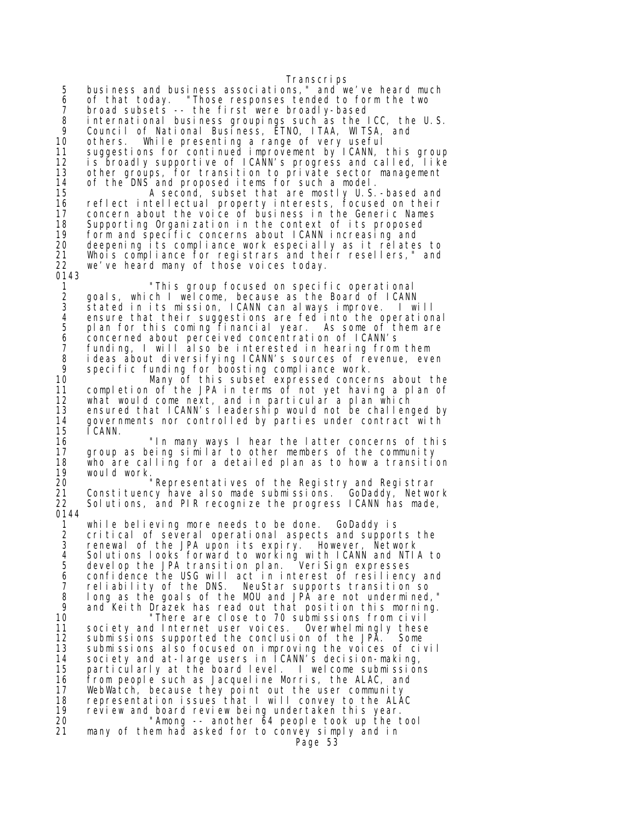Transcrips 5 business and business associations," and we've heard much 6 of that today. "Those responses tended to form the two 7 broad subsets -- the first were broadly-based<br>8 international business groupings such as the l 8 international business groupings such as the ICC, the U.S. 9 Council of National Business, ETNO, ITAA, WITSA, and 10 others. While presenting a range of very useful 11 suggestions for continued improvement by ICANN, this group 12 is broadly supportive of ICANN's progress and called, like<br>13 other groups, for transition to private sector management other groups, for transition to private sector management 14 of the DNS and proposed items for such a model.<br>15 A second, subset that are mostly U.S. 15 A second, subset that are mostly U.S.-based and 16 reflect intellectual property interests, focused on their 17 concern about the voice of business in the Generic Names 18 Supporting Organization in the context of its proposed 19 form and specific concerns about ICANN increasing and<br>20 deepening its compliance work especially as it relates 20 deepening its compliance work especially as it relates to Whois compliance for registrars and their resellers," and 22 we've heard many of those voices today. 0143 1 "This group focused on specific operational 2 goals, which I welcome, because as the Board of ICANN 3 stated in its mission, ICANN can always improve. I will 4 ensure that their suggestions are fed into the operational 5 plan for this coming financial year. As some of them are 6 concerned about perceived concentration of ICANN's 7 funding, I will also be interested in hearing from them 8 ideas about diversifying ICANN's sources of revenue, even 9 specific funding for boosting compliance work. 10 Many of this subset expressed concerns about the<br>11 completion of the JPA in terms of not yet having a plan of completion of the JPA in terms of not yet having a plan of 12 what would come next, and in particular a plan which 13 ensured that ICANN's leadership would not be challenged by 14 governments nor controlled by parties under contract with<br>15 ICANN.  $\overline{I}$  CANN. 16 "In many ways I hear the latter concerns of this group as being similar to other members of the community 18 who are calling for a detailed plan as to how a transition 19 would work. 20 "Representatives of the Registry and Registrar 21 Constituency have also made submissions. GoDaddy, Network 22 Solutions, and PIR recognize the progress ICANN has made, 0144 1 while believing more needs to be done. GoDaddy is 2 critical of several operational aspects and supports the<br>3 renewal of the JPA upon its expiry. However, Network 3 renewal of the JPA upon its expiry. However, Network 4 Solutions looks forward to working with ICANN and NTIA to 5 develop the JPA transition plan. VeriSign expresses<br>6 confidence the USG will act in interest of resiliency<br>7 reliability of the DNS. NeuStar supports transition 6 confidence the USG will act in interest of resiliency and 7 reliability of the DNS. NeuStar supports transition so 8 long as the goals of the MOU and JPA are not undermined," 9 and Keith Drazek has read out that position this morning.<br>10 There are close to 70 submissions from civil 10 There are close to 70 submissions from civil<br>11 society and Internet user voices. Overwhelmingly these 11 society and Internet user voices.<br>12 submissions supported the conclusi submissions supported the conclusion of the JPA. Some 13 submissions also focused on improving the voices of civil 14 society and at-large users in ICANN's decision-making, 15 particularly at the board level. I welcome submissions<br>16 from people such as Jacqueline Morris, the ALAC, and 16 from people such as Jacqueline Morris, the ALAC, and 17 WebWatch, because they point out the user community 18 representation issues that I will convey to the ALAC 19 review and board review being undertaken this year. 20 "Among -- another 64 people took up the tool 21 many of them had asked for to convey simply and in Page 53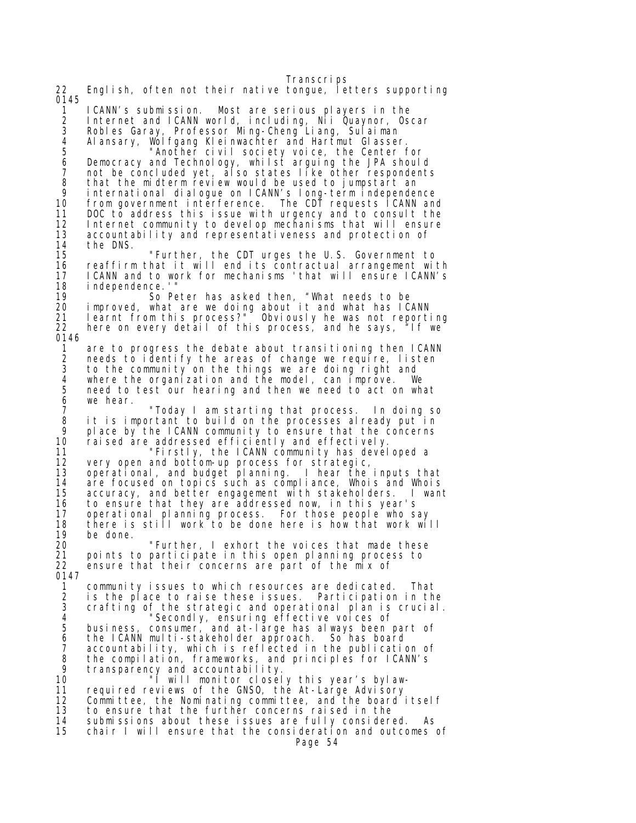Transcrips 22 English, often not their native tongue, letters supporting 0145 1 ICANN's submission. Most are serious players in the 2 Internet and ICANN world, including, Nii Quaynor, Oscar 3 Robles Garay, Professor Ming-Cheng Liang, Sulaiman 4 Alansary, Wolfgang Kleinwachter and Hartmut Glasser. 5 "Another civil society voice, the Center for 6 Democracy and Technology, whilst arguing the JPA should 7 not be concluded yet, also states like other respondents<br>8 that the midterm review would be used to jumpstart an 8 that the midterm review would be used to jumpstart an 9 international dialogue on ICANN's long-term independence 10 from government interference. The CDT requests ICANN and 11 DOC to address this issue with urgency and to consult the 12 Internet community to develop mechanisms that will ensure 13 accountability and representativeness and protection of 14 the DNS.<br>15 "Further, the CDT urges the U.S. Government to 16 reaffirm that it will end its contractual arrangement with 17 ICANN and to work for mechanisms 'that will ensure ICANN's 18 independence.''<br>19 So Pe 19 So Peter has asked then, "What needs to be 20 improved, what are we doing about it and what has ICANN 21 learnt from this process?" Obviously he was not reporting 22 here on every detail of this process, and he says, "If we 0146 1 are to progress the debate about transitioning then ICANN<br>2 needs to identify the areas of change we require, listen 2 needs to identify the areas of change we require, listen<br>3 to the community on the things we are doing right and 3 to the community on the things we are doing right and 4 where the organization and the model, can improve.<br>5 need to test our hearing and then we need to act om 5 need to test our hearing and then we need to act on what<br>6 we hear. 6 we hear. 7 "Today I am starting that process. In doing so 8 it is important to build on the processes already put in 9 place by the ICANN community to ensure that the concerns<br>10 raised are addressed efficiently and effectively. 10 raised are addressed efficiently and effectively.<br>11 Tirstly, the ICANN community has devel "Firstly, the ICANN community has developed a 12 very open and bottom-up process for strategic, 13 operational, and budget planning. I hear the inputs that 14 are focused on topics such as compliance, Whois and Whois 15 accuracy, and better engagement with stakeholders. I want 16 to ensure that they are addressed now, in this year's 17 operational planning process. For those people who say<br>18 there is still work to be done here is how that work wi 18 there is still work to be done here is how that work will<br>19 be done. be done. 20 "Further, I exhort the voices that made these 21 points to participate in this open planning process to<br>22 ensure that their concerns are part of the mix of ensure that their concerns are part of the mix of 0147 1 community issues to which resources are dedicated. That 2 is the place to raise these issues. Participation in the 3 crafting of the strategic and operational plan is crucial. 4 The condly, ensuring effective voices of<br>5 business, consumer, and at-large has always been 5 business, consumer, and at-large has always been part of<br>6 the ICANN multi-stakeholder approach. So has board 6 the ICANN multi-stakeholder approach. So has board 7 accountability, which is reflected in the publication of 8 the compilation, frameworks, and principles for ICANN's<br>9 transparency and accountability. 9 transparency and accountability.<br>10 "I will monitor closel 10 "I will monitor closely this year's bylaw-11 required reviews of the GNSO, the At-Large Advisory 12 Committee, the Nominating committee, and the board itself 13 to ensure that the further concerns raised in the submissions about these issues are fully considered. 15 chair I will ensure that the consideration and outcomes of Page 54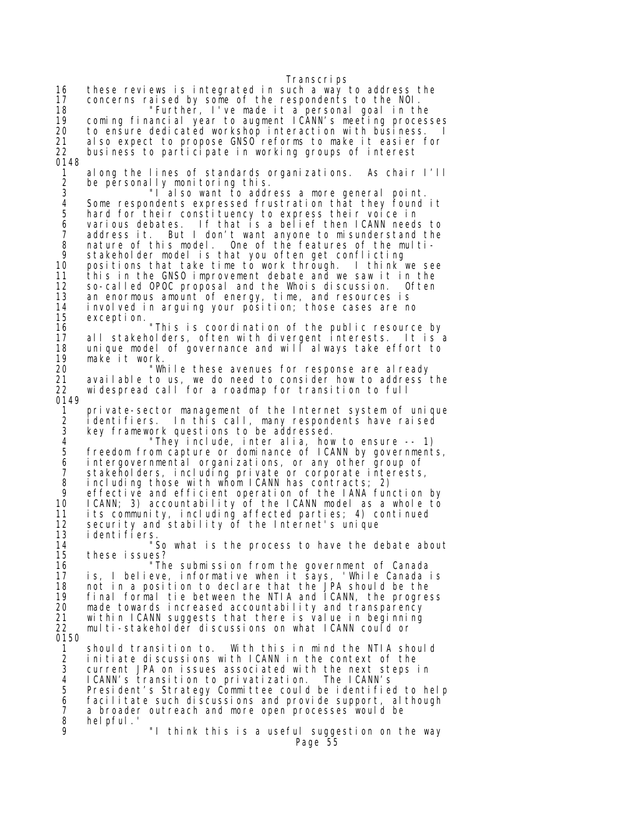16 these reviews is integrated in such a way to address the 17 concerns raised by some of the respondents to the NOI. 18 "Further, I've made it a personal goal in the 19 coming financial year to augment ICANN's meeting processes 20 to ensure dedicated workshop interaction with business.<br>21 also expect to propose GNSO reforms to make it easier f also expect to propose GNSO reforms to make it easier for 22 business to participate in working groups of interest 0148 1 along the lines of standards organizations. As chair I'll 2 be personally monitoring this.<br>3 "I also want to addr 3 "I also want to address a more general point. 4 Some respondents expressed frustration that they found it 5 hard for their constituency to express their voice in 6 various debates. If that is a belief then ICANN needs to 7 address it. But I don't want anyone to misunderstand the 8 nature of this model. One of the features of the multi- 9 stakeholder model is that you often get conflicting 10 positions that take time to work through. I think we see 11 this in the GNSO improvement debate and we saw it in the 12 so-called OPOC proposal and the Whois discussion. Often 13 an enormous amount of energy, time, and resources is 14 involved in arguing your position; those cases are no 15 exception. 16 THE THIS IS COORD THIS TO A THIS TO THE PUBLIC RESOURCE by<br>17 all stakeholders, often with divergent interests. It is 17 all stakeholders, often with divergent interests. It is a 18 unique model of governance and will always take effort to<br>19 make it work. make it work. 20 "While these avenues for response are already 21 available to us, we do need to consider how to address the 22 widespread call for a roadmap for transition to full 0149 1 private-sector management of the Internet system of unique 2 identifiers. In this call, many respondents have raised 3 key framework questions to be addressed. 4 They include, inter alia, how to ensure -- 1)<br>5 freedom from capture or dominance of ICANN by government freedom from capture or dominance of ICANN by governments, 6 intergovernmental organizations, or any other group of 7 stakeholders, including private or corporate interests,<br>8 including those with whom ICANN has contracts: 2) 8 including those with whom ICANN has contracts; 2) 9 effective and efficient operation of the IANA function by 10 ICANN; 3) accountability of the ICANN model as a whole to 11 its community, including affected parties; 4) continued 12 security and stability of the Internet's unique 13 identifiers. 14 "So what is the process to have the debate about 15 these issues? 16 "The submission from the government of Canada 17 is, I believe, informative when it says, 'While Canada is 18 not in a position to declare that the JPA should be the 19 final formal tie between the NTIA and ICANN, the progress 20 made towards increased accountability and transparency 21 within ICANN suggests that there is value in beginning<br>22 multi-stakeholder discussions on what ICANN could or multi-stakeholder discussions on what ICANN could or 0150 1 should transition to. With this in mind the NTIA should 2 initiate discussions with ICANN in the context of the 3 current JPA on issues associated with the next steps in<br>4 ICANN's transition to privatization. The ICANN's 4 ICANN's transition to privatization. The ICANN's 5 President's Strategy Committee could be identified to help 6 facilitate such discussions and provide support, although<br>7 a broader outreach and more open processes would be 7 a broader outreach and more open processes would be 8 helpful.<br>9 "I think this is a useful suggestion on the way Page 55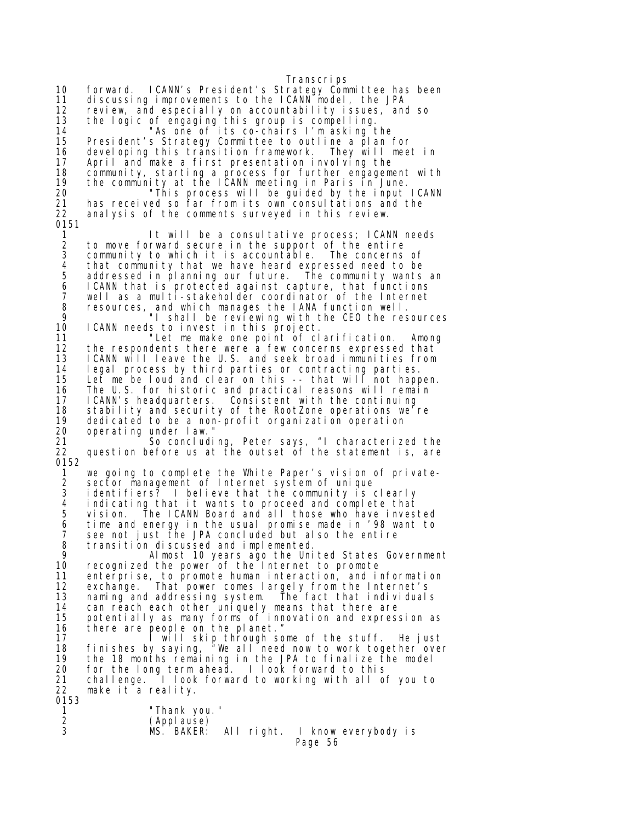Transcrips 10 forward. ICANN's President's Strategy Committee has been 11 discussing improvements to the ICANN model, the JPA 12 review, and especially on accountability issues, and so 13 the logic of engaging this group is compelling. 14 "As one of its co-chairs I'm asking the 15 President's Strategy Committee to outline a plan for 16 developing this transition framework. They will meet in<br>17 April and make a first presentation involving the April and make a first presentation involving the 18 community, starting a process for further engagement with<br>19 the community at the ICANN meeting in Paris in June. 19 the community at the ICANN meeting in Paris in June.<br>20 This process will be guided by the input 20 "This process will be guided by the input ICANN 21 has received so far from its own consultations and the 22 analysis of the comments surveyed in this review. analysis of the comments surveyed in this review. 0151 1 It will be a consultative process; ICANN needs<br>2 to move forward secure in the support of the entire<br>3 community to which it is accountable. The concerns of to move forward secure in the support of the entire<br>community to which it is accountable. The concerns of community to which it is accountable. 4 that community that we have heard expressed need to be<br>5 addressed in planning our future. The community wants 5 addressed in planning our future. The community wants an<br>6 ICANN that is protected against capture, that functions<br>7 well as a multi-stakeholder coordinator of the Internet ICANN that is protected against capture, that functions 7 well as a multi-stakeholder coordinator of the Internet<br>8 resources, and which manages the IANA function well. 8 resources, and which manages the IANA function well. 9 "I shall be reviewing with the CEO the resources 10 ICANN needs to invest in this project.<br>11 The make one point of cl 11 The the make one point of clarification. Among<br>12 the respondents there were a few concerns expressed that 12 the respondents there were a few concerns expressed that<br>13 ICANN will leave the U.S. and seek broad immunities from ICANN will leave the U.S. and seek broad immunities from 14 legal process by third parties or contracting parties.<br>15 Let me be loud and clear on this -- that will not happ Let me be loud and clear on this -- that will not happen. 16 The U.S. for historic and practical reasons will remain<br>17 ICANN's headquarters. Consistent with the continuing 17 ICANN's headquarters. Consistent with the continuing 18 stability and security of the RootZone operations we're 19 dedicated to be a non-profit organization operation 20 operating under law." 21 So concluding, Peter says, "I characterized the<br>22 question before us at the outset of the statement is, are question before us at the outset of the statement is, are 0152 1 we going to complete the White Paper's vision of private- 2 sector management of Internet system of unique 3 identifiers? I believe that the community is clearly 4 indicating that it wants to proceed and complete that 5 vision. The ICANN Board and all those who have invested 6 time and energy in the usual promise made in '98 want to see not just the JPA concluded but also the entire 8 transition discussed and implemented. 9 Almost 10 years ago the United States Government 10 recognized the power of the Internet to promote<br>11 enterprise, to promote human interaction, and in 11 enterprise, to promote human interaction, and information 12 exchange. That power comes largely from the Internet's 13 naming and addressing system. The fact that individuals 14 can reach each other uniquely means that there are 15 potentially as many forms of innovation and expression as 16 there are people on the planet."<br>17 1 will skip through so I will skip through some of the stuff. He just 18 finishes by saying, "We all need now to work together over<br>19 the 18 months remaining in the JPA to finalize the model 19 the 18 months remaining in the JPA to finalize the model<br>20 for the long term ahead. I look forward to this 20 for the long term ahead. I look forward to this<br>21 challenge. I look forward to working with all of 21 challenge. I look forward to working with all of you to make it a reality. 0153 1 Thank you."<br>2 (Applause) 2 (Applause)<br>3 MS. BAKER: MS. BAKER: All right. I know everybody is